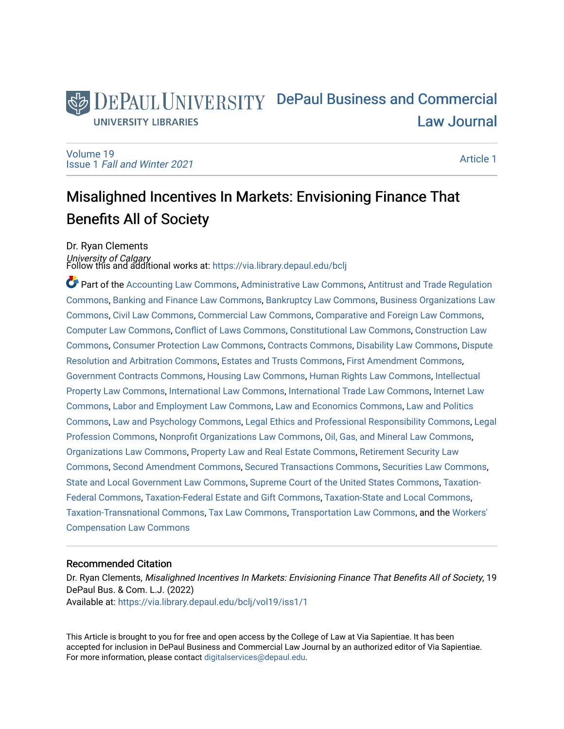# DEPAUL UNIVERSITY DePaul Business and Commercial [Law Journal](https://via.library.depaul.edu/bclj)  **UNIVERSITY LIBRARIES**

[Volume 19](https://via.library.depaul.edu/bclj/vol19) Issue 1 [Fall and Winter 2021](https://via.library.depaul.edu/bclj/vol19/iss1) 

[Article 1](https://via.library.depaul.edu/bclj/vol19/iss1/1) 

# Misalighned Incentives In Markets: Envisioning Finance That Benefits All of Society

Dr. Ryan Clements

*University of Calgary*<br>Follow this and additional works at: https://via.library.depaul.edu/bclj

Part of the [Accounting Law Commons](http://network.bepress.com/hgg/discipline/828?utm_source=via.library.depaul.edu%2Fbclj%2Fvol19%2Fiss1%2F1&utm_medium=PDF&utm_campaign=PDFCoverPages), [Administrative Law Commons](http://network.bepress.com/hgg/discipline/579?utm_source=via.library.depaul.edu%2Fbclj%2Fvol19%2Fiss1%2F1&utm_medium=PDF&utm_campaign=PDFCoverPages), [Antitrust and Trade Regulation](http://network.bepress.com/hgg/discipline/911?utm_source=via.library.depaul.edu%2Fbclj%2Fvol19%2Fiss1%2F1&utm_medium=PDF&utm_campaign=PDFCoverPages) [Commons](http://network.bepress.com/hgg/discipline/911?utm_source=via.library.depaul.edu%2Fbclj%2Fvol19%2Fiss1%2F1&utm_medium=PDF&utm_campaign=PDFCoverPages), [Banking and Finance Law Commons](http://network.bepress.com/hgg/discipline/833?utm_source=via.library.depaul.edu%2Fbclj%2Fvol19%2Fiss1%2F1&utm_medium=PDF&utm_campaign=PDFCoverPages), [Bankruptcy Law Commons](http://network.bepress.com/hgg/discipline/583?utm_source=via.library.depaul.edu%2Fbclj%2Fvol19%2Fiss1%2F1&utm_medium=PDF&utm_campaign=PDFCoverPages), [Business Organizations Law](http://network.bepress.com/hgg/discipline/900?utm_source=via.library.depaul.edu%2Fbclj%2Fvol19%2Fiss1%2F1&utm_medium=PDF&utm_campaign=PDFCoverPages)  [Commons](http://network.bepress.com/hgg/discipline/900?utm_source=via.library.depaul.edu%2Fbclj%2Fvol19%2Fiss1%2F1&utm_medium=PDF&utm_campaign=PDFCoverPages), [Civil Law Commons,](http://network.bepress.com/hgg/discipline/835?utm_source=via.library.depaul.edu%2Fbclj%2Fvol19%2Fiss1%2F1&utm_medium=PDF&utm_campaign=PDFCoverPages) [Commercial Law Commons](http://network.bepress.com/hgg/discipline/586?utm_source=via.library.depaul.edu%2Fbclj%2Fvol19%2Fiss1%2F1&utm_medium=PDF&utm_campaign=PDFCoverPages), [Comparative and Foreign Law Commons](http://network.bepress.com/hgg/discipline/836?utm_source=via.library.depaul.edu%2Fbclj%2Fvol19%2Fiss1%2F1&utm_medium=PDF&utm_campaign=PDFCoverPages), [Computer Law Commons](http://network.bepress.com/hgg/discipline/837?utm_source=via.library.depaul.edu%2Fbclj%2Fvol19%2Fiss1%2F1&utm_medium=PDF&utm_campaign=PDFCoverPages), [Conflict of Laws Commons](http://network.bepress.com/hgg/discipline/588?utm_source=via.library.depaul.edu%2Fbclj%2Fvol19%2Fiss1%2F1&utm_medium=PDF&utm_campaign=PDFCoverPages), [Constitutional Law Commons](http://network.bepress.com/hgg/discipline/589?utm_source=via.library.depaul.edu%2Fbclj%2Fvol19%2Fiss1%2F1&utm_medium=PDF&utm_campaign=PDFCoverPages), [Construction Law](http://network.bepress.com/hgg/discipline/590?utm_source=via.library.depaul.edu%2Fbclj%2Fvol19%2Fiss1%2F1&utm_medium=PDF&utm_campaign=PDFCoverPages)  [Commons](http://network.bepress.com/hgg/discipline/590?utm_source=via.library.depaul.edu%2Fbclj%2Fvol19%2Fiss1%2F1&utm_medium=PDF&utm_campaign=PDFCoverPages), [Consumer Protection Law Commons](http://network.bepress.com/hgg/discipline/838?utm_source=via.library.depaul.edu%2Fbclj%2Fvol19%2Fiss1%2F1&utm_medium=PDF&utm_campaign=PDFCoverPages), [Contracts Commons,](http://network.bepress.com/hgg/discipline/591?utm_source=via.library.depaul.edu%2Fbclj%2Fvol19%2Fiss1%2F1&utm_medium=PDF&utm_campaign=PDFCoverPages) [Disability Law Commons,](http://network.bepress.com/hgg/discipline/1074?utm_source=via.library.depaul.edu%2Fbclj%2Fvol19%2Fiss1%2F1&utm_medium=PDF&utm_campaign=PDFCoverPages) [Dispute](http://network.bepress.com/hgg/discipline/890?utm_source=via.library.depaul.edu%2Fbclj%2Fvol19%2Fiss1%2F1&utm_medium=PDF&utm_campaign=PDFCoverPages) [Resolution and Arbitration Commons](http://network.bepress.com/hgg/discipline/890?utm_source=via.library.depaul.edu%2Fbclj%2Fvol19%2Fiss1%2F1&utm_medium=PDF&utm_campaign=PDFCoverPages), [Estates and Trusts Commons,](http://network.bepress.com/hgg/discipline/906?utm_source=via.library.depaul.edu%2Fbclj%2Fvol19%2Fiss1%2F1&utm_medium=PDF&utm_campaign=PDFCoverPages) [First Amendment Commons,](http://network.bepress.com/hgg/discipline/1115?utm_source=via.library.depaul.edu%2Fbclj%2Fvol19%2Fiss1%2F1&utm_medium=PDF&utm_campaign=PDFCoverPages) [Government Contracts Commons,](http://network.bepress.com/hgg/discipline/845?utm_source=via.library.depaul.edu%2Fbclj%2Fvol19%2Fiss1%2F1&utm_medium=PDF&utm_campaign=PDFCoverPages) [Housing Law Commons,](http://network.bepress.com/hgg/discipline/846?utm_source=via.library.depaul.edu%2Fbclj%2Fvol19%2Fiss1%2F1&utm_medium=PDF&utm_campaign=PDFCoverPages) [Human Rights Law Commons](http://network.bepress.com/hgg/discipline/847?utm_source=via.library.depaul.edu%2Fbclj%2Fvol19%2Fiss1%2F1&utm_medium=PDF&utm_campaign=PDFCoverPages), [Intellectual](http://network.bepress.com/hgg/discipline/896?utm_source=via.library.depaul.edu%2Fbclj%2Fvol19%2Fiss1%2F1&utm_medium=PDF&utm_campaign=PDFCoverPages)  [Property Law Commons](http://network.bepress.com/hgg/discipline/896?utm_source=via.library.depaul.edu%2Fbclj%2Fvol19%2Fiss1%2F1&utm_medium=PDF&utm_campaign=PDFCoverPages), [International Law Commons](http://network.bepress.com/hgg/discipline/609?utm_source=via.library.depaul.edu%2Fbclj%2Fvol19%2Fiss1%2F1&utm_medium=PDF&utm_campaign=PDFCoverPages), [International Trade Law Commons](http://network.bepress.com/hgg/discipline/848?utm_source=via.library.depaul.edu%2Fbclj%2Fvol19%2Fiss1%2F1&utm_medium=PDF&utm_campaign=PDFCoverPages), [Internet Law](http://network.bepress.com/hgg/discipline/892?utm_source=via.library.depaul.edu%2Fbclj%2Fvol19%2Fiss1%2F1&utm_medium=PDF&utm_campaign=PDFCoverPages)  [Commons](http://network.bepress.com/hgg/discipline/892?utm_source=via.library.depaul.edu%2Fbclj%2Fvol19%2Fiss1%2F1&utm_medium=PDF&utm_campaign=PDFCoverPages), [Labor and Employment Law Commons,](http://network.bepress.com/hgg/discipline/909?utm_source=via.library.depaul.edu%2Fbclj%2Fvol19%2Fiss1%2F1&utm_medium=PDF&utm_campaign=PDFCoverPages) [Law and Economics Commons,](http://network.bepress.com/hgg/discipline/612?utm_source=via.library.depaul.edu%2Fbclj%2Fvol19%2Fiss1%2F1&utm_medium=PDF&utm_campaign=PDFCoverPages) [Law and Politics](http://network.bepress.com/hgg/discipline/867?utm_source=via.library.depaul.edu%2Fbclj%2Fvol19%2Fiss1%2F1&utm_medium=PDF&utm_campaign=PDFCoverPages) [Commons](http://network.bepress.com/hgg/discipline/867?utm_source=via.library.depaul.edu%2Fbclj%2Fvol19%2Fiss1%2F1&utm_medium=PDF&utm_campaign=PDFCoverPages), [Law and Psychology Commons](http://network.bepress.com/hgg/discipline/870?utm_source=via.library.depaul.edu%2Fbclj%2Fvol19%2Fiss1%2F1&utm_medium=PDF&utm_campaign=PDFCoverPages), [Legal Ethics and Professional Responsibility Commons,](http://network.bepress.com/hgg/discipline/895?utm_source=via.library.depaul.edu%2Fbclj%2Fvol19%2Fiss1%2F1&utm_medium=PDF&utm_campaign=PDFCoverPages) [Legal](http://network.bepress.com/hgg/discipline/1075?utm_source=via.library.depaul.edu%2Fbclj%2Fvol19%2Fiss1%2F1&utm_medium=PDF&utm_campaign=PDFCoverPages) [Profession Commons,](http://network.bepress.com/hgg/discipline/1075?utm_source=via.library.depaul.edu%2Fbclj%2Fvol19%2Fiss1%2F1&utm_medium=PDF&utm_campaign=PDFCoverPages) [Nonprofit Organizations Law Commons](http://network.bepress.com/hgg/discipline/1349?utm_source=via.library.depaul.edu%2Fbclj%2Fvol19%2Fiss1%2F1&utm_medium=PDF&utm_campaign=PDFCoverPages), [Oil, Gas, and Mineral Law Commons](http://network.bepress.com/hgg/discipline/864?utm_source=via.library.depaul.edu%2Fbclj%2Fvol19%2Fiss1%2F1&utm_medium=PDF&utm_campaign=PDFCoverPages), [Organizations Law Commons](http://network.bepress.com/hgg/discipline/865?utm_source=via.library.depaul.edu%2Fbclj%2Fvol19%2Fiss1%2F1&utm_medium=PDF&utm_campaign=PDFCoverPages), [Property Law and Real Estate Commons](http://network.bepress.com/hgg/discipline/897?utm_source=via.library.depaul.edu%2Fbclj%2Fvol19%2Fiss1%2F1&utm_medium=PDF&utm_campaign=PDFCoverPages), [Retirement Security Law](http://network.bepress.com/hgg/discipline/873?utm_source=via.library.depaul.edu%2Fbclj%2Fvol19%2Fiss1%2F1&utm_medium=PDF&utm_campaign=PDFCoverPages) [Commons](http://network.bepress.com/hgg/discipline/873?utm_source=via.library.depaul.edu%2Fbclj%2Fvol19%2Fiss1%2F1&utm_medium=PDF&utm_campaign=PDFCoverPages), [Second Amendment Commons,](http://network.bepress.com/hgg/discipline/1119?utm_source=via.library.depaul.edu%2Fbclj%2Fvol19%2Fiss1%2F1&utm_medium=PDF&utm_campaign=PDFCoverPages) [Secured Transactions Commons,](http://network.bepress.com/hgg/discipline/876?utm_source=via.library.depaul.edu%2Fbclj%2Fvol19%2Fiss1%2F1&utm_medium=PDF&utm_campaign=PDFCoverPages) [Securities Law Commons,](http://network.bepress.com/hgg/discipline/619?utm_source=via.library.depaul.edu%2Fbclj%2Fvol19%2Fiss1%2F1&utm_medium=PDF&utm_campaign=PDFCoverPages) [State and Local Government Law Commons](http://network.bepress.com/hgg/discipline/879?utm_source=via.library.depaul.edu%2Fbclj%2Fvol19%2Fiss1%2F1&utm_medium=PDF&utm_campaign=PDFCoverPages), [Supreme Court of the United States Commons](http://network.bepress.com/hgg/discipline/1350?utm_source=via.library.depaul.edu%2Fbclj%2Fvol19%2Fiss1%2F1&utm_medium=PDF&utm_campaign=PDFCoverPages), [Taxation-](http://network.bepress.com/hgg/discipline/881?utm_source=via.library.depaul.edu%2Fbclj%2Fvol19%2Fiss1%2F1&utm_medium=PDF&utm_campaign=PDFCoverPages)[Federal Commons](http://network.bepress.com/hgg/discipline/881?utm_source=via.library.depaul.edu%2Fbclj%2Fvol19%2Fiss1%2F1&utm_medium=PDF&utm_campaign=PDFCoverPages), [Taxation-Federal Estate and Gift Commons](http://network.bepress.com/hgg/discipline/880?utm_source=via.library.depaul.edu%2Fbclj%2Fvol19%2Fiss1%2F1&utm_medium=PDF&utm_campaign=PDFCoverPages), [Taxation-State and Local Commons,](http://network.bepress.com/hgg/discipline/882?utm_source=via.library.depaul.edu%2Fbclj%2Fvol19%2Fiss1%2F1&utm_medium=PDF&utm_campaign=PDFCoverPages) [Taxation-Transnational Commons](http://network.bepress.com/hgg/discipline/883?utm_source=via.library.depaul.edu%2Fbclj%2Fvol19%2Fiss1%2F1&utm_medium=PDF&utm_campaign=PDFCoverPages), [Tax Law Commons,](http://network.bepress.com/hgg/discipline/898?utm_source=via.library.depaul.edu%2Fbclj%2Fvol19%2Fiss1%2F1&utm_medium=PDF&utm_campaign=PDFCoverPages) [Transportation Law Commons](http://network.bepress.com/hgg/discipline/885?utm_source=via.library.depaul.edu%2Fbclj%2Fvol19%2Fiss1%2F1&utm_medium=PDF&utm_campaign=PDFCoverPages), and the [Workers'](http://network.bepress.com/hgg/discipline/889?utm_source=via.library.depaul.edu%2Fbclj%2Fvol19%2Fiss1%2F1&utm_medium=PDF&utm_campaign=PDFCoverPages)  [Compensation Law Commons](http://network.bepress.com/hgg/discipline/889?utm_source=via.library.depaul.edu%2Fbclj%2Fvol19%2Fiss1%2F1&utm_medium=PDF&utm_campaign=PDFCoverPages)

# Recommended Citation

Dr. Ryan Clements, Misalighned Incentives In Markets: Envisioning Finance That Benefits All of Society, 19 DePaul Bus. & Com. L.J. (2022) Available at: [https://via.library.depaul.edu/bclj/vol19/iss1/1](https://via.library.depaul.edu/bclj/vol19/iss1/1?utm_source=via.library.depaul.edu%2Fbclj%2Fvol19%2Fiss1%2F1&utm_medium=PDF&utm_campaign=PDFCoverPages) 

This Article is brought to you for free and open access by the College of Law at Via Sapientiae. It has been accepted for inclusion in DePaul Business and Commercial Law Journal by an authorized editor of Via Sapientiae. For more information, please contact [digitalservices@depaul.edu.](mailto:digitalservices@depaul.edu)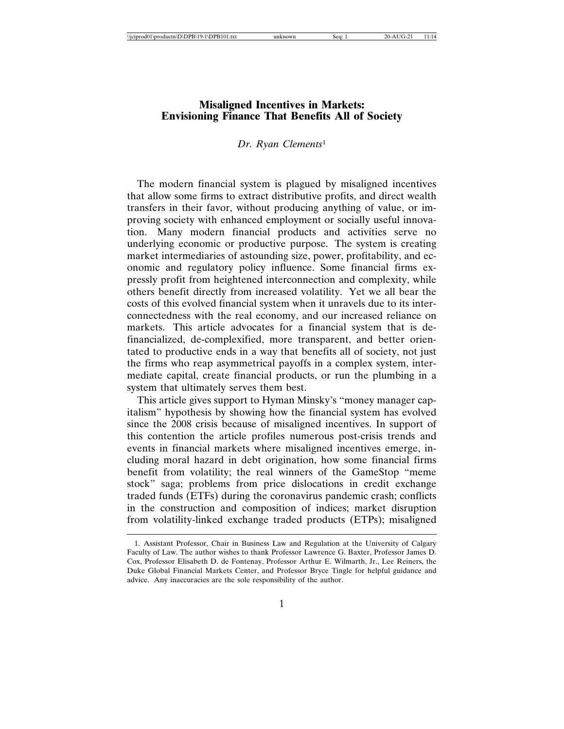# **Misaligned Incentives in Markets: Envisioning Finance That Benefits All of Society**

#### *Dr. Ryan Clements*<sup>1</sup>

The modern financial system is plagued by misaligned incentives that allow some firms to extract distributive profits, and direct wealth transfers in their favor, without producing anything of value, or improving society with enhanced employment or socially useful innovation. Many modern financial products and activities serve no underlying economic or productive purpose. The system is creating market intermediaries of astounding size, power, profitability, and economic and regulatory policy influence. Some financial firms expressly profit from heightened interconnection and complexity, while others benefit directly from increased volatility. Yet we all bear the costs of this evolved financial system when it unravels due to its interconnectedness with the real economy, and our increased reliance on markets. This article advocates for a financial system that is definancialized, de-complexified, more transparent, and better orientated to productive ends in a way that benefits all of society, not just the firms who reap asymmetrical payoffs in a complex system, intermediate capital, create financial products, or run the plumbing in a system that ultimately serves them best.

This article gives support to Hyman Minsky's "money manager capitalism" hypothesis by showing how the financial system has evolved since the 2008 crisis because of misaligned incentives. In support of this contention the article profiles numerous post-crisis trends and events in financial markets where misaligned incentives emerge, including moral hazard in debt origination, how some financial firms benefit from volatility; the real winners of the GameStop "meme stock" saga; problems from price dislocations in credit exchange traded funds (ETFs) during the coronavirus pandemic crash; conflicts in the construction and composition of indices; market disruption from volatility-linked exchange traded products (ETPs); misaligned

<sup>1.</sup> Assistant Professor, Chair in Business Law and Regulation at the University of Calgary Faculty of Law. The author wishes to thank Professor Lawrence G. Baxter, Professor James D. Cox, Professor Elisabeth D. de Fontenay, Professor Arthur E. Wilmarth, Jr., Lee Reiners, the Duke Global Financial Markets Center, and Professor Bryce Tingle for helpful guidance and advice. Any inaccuracies are the sole responsibility of the author.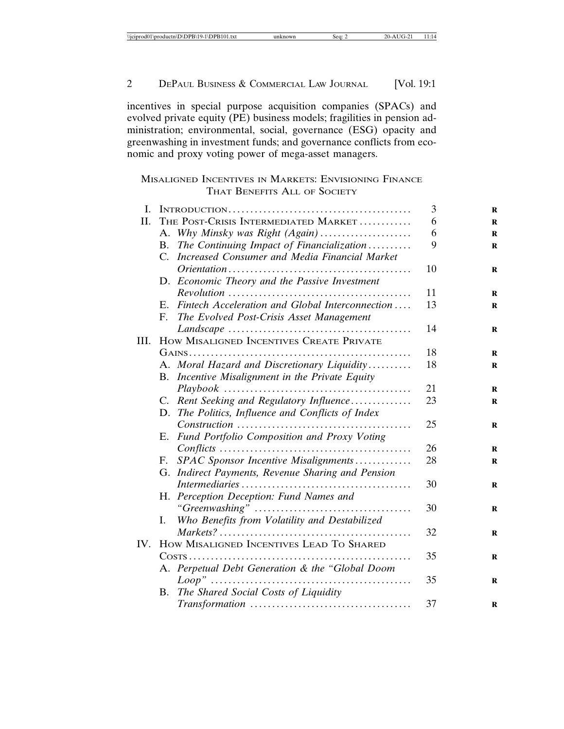| $\cdots$<br>$\cdot$ od $0^+$<br>$1\ DPB101.txt$<br>\\productn\D\DPB\19-1<br>$\sqrt{1}$ | nown | sea. | νr<br>ZU. | . |
|----------------------------------------------------------------------------------------|------|------|-----------|---|

incentives in special purpose acquisition companies (SPACs) and evolved private equity (PE) business models; fragilities in pension administration; environmental, social, governance (ESG) opacity and greenwashing in investment funds; and governance conflicts from economic and proxy voting power of mega-asset managers.

# MISALIGNED INCENTIVES IN MARKETS: ENVISIONING FINANCE THAT BENEFITS ALL OF SOCIETY

| I.   |                                                              | 3  | R           |
|------|--------------------------------------------------------------|----|-------------|
| Н.   | THE POST-CRISIS INTERMEDIATED MARKET                         | 6  | R           |
|      | A. Why Minsky was Right (Again)                              | 6  | R           |
|      | The Continuing Impact of Financialization<br><b>B.</b>       | 9  | $\mathbf R$ |
|      | Increased Consumer and Media Financial Market<br>$C_{\cdot}$ |    |             |
|      |                                                              | 10 | R           |
|      | D. Economic Theory and the Passive Investment                |    |             |
|      |                                                              | 11 | R           |
|      | Fintech Acceleration and Global Interconnection<br>Е.        | 13 | $\bf{R}$    |
|      | The Evolved Post-Crisis Asset Management<br>F.               |    |             |
|      |                                                              | 14 | R           |
| III. | HOW MISALIGNED INCENTIVES CREATE PRIVATE                     |    |             |
|      |                                                              | 18 | R           |
|      | A. Moral Hazard and Discretionary Liquidity                  | 18 | R           |
|      | B. Incentive Misalignment in the Private Equity              |    |             |
|      |                                                              | 21 | R           |
|      | C. Rent Seeking and Regulatory Influence                     | 23 | R           |
|      | D. The Politics, Influence and Conflicts of Index            |    |             |
|      | Construction                                                 | 25 | R           |
|      | Fund Portfolio Composition and Proxy Voting<br>Е.            |    |             |
|      |                                                              | 26 | R           |
|      | SPAC Sponsor Incentive Misalignments<br>F.                   | 28 | R           |
|      | G. Indirect Payments, Revenue Sharing and Pension            |    |             |
|      |                                                              | 30 | $\bf R$     |
|      | H. Perception Deception: Fund Names and                      |    |             |
|      |                                                              | 30 | R           |
|      | Who Benefits from Volatility and Destabilized<br>I.          |    |             |
|      |                                                              | 32 | R           |
| IV.  | HOW MISALIGNED INCENTIVES LEAD TO SHARED                     |    |             |
|      |                                                              | 35 | R           |
|      | A. Perpetual Debt Generation & the "Global Doom              |    |             |
|      |                                                              | 35 | $\bf{R}$    |
|      | <b>B.</b> The Shared Social Costs of Liquidity               |    |             |
|      |                                                              | 37 | R           |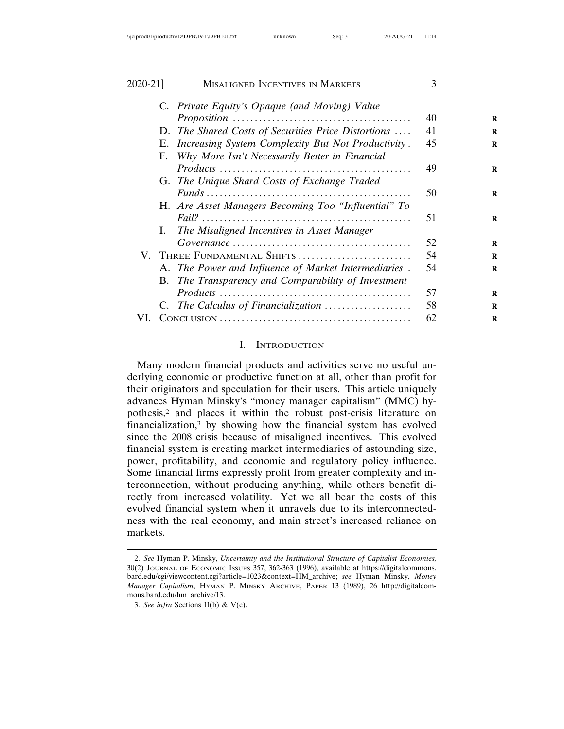| .<br>odd<br>эpі<br>tn\D\D<br>$+--$<br><i><b>NICIP</b></i><br>⊣nr<br>00 U U U<br>∙.txt<br>ч.<br>D) | now<br>ı٢<br>. . | sea: | $\sim$<br>٠.<br>-<br>- | . |
|---------------------------------------------------------------------------------------------------|------------------|------|------------------------|---|

| MISALIGNED INCENTIVES IN MARKETS                      | $\mathcal{F}$ |   |
|-------------------------------------------------------|---------------|---|
| C. Private Equity's Opaque (and Moving) Value         |               |   |
|                                                       | 40            | R |
| D. The Shared Costs of Securities Price Distortions   | 41            | R |
| E. Increasing System Complexity But Not Productivity. | 45            | R |
| F. Why More Isn't Necessarily Better in Financial     |               |   |
|                                                       | 49            | R |
| G. The Unique Shard Costs of Exchange Traded          |               |   |
|                                                       | 50            | R |
| H. Are Asset Managers Becoming Too "Influential" To   |               |   |
|                                                       | 51            | R |
| The Misaligned Incentives in Asset Manager<br>I.      |               |   |
|                                                       | 52            | R |
| V. THREE FUNDAMENTAL SHIFTS                           | 54            | R |
| A. The Power and Influence of Market Intermediaries.  | 54            | R |
| B. The Transparency and Comparability of Investment   |               |   |
|                                                       | 57            | R |
| C. The Calculus of Financialization                   | 58            | R |
|                                                       | 62            | R |
|                                                       |               |   |

#### I. INTRODUCTION

Many modern financial products and activities serve no useful underlying economic or productive function at all, other than profit for their originators and speculation for their users. This article uniquely advances Hyman Minsky's "money manager capitalism" (MMC) hypothesis,2 and places it within the robust post-crisis literature on financialization,3 by showing how the financial system has evolved since the 2008 crisis because of misaligned incentives. This evolved financial system is creating market intermediaries of astounding size, power, profitability, and economic and regulatory policy influence. Some financial firms expressly profit from greater complexity and interconnection, without producing anything, while others benefit directly from increased volatility. Yet we all bear the costs of this evolved financial system when it unravels due to its interconnectedness with the real economy, and main street's increased reliance on markets.

<sup>2.</sup> *See* Hyman P. Minsky, *Uncertainty and the Institutional Structure of Capitalist Economies,* 30(2) JOURNAL OF ECONOMIC ISSUES 357, 362-363 (1996), available at https://digitalcommons. bard.edu/cgi/viewcontent.cgi?article=1023&context=HM\_archive; *see* Hyman Minsky, *Money Manager Capitalism*, HYMAN P. MINSKY ARCHIVE, PAPER 13 (1989), 26 http://digitalcommons.bard.edu/hm\_archive/13.

<sup>3.</sup> *See infra* Sections II(b) & V(c).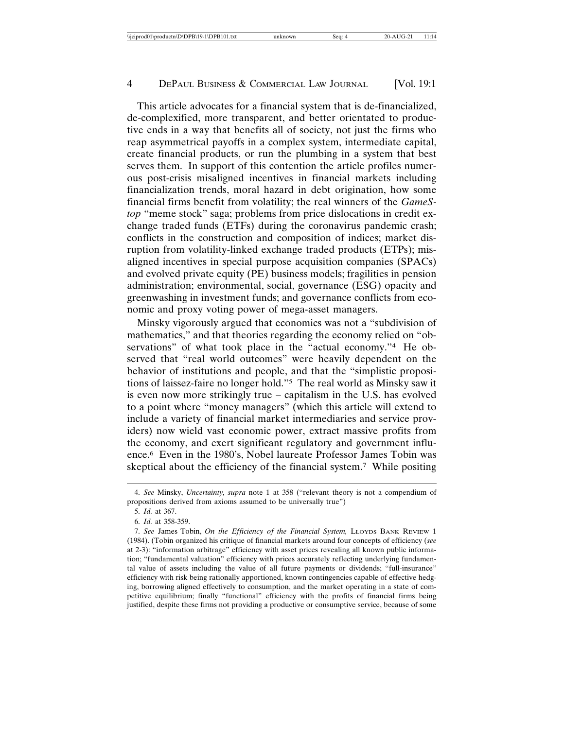\\jciprod01\productn\D\DPB\19-1\DPB101.txt unknown Seq: 4 20-AUG-21 11:14

#### 4 DEPAUL BUSINESS & COMMERCIAL LAW JOURNAL [Vol. 19:1]

This article advocates for a financial system that is de-financialized, de-complexified, more transparent, and better orientated to productive ends in a way that benefits all of society, not just the firms who reap asymmetrical payoffs in a complex system, intermediate capital, create financial products, or run the plumbing in a system that best serves them. In support of this contention the article profiles numerous post-crisis misaligned incentives in financial markets including financialization trends, moral hazard in debt origination, how some financial firms benefit from volatility; the real winners of the *GameStop* "meme stock" saga; problems from price dislocations in credit exchange traded funds (ETFs) during the coronavirus pandemic crash; conflicts in the construction and composition of indices; market disruption from volatility-linked exchange traded products (ETPs); misaligned incentives in special purpose acquisition companies (SPACs) and evolved private equity (PE) business models; fragilities in pension administration; environmental, social, governance (ESG) opacity and greenwashing in investment funds; and governance conflicts from economic and proxy voting power of mega-asset managers.

Minsky vigorously argued that economics was not a "subdivision of mathematics," and that theories regarding the economy relied on "observations" of what took place in the "actual economy."<sup>4</sup> He observed that "real world outcomes" were heavily dependent on the behavior of institutions and people, and that the "simplistic propositions of laissez-faire no longer hold."5 The real world as Minsky saw it is even now more strikingly true – capitalism in the U.S. has evolved to a point where "money managers" (which this article will extend to include a variety of financial market intermediaries and service providers) now wield vast economic power, extract massive profits from the economy, and exert significant regulatory and government influence.6 Even in the 1980's, Nobel laureate Professor James Tobin was skeptical about the efficiency of the financial system.7 While positing

<sup>4.</sup> *See* Minsky, *Uncertainty, supra* note 1 at 358 ("relevant theory is not a compendium of propositions derived from axioms assumed to be universally true")

<sup>5.</sup> *Id.* at 367.

<sup>6.</sup> *Id.* at 358-359.

<sup>7.</sup> *See* James Tobin, *On the Efficiency of the Financial System,* LLOYDS BANK REVIEW 1 (1984). (Tobin organized his critique of financial markets around four concepts of efficiency (*see* at 2-3): "information arbitrage" efficiency with asset prices revealing all known public information; "fundamental valuation" efficiency with prices accurately reflecting underlying fundamental value of assets including the value of all future payments or dividends; "full-insurance" efficiency with risk being rationally apportioned, known contingencies capable of effective hedging, borrowing aligned effectively to consumption, and the market operating in a state of competitive equilibrium; finally "functional" efficiency with the profits of financial firms being justified, despite these firms not providing a productive or consumptive service, because of some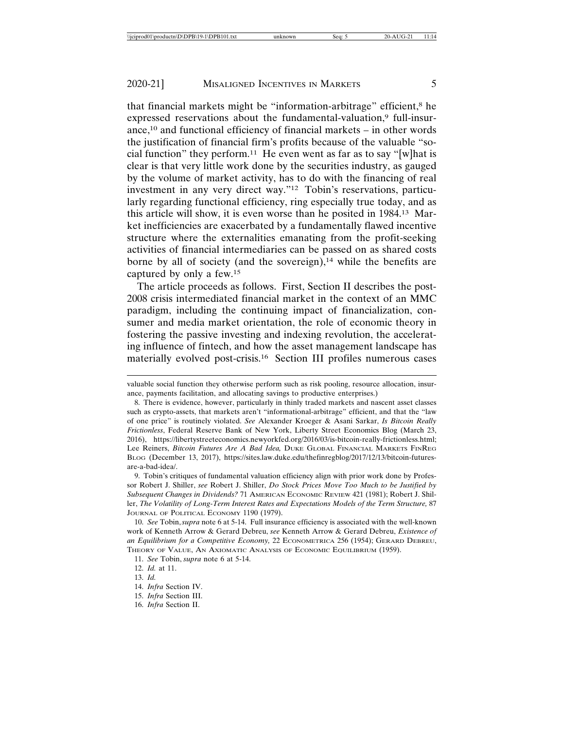that financial markets might be "information-arbitrage" efficient,8 he expressed reservations about the fundamental-valuation,<sup>9</sup> full-insurance,<sup>10</sup> and functional efficiency of financial markets  $-$  in other words the justification of financial firm's profits because of the valuable "social function" they perform.<sup>11</sup> He even went as far as to say "[w] hat is clear is that very little work done by the securities industry, as gauged by the volume of market activity, has to do with the financing of real investment in any very direct way."12 Tobin's reservations, particularly regarding functional efficiency, ring especially true today, and as this article will show, it is even worse than he posited in 1984.13 Market inefficiencies are exacerbated by a fundamentally flawed incentive structure where the externalities emanating from the profit-seeking activities of financial intermediaries can be passed on as shared costs borne by all of society (and the sovereign), $14$  while the benefits are captured by only a few.15

The article proceeds as follows. First, Section II describes the post-2008 crisis intermediated financial market in the context of an MMC paradigm, including the continuing impact of financialization, consumer and media market orientation, the role of economic theory in fostering the passive investing and indexing revolution, the accelerating influence of fintech, and how the asset management landscape has materially evolved post-crisis.16 Section III profiles numerous cases

valuable social function they otherwise perform such as risk pooling, resource allocation, insurance, payments facilitation, and allocating savings to productive enterprises.)

<sup>8.</sup> There is evidence, however, particularly in thinly traded markets and nascent asset classes such as crypto-assets, that markets aren't "informational-arbitrage" efficient, and that the "law of one price" is routinely violated. *See* Alexander Kroeger & Asani Sarkar, *Is Bitcoin Really Frictionless*, Federal Reserve Bank of New York, Liberty Street Economics Blog (March 23, 2016), https://libertystreeteconomics.newyorkfed.org/2016/03/is-bitcoin-really-frictionless.html; Lee Reiners, *Bitcoin Futures Are A Bad Idea,* DUKE GLOBAL FINANCIAL MARKETS FINREG BLOG (December 13, 2017), https://sites.law.duke.edu/thefinregblog/2017/12/13/bitcoin-futuresare-a-bad-idea/.

<sup>9.</sup> Tobin's critiques of fundamental valuation efficiency align with prior work done by Professor Robert J. Shiller, *see* Robert J. Shiller, *Do Stock Prices Move Too Much to be Justified by Subsequent Changes in Dividends?* 71 AMERICAN ECONOMIC REVIEW 421 (1981); Robert J. Shiller, *The Volatility of Long-Term Interest Rates and Expectations Models of the Term Structure,* 87 JOURNAL OF POLITICAL ECONOMY 1190 (1979).

<sup>10.</sup> *See* Tobin, *supra* note 6 at 5-14. Full insurance efficiency is associated with the well-known work of Kenneth Arrow & Gerard Debreu, *see* Kenneth Arrow & Gerard Debreu, *Existence of an Equilibrium for a Competitive Economy,* 22 ECONOMETRICA 256 (1954); GERARD DEBREU, THEORY OF VALUE, AN AXIOMATIC ANALYSIS OF ECONOMIC EQUILIBRIUM (1959).

<sup>11.</sup> *See* Tobin, *supra* note 6 at 5-14.

<sup>12.</sup> *Id.* at 11.

<sup>13.</sup> *Id.*

<sup>14.</sup> *Infra* Section IV.

<sup>15.</sup> *Infra* Section III.

<sup>16.</sup> *Infra* Section II.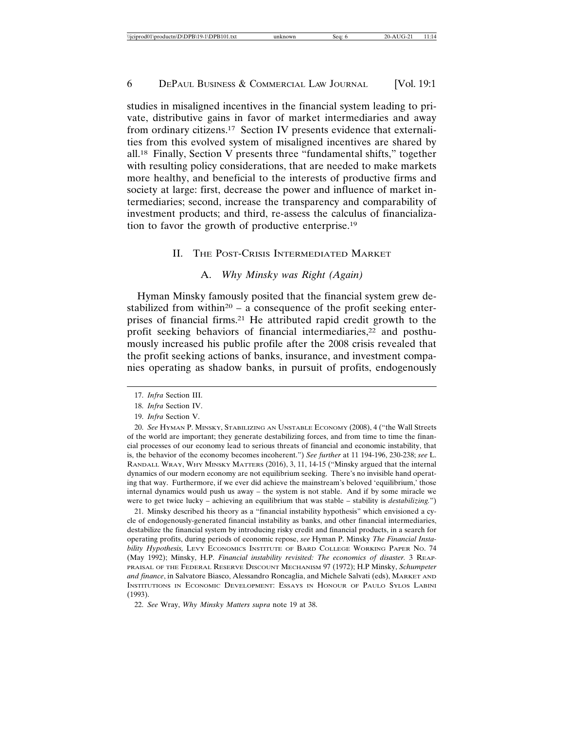studies in misaligned incentives in the financial system leading to private, distributive gains in favor of market intermediaries and away from ordinary citizens.17 Section IV presents evidence that externalities from this evolved system of misaligned incentives are shared by all.18 Finally, Section V presents three "fundamental shifts," together with resulting policy considerations, that are needed to make markets more healthy, and beneficial to the interests of productive firms and society at large: first, decrease the power and influence of market intermediaries; second, increase the transparency and comparability of investment products; and third, re-assess the calculus of financialization to favor the growth of productive enterprise.19

# II. THE POST-CRISIS INTERMEDIATED MARKET

# A. *Why Minsky was Right (Again)*

Hyman Minsky famously posited that the financial system grew destabilized from within<sup>20</sup> – a consequence of the profit seeking enterprises of financial firms.21 He attributed rapid credit growth to the profit seeking behaviors of financial intermediaries,<sup>22</sup> and posthumously increased his public profile after the 2008 crisis revealed that the profit seeking actions of banks, insurance, and investment companies operating as shadow banks, in pursuit of profits, endogenously

21. Minsky described his theory as a "financial instability hypothesis" which envisioned a cycle of endogenously-generated financial instability as banks, and other financial intermediaries, destabilize the financial system by introducing risky credit and financial products, in a search for operating profits, during periods of economic repose, *see* Hyman P. Minsky *The Financial Instability Hypothesis,* LEVY ECONOMICS INSTITUTE OF BARD COLLEGE WORKING PAPER NO. 74 (May 1992); Minsky, H.P. *Financial instability revisited: The economics of disaster.* 3 REAP-PRAISAL OF THE FEDERAL RESERVE DISCOUNT MECHANISM 97 (1972); H.P Minsky, *Schumpeter and finance*, in Salvatore Biasco, Alessandro Roncaglia, and Michele Salvati (eds), MARKET AND INSTITUTIONS IN ECONOMIC DEVELOPMENT: ESSAYS IN HONOUR OF PAULO SYLOS LABINI (1993).

<sup>17.</sup> *Infra* Section III.

<sup>18.</sup> *Infra* Section IV.

<sup>19.</sup> *Infra* Section V.

<sup>20.</sup> *See* HYMAN P. MINSKY, STABILIZING AN UNSTABLE ECONOMY (2008), 4 ("the Wall Streets of the world are important; they generate destabilizing forces, and from time to time the financial processes of our economy lead to serious threats of financial and economic instability, that is, the behavior of the economy becomes incoherent.") *See further* at 11 194-196, 230-238; *see* L. RANDALL WRAY, WHY MINSKY MATTERS (2016), 3, 11, 14-15 ("Minsky argued that the internal dynamics of our modern economy are not equilibrium seeking. There's no invisible hand operating that way. Furthermore, if we ever did achieve the mainstream's beloved 'equilibrium,' those internal dynamics would push us away – the system is not stable. And if by some miracle we were to get twice lucky – achieving an equilibrium that was stable – stability is *destabilizing.*")

<sup>22.</sup> *See* Wray, *Why Minsky Matters supra* note 19 at 38.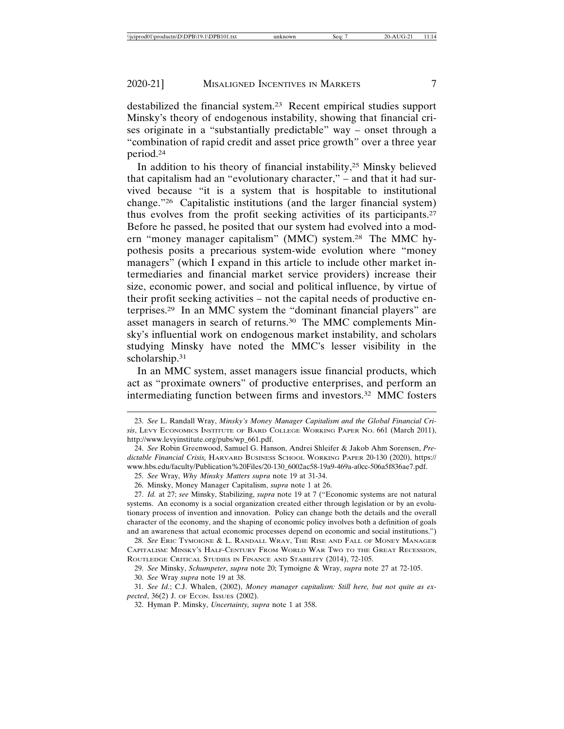destabilized the financial system.23 Recent empirical studies support Minsky's theory of endogenous instability, showing that financial crises originate in a "substantially predictable" way – onset through a "combination of rapid credit and asset price growth" over a three year period.24

In addition to his theory of financial instability,25 Minsky believed that capitalism had an "evolutionary character," – and that it had survived because "it is a system that is hospitable to institutional change."26 Capitalistic institutions (and the larger financial system) thus evolves from the profit seeking activities of its participants.27 Before he passed, he posited that our system had evolved into a modern "money manager capitalism" (MMC) system.28 The MMC hypothesis posits a precarious system-wide evolution where "money managers" (which I expand in this article to include other market intermediaries and financial market service providers) increase their size, economic power, and social and political influence, by virtue of their profit seeking activities – not the capital needs of productive enterprises.29 In an MMC system the "dominant financial players" are asset managers in search of returns.30 The MMC complements Minsky's influential work on endogenous market instability, and scholars studying Minsky have noted the MMC's lesser visibility in the scholarship.31

In an MMC system, asset managers issue financial products, which act as "proximate owners" of productive enterprises, and perform an intermediating function between firms and investors.32 MMC fosters

27. *Id.* at 27; *see* Minsky, Stabilizing, *supra* note 19 at 7 ("Economic systems are not natural systems. An economy is a social organization created either through legislation or by an evolutionary process of invention and innovation. Policy can change both the details and the overall character of the economy, and the shaping of economic policy involves both a definition of goals and an awareness that actual economic processes depend on economic and social institutions.")

28. *See* ERIC TYMOIGNE & L. RANDALL WRAY, THE RISE AND FALL OF MONEY MANAGER CAPITALISM: MINSKY'S HALF-CENTURY FROM WORLD WAR TWO TO THE GREAT RECESSION, ROUTLEDGE CRITICAL STUDIES IN FINANCE AND STABILITY (2014), 72-105.

29. *See* Minsky, *Schumpeter*, *supra* note 20; Tymoigne & Wray, *supra* note 27 at 72-105.

30. *See* Wray *supra* note 19 at 38.

31. *See Id.*; C.J. Whalen, (2002), *Money manager capitalism: Still here, but not quite as expected*, 36(2) J. OF ECON. ISSUES (2002).

<sup>23.</sup> *See* L. Randall Wray, *Minsky's Money Manager Capitalism and the Global Financial Crisis*, LEVY ECONOMICS INSTITUTE OF BARD COLLEGE WORKING PAPER NO. 661 (March 2011), http://www.levyinstitute.org/pubs/wp\_661.pdf.

<sup>24.</sup> *See* Robin Greenwood, Samuel G. Hanson, Andrei Shleifer & Jakob Ahm Sorensen, *Predictable Financial Crisis,* HARVARD BUSINESS SCHOOL WORKING PAPER 20-130 (2020), https:// www.hbs.edu/faculty/Publication%20Files/20-130\_6002ac58-19a9-469a-a0cc-506a5f836ae7.pdf.

<sup>25.</sup> *See* Wray, *Why Minsky Matters supra* note 19 at 31-34.

<sup>26.</sup> Minsky, Money Manager Capitalism, *supra* note 1 at 26.

<sup>32.</sup> Hyman P. Minsky, *Uncertainty, supra* note 1 at 358.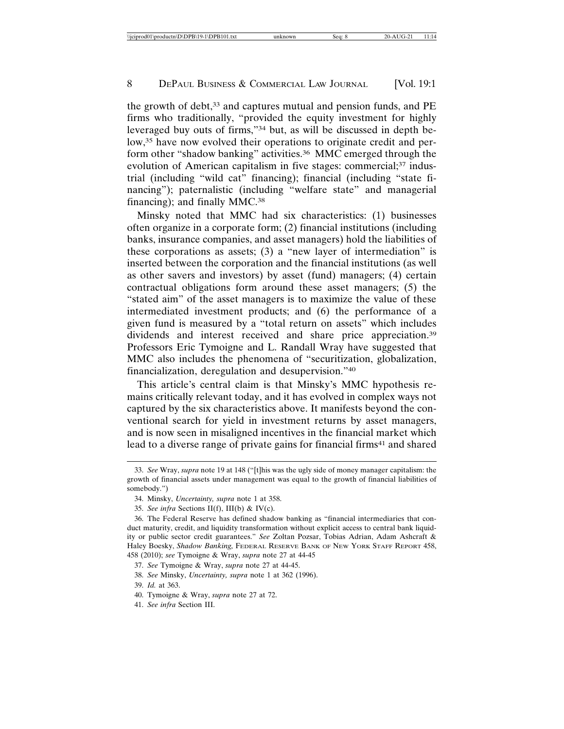the growth of debt,<sup>33</sup> and captures mutual and pension funds, and PE firms who traditionally, "provided the equity investment for highly leveraged buy outs of firms,"34 but, as will be discussed in depth below,<sup>35</sup> have now evolved their operations to originate credit and perform other "shadow banking" activities.<sup>36</sup> MMC emerged through the evolution of American capitalism in five stages: commercial;<sup>37</sup> industrial (including "wild cat" financing); financial (including "state financing"); paternalistic (including "welfare state" and managerial financing); and finally MMC.38

Minsky noted that MMC had six characteristics: (1) businesses often organize in a corporate form; (2) financial institutions (including banks, insurance companies, and asset managers) hold the liabilities of these corporations as assets; (3) a "new layer of intermediation" is inserted between the corporation and the financial institutions (as well as other savers and investors) by asset (fund) managers; (4) certain contractual obligations form around these asset managers; (5) the "stated aim" of the asset managers is to maximize the value of these intermediated investment products; and (6) the performance of a given fund is measured by a "total return on assets" which includes dividends and interest received and share price appreciation.<sup>39</sup> Professors Eric Tymoigne and L. Randall Wray have suggested that MMC also includes the phenomena of "securitization, globalization, financialization, deregulation and desupervision."40

This article's central claim is that Minsky's MMC hypothesis remains critically relevant today, and it has evolved in complex ways not captured by the six characteristics above. It manifests beyond the conventional search for yield in investment returns by asset managers, and is now seen in misaligned incentives in the financial market which lead to a diverse range of private gains for financial firms<sup>41</sup> and shared

39. *Id.* at 363.

<sup>33.</sup> *See* Wray, *supra* note 19 at 148 ("[t]his was the ugly side of money manager capitalism: the growth of financial assets under management was equal to the growth of financial liabilities of somebody.")

<sup>34.</sup> Minsky, *Uncertainty, supra* note 1 at 358.

<sup>35.</sup> *See infra* Sections II(f), III(b) & IV(c).

<sup>36.</sup> The Federal Reserve has defined shadow banking as "financial intermediaries that conduct maturity, credit, and liquidity transformation without explicit access to central bank liquidity or public sector credit guarantees." *See* Zoltan Pozsar, Tobias Adrian, Adam Ashcraft & Haley Boesky, *Shadow Banking,* FEDERAL RESERVE BANK OF NEW YORK STAFF REPORT 458, 458 (2010); *see* Tymoigne & Wray, *supra* note 27 at 44-45

<sup>37.</sup> *See* Tymoigne & Wray, *supra* note 27 at 44-45.

<sup>38.</sup> *See* Minsky, *Uncertainty, supra* note 1 at 362 (1996).

<sup>40.</sup> Tymoigne & Wray, *supra* note 27 at 72.

<sup>41.</sup> *See infra* Section III.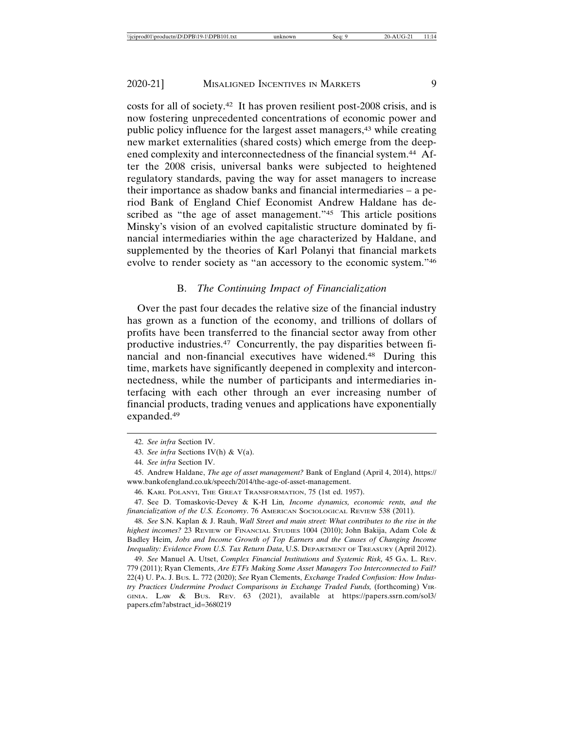costs for all of society.42 It has proven resilient post-2008 crisis, and is now fostering unprecedented concentrations of economic power and public policy influence for the largest asset managers,43 while creating new market externalities (shared costs) which emerge from the deepened complexity and interconnectedness of the financial system.44 After the 2008 crisis, universal banks were subjected to heightened regulatory standards, paving the way for asset managers to increase their importance as shadow banks and financial intermediaries – a period Bank of England Chief Economist Andrew Haldane has described as "the age of asset management."<sup>45</sup> This article positions Minsky's vision of an evolved capitalistic structure dominated by financial intermediaries within the age characterized by Haldane, and supplemented by the theories of Karl Polanyi that financial markets evolve to render society as "an accessory to the economic system."46

# B. *The Continuing Impact of Financialization*

Over the past four decades the relative size of the financial industry has grown as a function of the economy, and trillions of dollars of profits have been transferred to the financial sector away from other productive industries.47 Concurrently, the pay disparities between financial and non-financial executives have widened.48 During this time, markets have significantly deepened in complexity and interconnectedness, while the number of participants and intermediaries interfacing with each other through an ever increasing number of financial products, trading venues and applications have exponentially expanded.49

<sup>42.</sup> *See infra* Section IV.

<sup>43.</sup> *See infra* Sections IV(h) & V(a).

<sup>44.</sup> *See infra* Section IV.

<sup>45.</sup> Andrew Haldane, *The age of asset management?* Bank of England (April 4, 2014), https:// www.bankofengland.co.uk/speech/2014/the-age-of-asset-management.

<sup>46.</sup> KARL POLANYI, THE GREAT TRANSFORMATION, 75 (1st ed. 1957).

<sup>47.</sup> See D. Tomaskovic-Devey & K-H Lin*, Income dynamics, economic rents, and the financialization of the U.S. Economy*. 76 AMERICAN SOCIOLOGICAL REVIEW 538 (2011).

<sup>48.</sup> *See* S.N. Kaplan & J. Rauh, *Wall Street and main street: What contributes to the rise in the highest incomes?* 23 REVIEW OF FINANCIAL STUDIES 1004 (2010); John Bakija, Adam Cole & Badley Heim*, Jobs and Income Growth of Top Earners and the Causes of Changing Income Inequality: Evidence From U.S. Tax Return Data*, U.S. DEPARTMENT OF TREASURY (April 2012).

<sup>49.</sup> *See* Manuel A. Utset, *Complex Financial Institutions and Systemic Risk,* 45 GA. L. REV. 779 (2011); Ryan Clements, *Are ETFs Making Some Asset Managers Too Interconnected to Fail?* 22(4) U. PA. J. BUS. L. 772 (2020); *See* Ryan Clements, *Exchange Traded Confusion: How Industry Practices Undermine Product Comparisons in Exchange Traded Funds,* (forthcoming) VIR-GINIA. LAW & BUS. REV. 63 (2021), available at https://papers.ssrn.com/sol3/ papers.cfm?abstract\_id=3680219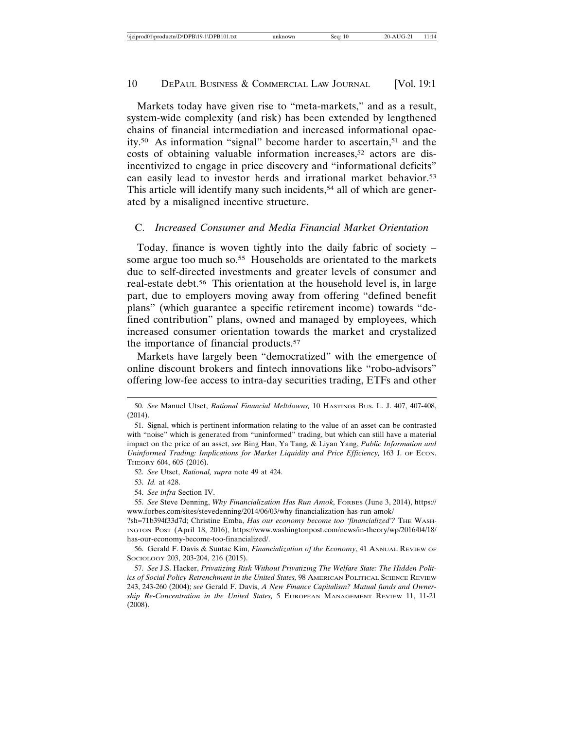Markets today have given rise to "meta-markets," and as a result, system-wide complexity (and risk) has been extended by lengthened chains of financial intermediation and increased informational opacity.50 As information "signal" become harder to ascertain,51 and the costs of obtaining valuable information increases,52 actors are disincentivized to engage in price discovery and "informational deficits" can easily lead to investor herds and irrational market behavior.53 This article will identify many such incidents,<sup>54</sup> all of which are generated by a misaligned incentive structure.

# C. *Increased Consumer and Media Financial Market Orientation*

Today, finance is woven tightly into the daily fabric of society – some argue too much so.<sup>55</sup> Households are orientated to the markets due to self-directed investments and greater levels of consumer and real-estate debt.56 This orientation at the household level is, in large part, due to employers moving away from offering "defined benefit plans" (which guarantee a specific retirement income) towards "defined contribution" plans, owned and managed by employees, which increased consumer orientation towards the market and crystalized the importance of financial products.57

Markets have largely been "democratized" with the emergence of online discount brokers and fintech innovations like "robo-advisors" offering low-fee access to intra-day securities trading, ETFs and other

<sup>50.</sup> *See* Manuel Utset, *Rational Financial Meltdowns,* 10 HASTINGS BUS. L. J. 407, 407-408, (2014).

<sup>51.</sup> Signal, which is pertinent information relating to the value of an asset can be contrasted with "noise" which is generated from "uninformed" trading, but which can still have a material impact on the price of an asset, *see* Bing Han, Ya Tang, & Liyan Yang, *Public Information and Uninformed Trading: Implications for Market Liquidity and Price Efficiency, 163 J. OF ECON.* THEORY 604, 605 (2016).

<sup>52.</sup> *See* Utset, *Rational, supra* note 49 at 424.

<sup>53.</sup> *Id.* at 428.

<sup>54.</sup> *See infra* Section IV.

<sup>55.</sup> *See* Steve Denning, *Why Financialization Has Run Amok,* FORBES (June 3, 2014), https:// www.forbes.com/sites/stevedenning/2014/06/03/why-financialization-has-run-amok/

<sup>?</sup>sh=71b394f33d7d; Christine Emba, *Has our economy become too 'financialized'?* THE WASH-INGTON POST (April 18, 2016), https://www.washingtonpost.com/news/in-theory/wp/2016/04/18/ has-our-economy-become-too-financialized/.

<sup>56.</sup> Gerald F. Davis & Suntae Kim, *Financialization of the Economy*, 41 ANNUAL REVIEW OF SOCIOLOGY 203, 203-204, 216 (2015).

<sup>57.</sup> *See* J.S. Hacker, *Privatizing Risk Without Privatizing The Welfare State: The Hidden Politics of Social Policy Retrenchment in the United States,* 98 AMERICAN POLITICAL SCIENCE REVIEW 243, 243-260 (2004); *see* Gerald F. Davis, *A New Finance Capitalism? Mutual funds and Ownership Re-Concentration in the United States,* 5 EUROPEAN MANAGEMENT REVIEW 11, 11-21 (2008).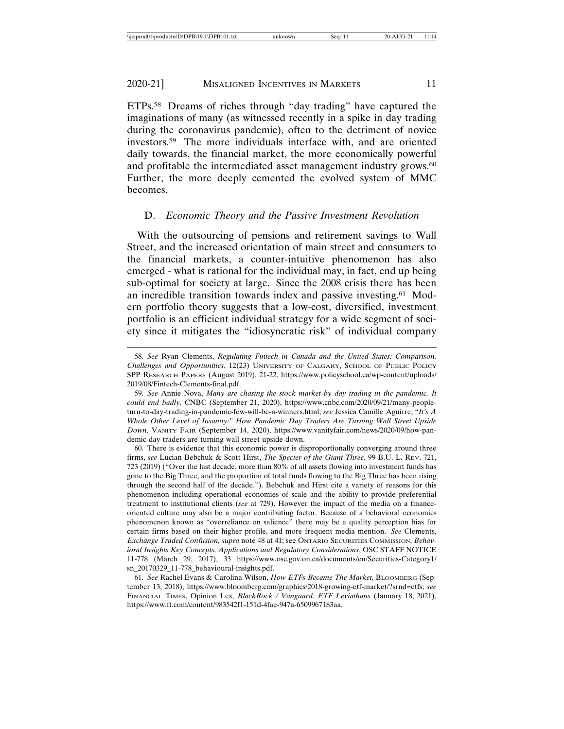ETPs.58 Dreams of riches through "day trading" have captured the imaginations of many (as witnessed recently in a spike in day trading during the coronavirus pandemic), often to the detriment of novice investors.59 The more individuals interface with, and are oriented daily towards, the financial market, the more economically powerful and profitable the intermediated asset management industry grows.<sup>60</sup> Further, the more deeply cemented the evolved system of MMC becomes.

#### D. *Economic Theory and the Passive Investment Revolution*

With the outsourcing of pensions and retirement savings to Wall Street, and the increased orientation of main street and consumers to the financial markets, a counter-intuitive phenomenon has also emerged - what is rational for the individual may, in fact, end up being sub-optimal for society at large. Since the 2008 crisis there has been an incredible transition towards index and passive investing.61 Modern portfolio theory suggests that a low-cost, diversified, investment portfolio is an efficient individual strategy for a wide segment of society since it mitigates the "idiosyncratic risk" of individual company

<sup>58.</sup> *See* Ryan Clements, *Regulating Fintech in Canada and the United States: Comparison, Challenges and Opportunities*, 12(23) UNIVERSITY OF CALGARY, SCHOOL OF PUBLIC POLICY SPP RESEARCH PAPERS (August 2019), 21-22, https://www.policyschool.ca/wp-content/uploads/ 2019/08/Fintech-Clements-final.pdf.

<sup>59.</sup> *See* Annie Nova, *Many are chasing the stock market by day trading in the pandemic. It could end badly,* CNBC (September 21, 2020), https://www.cnbc.com/2020/09/21/many-peopleturn-to-day-trading-in-pandemic-few-will-be-a-winners.html; *see* Jessica Camille Aguirre, "*It's A Whole Other Level of Insanity:" How Pandemic Day Traders Are Turning Wall Street Upside Down,* VANITY FAIR (September 14, 2020), https://www.vanityfair.com/news/2020/09/how-pandemic-day-traders-are-turning-wall-street-upside-down.

<sup>60.</sup> There is evidence that this economic power is disproportionally converging around three firms, *see* Lucian Bebchuk & Scott Hirst, *The Specter of the Giant Three*, 99 B.U. L. REV. 721, 723 (2019) ("Over the last decade, more than 80% of all assets flowing into investment funds has gone to the Big Three, and the proportion of total funds flowing to the Big Three has been rising through the second half of the decade."). Bebchuk and Hirst cite a variety of reasons for this phenomenon including operational economies of scale and the ability to provide preferential treatment to institutional clients (*see* at 729). However the impact of the media on a financeoriented culture may also be a major contributing factor. Because of a behavioral economics phenomenon known as "overreliance on salience" there may be a quality perception bias for certain firms based on their higher profile, and more frequent media mention. *See* Clements, *Exchange Traded Confusion, supra* note 48 at 41; see ONTARIO SECURITIES COMMISSION, *Behavioral Insights Key Concepts, Applications and Regulatory Considerations*, OSC STAFF NOTICE 11-778 (March 29, 2017), 33 https://www.osc.gov.on.ca/documents/en/Securities-Category1/ sn\_20170329\_11-778\_behavioural-insights.pdf.

<sup>61.</sup> *See* Rachel Evans & Carolina Wilson, *How ETFs Became The Market,* BLOOMBERG (September 13, 2018), https://www.bloomberg.com/graphics/2018-growing-etf-market/?srnd=etfs; *see* FINANCIAL TIMES, Opinion Lex, *BlackRock / Vanguard: ETF Leviathans* (January 18, 2021), https://www.ft.com/content/983542f1-151d-4fae-947a-6509967183aa.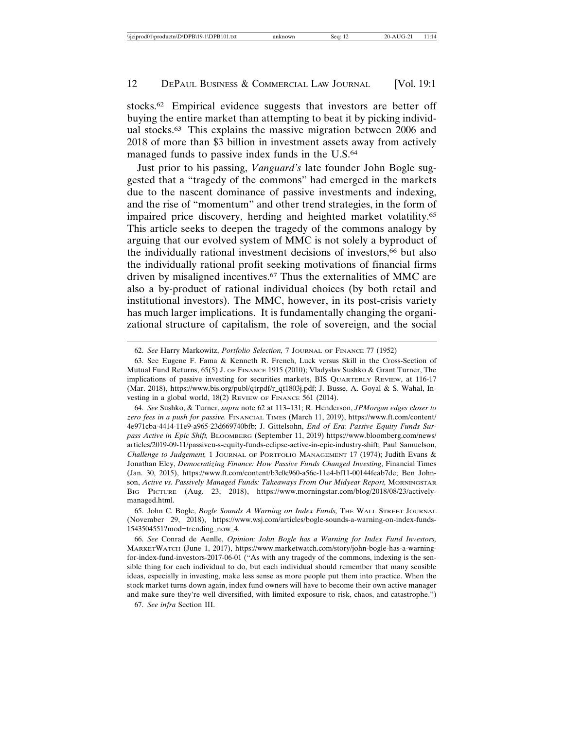stocks.62 Empirical evidence suggests that investors are better off buying the entire market than attempting to beat it by picking individual stocks.63 This explains the massive migration between 2006 and 2018 of more than \$3 billion in investment assets away from actively managed funds to passive index funds in the U.S.64

Just prior to his passing, *Vanguard's* late founder John Bogle suggested that a "tragedy of the commons" had emerged in the markets due to the nascent dominance of passive investments and indexing, and the rise of "momentum" and other trend strategies, in the form of impaired price discovery, herding and heighted market volatility.65 This article seeks to deepen the tragedy of the commons analogy by arguing that our evolved system of MMC is not solely a byproduct of the individually rational investment decisions of investors,<sup>66</sup> but also the individually rational profit seeking motivations of financial firms driven by misaligned incentives.67 Thus the externalities of MMC are also a by-product of rational individual choices (by both retail and institutional investors). The MMC, however, in its post-crisis variety has much larger implications. It is fundamentally changing the organizational structure of capitalism, the role of sovereign, and the social

<sup>62.</sup> *See* Harry Markowitz, *Portfolio Selection,* 7 JOURNAL OF FINANCE 77 (1952)

<sup>63.</sup> See Eugene F. Fama & Kenneth R. French, Luck versus Skill in the Cross-Section of Mutual Fund Returns, 65(5) J. OF FINANCE 1915 (2010); Vladyslav Sushko & Grant Turner, The implications of passive investing for securities markets, BIS QUARTERLY REVIEW, at 116-17 (Mar. 2018), https://www.bis.org/publ/qtrpdf/r\_qt1803j.pdf; J. Busse, A. Goyal & S. Wahal, Investing in a global world, 18(2) REVIEW OF FINANCE 561 (2014).

<sup>64.</sup> *See* Sushko, & Turner, *supra* note 62 at 113–131; R. Henderson, *JPMorgan edges closer to zero fees in a push for passive.* FINANCIAL TIMES (March 11, 2019), https://www.ft.com/content/ 4e971cba-4414-11e9-a965-23d669740bfb; J. Gittelsohn, *End of Era: Passive Equity Funds Surpass Active in Epic Shift,* BLOOMBERG (September 11, 2019) https://www.bloomberg.com/news/ articles/2019-09-11/passiveu-s-equity-funds-eclipse-active-in-epic-industry-shift; Paul Samuelson, *Challenge to Judgement,* 1 JOURNAL OF PORTFOLIO MANAGEMENT 17 (1974); Judith Evans & Jonathan Eley, *Democratizing Finance: How Passive Funds Changed Investing*, Financial Times (Jan. 30, 2015), https://www.ft.com/content/b3c0c960-a56c-11e4-bf11-00144feab7de; Ben Johnson, *Active vs. Passively Managed Funds: Takeaways From Our Midyear Report,* MORNINGSTAR BIG PICTURE (Aug. 23, 2018), https://www.morningstar.com/blog/2018/08/23/activelymanaged.html.

<sup>65.</sup> John C. Bogle, *Bogle Sounds A Warning on Index Funds,* THE WALL STREET JOURNAL (November 29, 2018), https://www.wsj.com/articles/bogle-sounds-a-warning-on-index-funds-1543504551?mod=trending\_now\_4.

<sup>66.</sup> *See* Conrad de Aenlle, *Opinion: John Bogle has a Warning for Index Fund Investors,* MARKETWATCH (June 1, 2017), https://www.marketwatch.com/story/john-bogle-has-a-warningfor-index-fund-investors-2017-06-01 ("As with any tragedy of the commons, indexing is the sensible thing for each individual to do, but each individual should remember that many sensible ideas, especially in investing, make less sense as more people put them into practice. When the stock market turns down again, index fund owners will have to become their own active manager and make sure they're well diversified, with limited exposure to risk, chaos, and catastrophe.")

<sup>67.</sup> *See infra* Section III.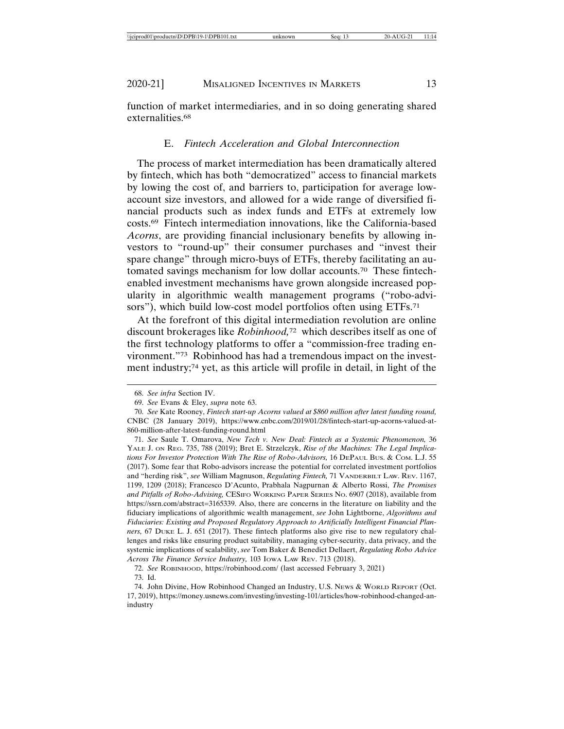function of market intermediaries, and in so doing generating shared externalities.<sup>68</sup>

# E. *Fintech Acceleration and Global Interconnection*

The process of market intermediation has been dramatically altered by fintech, which has both "democratized" access to financial markets by lowing the cost of, and barriers to, participation for average lowaccount size investors, and allowed for a wide range of diversified financial products such as index funds and ETFs at extremely low costs.69 Fintech intermediation innovations, like the California-based *Acorns*, are providing financial inclusionary benefits by allowing investors to "round-up" their consumer purchases and "invest their spare change" through micro-buys of ETFs, thereby facilitating an automated savings mechanism for low dollar accounts.70 These fintechenabled investment mechanisms have grown alongside increased popularity in algorithmic wealth management programs ("robo-advisors"), which build low-cost model portfolios often using ETFs.<sup>71</sup>

At the forefront of this digital intermediation revolution are online discount brokerages like *Robinhood,*72 which describes itself as one of the first technology platforms to offer a "commission-free trading environment."73 Robinhood has had a tremendous impact on the investment industry;74 yet, as this article will profile in detail, in light of the

<sup>68.</sup> *See infra* Section IV.

<sup>69.</sup> *See* Evans & Eley, *supra* note 63.

<sup>70.</sup> *See* Kate Rooney, *Fintech start-up Acorns valued at \$860 million after latest funding round,* CNBC (28 January 2019), https://www.cnbc.com/2019/01/28/fintech-start-up-acorns-valued-at-860-million-after-latest-funding-round.html

<sup>71.</sup> *See* Saule T. Omarova, *New Tech v. New Deal: Fintech as a Systemic Phenomenon,* 36 YALE J. ON REG. 735, 788 (2019); Bret E. Strzelczyk, *Rise of the Machines: The Legal Implications For Investor Protection With The Rise of Robo-Advisors,* 16 DEPAUL BUS. & COM. L.J. 55 (2017). Some fear that Robo-advisors increase the potential for correlated investment portfolios and "herding risk", *see* William Magnuson, *Regulating Fintech,* 71 VANDERBILT LAW. REV. 1167, 1199, 1209 (2018); Francesco D'Acunto, Prabhala Nagpurnan & Alberto Rossi, *The Promises and Pitfalls of Robo-Advising,* CESIFO WORKING PAPER SERIES NO. 6907 (2018), available from https://ssrn.com/abstract=3165339. Also, there are concerns in the literature on liability and the fiduciary implications of algorithmic wealth management, *see* John Lightborne, *Algorithms and Fiduciaries: Existing and Proposed Regulatory Approach to Artificially Intelligent Financial Planners,* 67 DUKE L. J. 651 (2017). These fintech platforms also give rise to new regulatory challenges and risks like ensuring product suitability, managing cyber-security, data privacy, and the systemic implications of scalability, *see* Tom Baker & Benedict Dellaert, *Regulating Robo Advice Across The Finance Service Industry,* 103 IOWA LAW REV. 713 (2018).

<sup>72.</sup> *See* ROBINHOOD, https://robinhood.com/ (last accessed February 3, 2021) 73. Id.

<sup>74.</sup> John Divine, How Robinhood Changed an Industry, U.S. NEWS & WORLD REPORT (Oct. 17, 2019), https://money.usnews.com/investing/investing-101/articles/how-robinhood-changed-anindustry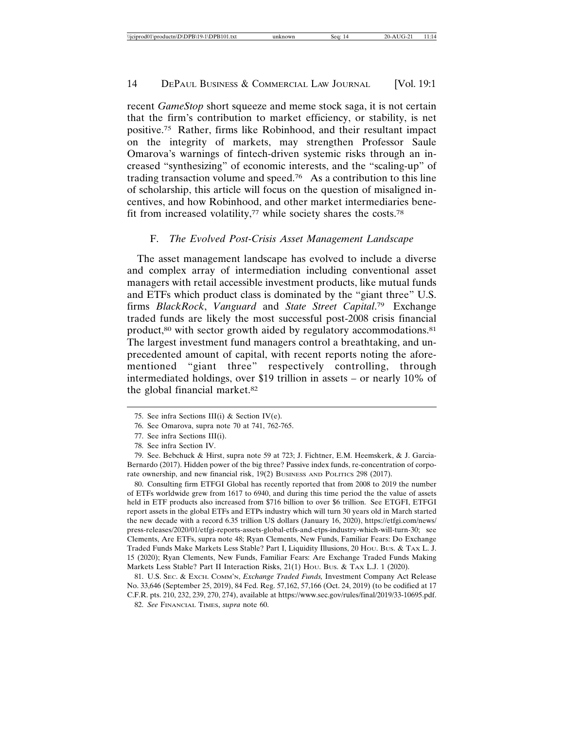recent *GameStop* short squeeze and meme stock saga, it is not certain that the firm's contribution to market efficiency, or stability, is net positive.75 Rather, firms like Robinhood, and their resultant impact on the integrity of markets, may strengthen Professor Saule Omarova's warnings of fintech-driven systemic risks through an increased "synthesizing" of economic interests, and the "scaling-up" of trading transaction volume and speed.<sup>76</sup> As a contribution to this line of scholarship, this article will focus on the question of misaligned incentives, and how Robinhood, and other market intermediaries benefit from increased volatility,77 while society shares the costs.78

# F. *The Evolved Post-Crisis Asset Management Landscape*

The asset management landscape has evolved to include a diverse and complex array of intermediation including conventional asset managers with retail accessible investment products, like mutual funds and ETFs which product class is dominated by the "giant three" U.S. firms *BlackRock*, *Vanguard* and *State Street Capital*. 79 Exchange traded funds are likely the most successful post-2008 crisis financial product,<sup>80</sup> with sector growth aided by regulatory accommodations.<sup>81</sup> The largest investment fund managers control a breathtaking, and unprecedented amount of capital, with recent reports noting the aforementioned "giant three" respectively controlling, through intermediated holdings, over \$19 trillion in assets – or nearly 10% of the global financial market.82

80. Consulting firm ETFGI Global has recently reported that from 2008 to 2019 the number of ETFs worldwide grew from 1617 to 6940, and during this time period the the value of assets held in ETF products also increased from \$716 billion to over \$6 trillion. See ETGFI, ETFGI report assets in the global ETFs and ETPs industry which will turn 30 years old in March started the new decade with a record 6.35 trillion US dollars (January 16, 2020), https://etfgi.com/news/ press-releases/2020/01/etfgi-reports-assets-global-etfs-and-etps-industry-which-will-turn-30; see Clements, Are ETFs, supra note 48; Ryan Clements, New Funds, Familiar Fears: Do Exchange Traded Funds Make Markets Less Stable? Part I, Liquidity Illusions, 20 Hou. Bus. & TAX L. J. 15 (2020); Ryan Clements, New Funds, Familiar Fears: Are Exchange Traded Funds Making Markets Less Stable? Part II Interaction Risks, 21(1) Hou. Bus. & TAX L.J. 1 (2020).

81. U.S. SEC. & EXCH. COMM'N, *Exchange Traded Funds,* Investment Company Act Release No. 33,646 (September 25, 2019), 84 Fed. Reg. 57,162, 57,166 (Oct. 24, 2019) (to be codified at 17 C.F.R. pts. 210, 232, 239, 270, 274), available at https://www.sec.gov/rules/final/2019/33-10695.pdf.

<sup>75.</sup> See infra Sections III(i) & Section IV(e).

<sup>76.</sup> See Omarova, supra note 70 at 741, 762-765.

<sup>77.</sup> See infra Sections III(i).

<sup>78.</sup> See infra Section IV.

<sup>79.</sup> See. Bebchuck & Hirst, supra note 59 at 723; J. Fichtner, E.M. Heemskerk, & J. Garcia-Bernardo (2017). Hidden power of the big three? Passive index funds, re-concentration of corporate ownership, and new financial risk, 19(2) BUSINESS AND POLITICS 298 (2017).

<sup>82.</sup> *See* FINANCIAL TIMES, *supra* note 60.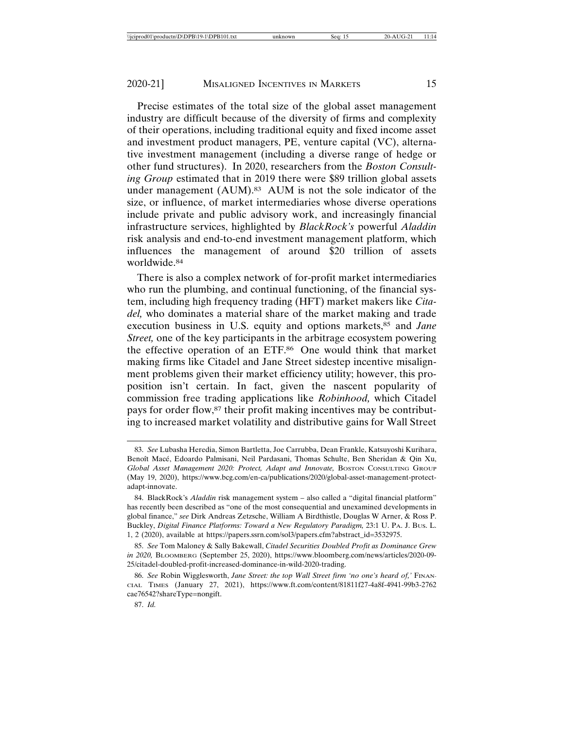Precise estimates of the total size of the global asset management industry are difficult because of the diversity of firms and complexity of their operations, including traditional equity and fixed income asset and investment product managers, PE, venture capital (VC), alternative investment management (including a diverse range of hedge or other fund structures). In 2020, researchers from the *Boston Consulting Group* estimated that in 2019 there were \$89 trillion global assets under management (AUM).<sup>83</sup> AUM is not the sole indicator of the size, or influence, of market intermediaries whose diverse operations include private and public advisory work, and increasingly financial infrastructure services, highlighted by *BlackRock's* powerful *Aladdin* risk analysis and end-to-end investment management platform, which influences the management of around \$20 trillion of assets worldwide.84

There is also a complex network of for-profit market intermediaries who run the plumbing, and continual functioning, of the financial system, including high frequency trading (HFT) market makers like *Citadel,* who dominates a material share of the market making and trade execution business in U.S. equity and options markets,85 and *Jane Street*, one of the key participants in the arbitrage ecosystem powering the effective operation of an ETF.86 One would think that market making firms like Citadel and Jane Street sidestep incentive misalignment problems given their market efficiency utility; however, this proposition isn't certain. In fact, given the nascent popularity of commission free trading applications like *Robinhood,* which Citadel pays for order flow,<sup>87</sup> their profit making incentives may be contributing to increased market volatility and distributive gains for Wall Street

<sup>83.</sup> *See* Lubasha Heredia, Simon Bartletta, Joe Carrubba, Dean Frankle, Katsuyoshi Kurihara, Benoît Macé, Edoardo Palmisani, Neil Pardasani, Thomas Schulte, Ben Sheridan & Qin Xu, Global Asset Management 2020: Protect, Adapt and Innovate, BOSTON CONSULTING GROUP (May 19, 2020), https://www.bcg.com/en-ca/publications/2020/global-asset-management-protectadapt-innovate.

<sup>84.</sup> BlackRock's *Aladdin* risk management system – also called a "digital financial platform" has recently been described as "one of the most consequential and unexamined developments in global finance," *see* Dirk Andreas Zetzsche, William A Birdthistle, Douglas W Arner, & Ross P. Buckley, *Digital Finance Platforms: Toward a New Regulatory Paradigm,* 23:1 U. PA. J. BUS. L. 1, 2 (2020), available at https://papers.ssrn.com/sol3/papers.cfm?abstract\_id=3532975.

<sup>85.</sup> *See* Tom Maloney & Sally Bakewall, *Citadel Securities Doubled Profit as Dominance Grew in 2020,* BLOOMBERG (September 25, 2020), https://www.bloomberg.com/news/articles/2020-09- 25/citadel-doubled-profit-increased-dominance-in-wild-2020-trading.

<sup>86.</sup> See Robin Wigglesworth, *Jane Street: the top Wall Street firm 'no one's heard of,'* FINAN-CIAL TIMES (January 27, 2021), https://www.ft.com/content/81811f27-4a8f-4941-99b3-2762 cae76542?shareType=nongift.

<sup>87.</sup> *Id.*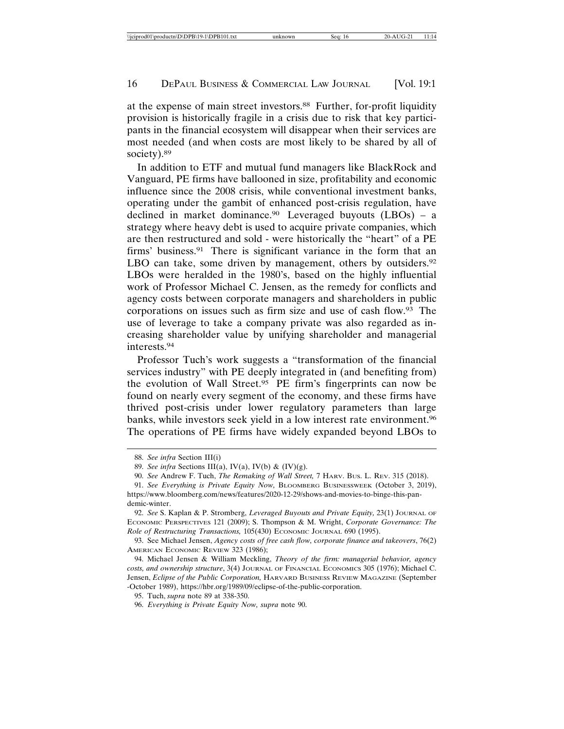at the expense of main street investors.88 Further, for-profit liquidity provision is historically fragile in a crisis due to risk that key participants in the financial ecosystem will disappear when their services are most needed (and when costs are most likely to be shared by all of society).<sup>89</sup>

In addition to ETF and mutual fund managers like BlackRock and Vanguard, PE firms have ballooned in size, profitability and economic influence since the 2008 crisis, while conventional investment banks, operating under the gambit of enhanced post-crisis regulation, have declined in market dominance.90 Leveraged buyouts (LBOs) – a strategy where heavy debt is used to acquire private companies, which are then restructured and sold - were historically the "heart" of a PE firms' business.91 There is significant variance in the form that an LBO can take, some driven by management, others by outsiders.<sup>92</sup> LBOs were heralded in the 1980's, based on the highly influential work of Professor Michael C. Jensen, as the remedy for conflicts and agency costs between corporate managers and shareholders in public corporations on issues such as firm size and use of cash flow.93 The use of leverage to take a company private was also regarded as increasing shareholder value by unifying shareholder and managerial interests.94

Professor Tuch's work suggests a "transformation of the financial services industry" with PE deeply integrated in (and benefiting from) the evolution of Wall Street.95 PE firm's fingerprints can now be found on nearly every segment of the economy, and these firms have thrived post-crisis under lower regulatory parameters than large banks, while investors seek yield in a low interest rate environment.96 The operations of PE firms have widely expanded beyond LBOs to

<sup>88.</sup> *See infra* Section III(i)

<sup>89.</sup> *See infra* Sections III(a), IV(a), IV(b) & (IV)(g).

<sup>90.</sup> *See* Andrew F. Tuch, *The Remaking of Wall Street,* 7 HARV. BUS. L. REV. 315 (2018).

<sup>91.</sup> *See Everything is Private Equity Now,* BLOOMBERG BUSINESSWEEK (October 3, 2019), https://www.bloomberg.com/news/features/2020-12-29/shows-and-movies-to-binge-this-pandemic-winter.

<sup>92.</sup> *See* S. Kaplan & P. Stromberg, *Leveraged Buyouts and Private Equity,* 23(1) JOURNAL OF ECONOMIC PERSPECTIVES 121 (2009); S. Thompson & M. Wright, *Corporate Governance: The Role of Restructuring Transactions,* 105(430) ECONOMIC JOURNAL 690 (1995).

<sup>93.</sup> See Michael Jensen, *Agency costs of free cash flow, corporate finance and takeovers*, 76(2) AMERICAN ECONOMIC REVIEW 323 (1986);

<sup>94.</sup> Michael Jensen & William Meckling, *Theory of the firm: managerial behavior, agency costs, and ownership structure*, 3(4) JOURNAL OF FINANCIAL ECONOMICS 305 (1976); Michael C. Jensen, *Eclipse of the Public Corporation,* HARVARD BUSINESS REVIEW MAGAZINE (September -October 1989), https://hbr.org/1989/09/eclipse-of-the-public-corporation.

<sup>95.</sup> Tuch, *supra* note 89 at 338-350.

<sup>96.</sup> *Everything is Private Equity Now, supra* note 90.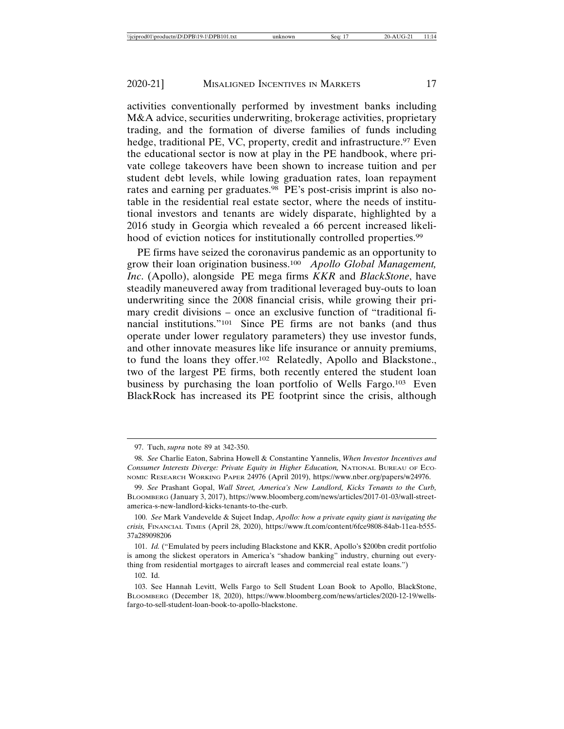activities conventionally performed by investment banks including M&A advice, securities underwriting, brokerage activities, proprietary trading, and the formation of diverse families of funds including hedge, traditional PE, VC, property, credit and infrastructure.<sup>97</sup> Even the educational sector is now at play in the PE handbook, where private college takeovers have been shown to increase tuition and per student debt levels, while lowing graduation rates, loan repayment rates and earning per graduates.98 PE's post-crisis imprint is also notable in the residential real estate sector, where the needs of institutional investors and tenants are widely disparate, highlighted by a 2016 study in Georgia which revealed a 66 percent increased likelihood of eviction notices for institutionally controlled properties.<sup>99</sup>

PE firms have seized the coronavirus pandemic as an opportunity to grow their loan origination business.100 *Apollo Global Management, Inc*. (Apollo), alongside PE mega firms *KKR* and *BlackStone*, have steadily maneuvered away from traditional leveraged buy-outs to loan underwriting since the 2008 financial crisis, while growing their primary credit divisions – once an exclusive function of "traditional financial institutions."101 Since PE firms are not banks (and thus operate under lower regulatory parameters) they use investor funds, and other innovate measures like life insurance or annuity premiums, to fund the loans they offer.102 Relatedly, Apollo and Blackstone., two of the largest PE firms, both recently entered the student loan business by purchasing the loan portfolio of Wells Fargo.103 Even BlackRock has increased its PE footprint since the crisis, although

<sup>97.</sup> Tuch, *supra* note 89 at 342-350.

<sup>98.</sup> *See* Charlie Eaton, Sabrina Howell & Constantine Yannelis, *When Investor Incentives and Consumer Interests Diverge: Private Equity in Higher Education, NATIONAL BUREAU OF ECO-*NOMIC RESEARCH WORKING PAPER 24976 (April 2019), https://www.nber.org/papers/w24976.

<sup>99.</sup> *See* Prashant Gopal, *Wall Street, America's New Landlord, Kicks Tenants to the Curb,* BLOOMBERG (January 3, 2017), https://www.bloomberg.com/news/articles/2017-01-03/wall-streetamerica-s-new-landlord-kicks-tenants-to-the-curb.

<sup>100.</sup> *See* Mark Vandevelde & Sujeet Indap, *Apollo: how a private equity giant is navigating the crisis,* FINANCIAL TIMES (April 28, 2020), https://www.ft.com/content/6fce9808-84ab-11ea-b555- 37a289098206

<sup>101.</sup> *Id.* ("Emulated by peers including Blackstone and KKR, Apollo's \$200bn credit portfolio is among the slickest operators in America's "shadow banking" industry, churning out everything from residential mortgages to aircraft leases and commercial real estate loans.")

<sup>102.</sup> Id.

<sup>103.</sup> See Hannah Levitt, Wells Fargo to Sell Student Loan Book to Apollo, BlackStone, BLOOMBERG (December 18, 2020), https://www.bloomberg.com/news/articles/2020-12-19/wellsfargo-to-sell-student-loan-book-to-apollo-blackstone.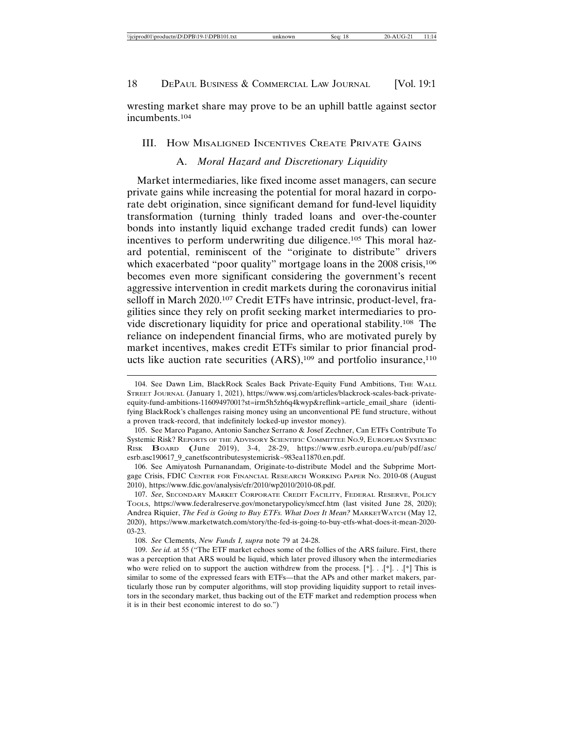wresting market share may prove to be an uphill battle against sector incumbents.104

#### III. HOW MISALIGNED INCENTIVES CREATE PRIVATE GAINS

# A. *Moral Hazard and Discretionary Liquidity*

Market intermediaries, like fixed income asset managers, can secure private gains while increasing the potential for moral hazard in corporate debt origination, since significant demand for fund-level liquidity transformation (turning thinly traded loans and over-the-counter bonds into instantly liquid exchange traded credit funds) can lower incentives to perform underwriting due diligence.<sup>105</sup> This moral hazard potential, reminiscent of the "originate to distribute" drivers which exacerbated "poor quality" mortgage loans in the 2008 crisis,<sup>106</sup> becomes even more significant considering the government's recent aggressive intervention in credit markets during the coronavirus initial selloff in March 2020.107 Credit ETFs have intrinsic, product-level, fragilities since they rely on profit seeking market intermediaries to provide discretionary liquidity for price and operational stability.108 The reliance on independent financial firms, who are motivated purely by market incentives, makes credit ETFs similar to prior financial products like auction rate securities  $(ARS)$ ,<sup>109</sup> and portfolio insurance,<sup>110</sup>

<sup>104.</sup> See Dawn Lim, BlackRock Scales Back Private-Equity Fund Ambitions, THE WALL STREET JOURNAL (January 1, 2021), https://www.wsj.com/articles/blackrock-scales-back-privateequity-fund-ambitions-11609497001?st=irm5h5zh6q4kwyp&reflink=article\_email\_share (identifying BlackRock's challenges raising money using an unconventional PE fund structure, without a proven track-record, that indefinitely locked-up investor money).

<sup>105.</sup> See Marco Pagano, Antonio Sanchez Serrano & Josef Zechner, Can ETFs Contribute To Systemic Risk? REPORTS OF THE ADVISORY SCIENTIFIC COMMITTEE NO.9, EUROPEAN SYSTEMIC RISK BOARD (June 2019), 3-4, 28-29, https://www.esrb.europa.eu/pub/pdf/asc/ esrb.asc190617\_9\_canetfscontributesystemicrisk~983ea11870.en.pdf.

<sup>106.</sup> See Amiyatosh Purnanandam, Originate-to-distribute Model and the Subprime Mortgage Crisis, FDIC CENTER FOR FINANCIAL RESEARCH WORKING PAPER NO. 2010-08 (August 2010), https://www.fdic.gov/analysis/cfr/2010/wp2010/2010-08.pdf.

<sup>107.</sup> *See*, SECONDARY MARKET CORPORATE CREDIT FACILITY, FEDERAL RESERVE, POLICY TOOLS, https://www.federalreserve.gov/monetarypolicy/smccf.htm (last visited June 28, 2020); Andrea Riquier, *The Fed is Going to Buy ETFs. What Does It Mean?* MARKETWATCH (May 12, 2020), https://www.marketwatch.com/story/the-fed-is-going-to-buy-etfs-what-does-it-mean-2020- 03-23.

<sup>108.</sup> *See* Clements, *New Funds I, supra* note 79 at 24-28.

<sup>109.</sup> *See id.* at 55 ("The ETF market echoes some of the follies of the ARS failure. First, there was a perception that ARS would be liquid, which later proved illusory when the intermediaries who were relied on to support the auction withdrew from the process.  $[*]$ . .  $[*]$ . .  $[*]$ . This is similar to some of the expressed fears with ETFs—that the APs and other market makers, particularly those run by computer algorithms, will stop providing liquidity support to retail investors in the secondary market, thus backing out of the ETF market and redemption process when it is in their best economic interest to do so.")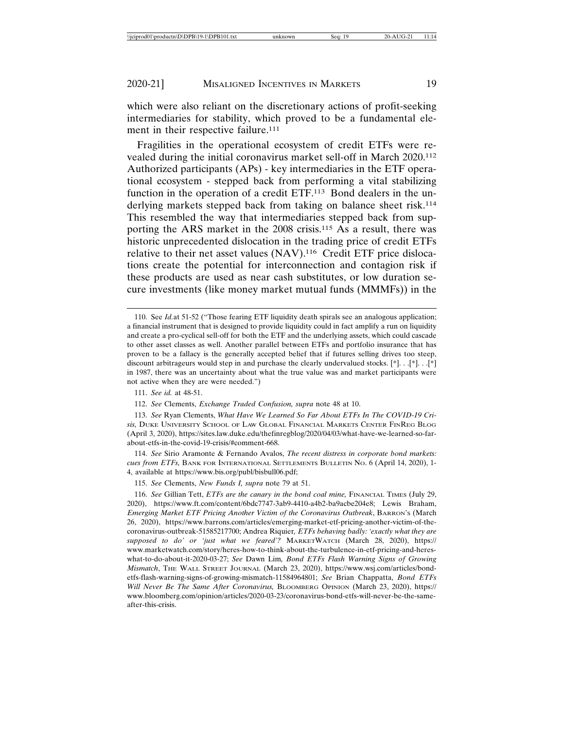which were also reliant on the discretionary actions of profit-seeking intermediaries for stability, which proved to be a fundamental element in their respective failure.<sup>111</sup>

Fragilities in the operational ecosystem of credit ETFs were revealed during the initial coronavirus market sell-off in March 2020.112 Authorized participants (APs) - key intermediaries in the ETF operational ecosystem - stepped back from performing a vital stabilizing function in the operation of a credit ETF.<sup>113</sup> Bond dealers in the underlying markets stepped back from taking on balance sheet risk.<sup>114</sup> This resembled the way that intermediaries stepped back from supporting the ARS market in the 2008 crisis.115 As a result, there was historic unprecedented dislocation in the trading price of credit ETFs relative to their net asset values (NAV).116 Credit ETF price dislocations create the potential for interconnection and contagion risk if these products are used as near cash substitutes, or low duration secure investments (like money market mutual funds (MMMFs)) in the

115. *See* Clements, *New Funds I, supra* note 79 at 51.

<sup>110.</sup> See *Id.*at 51-52 ("Those fearing ETF liquidity death spirals see an analogous application; a financial instrument that is designed to provide liquidity could in fact amplify a run on liquidity and create a pro-cyclical sell-off for both the ETF and the underlying assets, which could cascade to other asset classes as well. Another parallel between ETFs and portfolio insurance that has proven to be a fallacy is the generally accepted belief that if futures selling drives too steep, discount arbitrageurs would step in and purchase the clearly undervalued stocks. [\*]. . .[\*]. . .[\*] in 1987, there was an uncertainty about what the true value was and market participants were not active when they are were needed.")

<sup>111.</sup> *See id.* at 48-51.

<sup>112.</sup> *See* Clements, *Exchange Traded Confusion, supra* note 48 at 10.

<sup>113.</sup> *See* Ryan Clements, *What Have We Learned So Far About ETFs In The COVID-19 Crisis,* DUKE UNIVERSITY SCHOOL OF LAW GLOBAL FINANCIAL MARKETS CENTER FINREG BLOG (April 3, 2020), https://sites.law.duke.edu/thefinregblog/2020/04/03/what-have-we-learned-so-farabout-etfs-in-the-covid-19-crisis/#comment-668.

<sup>114.</sup> *See* Sirio Aramonte & Fernando Avalos, *The recent distress in corporate bond markets: cues from ETFs,* BANK FOR INTERNATIONAL SETTLEMENTS BULLETIN NO. 6 (April 14, 2020), 1- 4, available at https://www.bis.org/publ/bisbull06.pdf;

<sup>116.</sup> See Gillian Tett, *ETFs are the canary in the bond coal mine*, FINANCIAL TIMES (July 29, 2020), https://www.ft.com/content/6bdc7747-3ab9-4410-a4b2-ba9acbe204e8; Lewis Braham, *Emerging Market ETF Pricing Another Victim of the Coronavirus Outbreak*, BARRON'S (March 26, 2020), https://www.barrons.com/articles/emerging-market-etf-pricing-another-victim-of-thecoronavirus-outbreak-51585217700; Andrea Riquier*, ETFs behaving badly: 'exactly what they are supposed to do' or 'just what we feared'?* MARKETWATCH (March 28, 2020), https:// www.marketwatch.com/story/heres-how-to-think-about-the-turbulence-in-etf-pricing-and-hereswhat-to-do-about-it-2020-03-27; *See* Dawn Lim*, Bond ETFs Flash Warning Signs of Growing Mismatch*, THE WALL STREET JOURNAL (March 23, 2020), https://www.wsj.com/articles/bondetfs-flash-warning-signs-of-growing-mismatch-11584964801; *See* Brian Chappatta, *Bond ETFs Will Never Be The Same After Coronavirus,* BLOOMBERG OPINION (March 23, 2020), https:// www.bloomberg.com/opinion/articles/2020-03-23/coronavirus-bond-etfs-will-never-be-the-sameafter-this-crisis.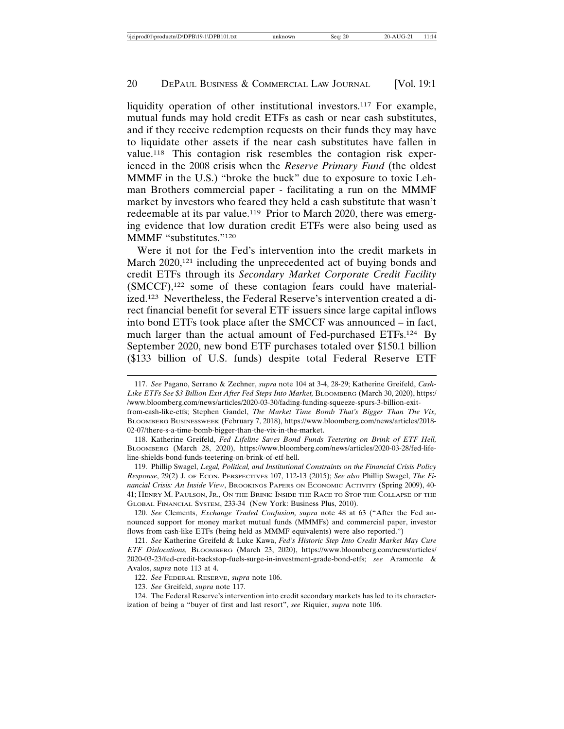liquidity operation of other institutional investors.<sup>117</sup> For example, mutual funds may hold credit ETFs as cash or near cash substitutes, and if they receive redemption requests on their funds they may have to liquidate other assets if the near cash substitutes have fallen in value.118 This contagion risk resembles the contagion risk experienced in the 2008 crisis when the *Reserve Primary Fund* (the oldest MMMF in the U.S.) "broke the buck" due to exposure to toxic Lehman Brothers commercial paper - facilitating a run on the MMMF market by investors who feared they held a cash substitute that wasn't redeemable at its par value.<sup>119</sup> Prior to March 2020, there was emerging evidence that low duration credit ETFs were also being used as MMMF "substitutes."120

Were it not for the Fed's intervention into the credit markets in March 2020,<sup>121</sup> including the unprecedented act of buying bonds and credit ETFs through its *Secondary Market Corporate Credit Facility* (SMCCF),122 some of these contagion fears could have materialized.123 Nevertheless, the Federal Reserve's intervention created a direct financial benefit for several ETF issuers since large capital inflows into bond ETFs took place after the SMCCF was announced – in fact, much larger than the actual amount of Fed-purchased ETFs.124 By September 2020, new bond ETF purchases totaled over \$150.1 billion (\$133 billion of U.S. funds) despite total Federal Reserve ETF

119. Phillip Swagel, *Legal, Political, and Institutional Constraints on the Financial Crisis Policy Response*, 29(2) J. OF ECON. PERSPECTIVES 107, 112-13 (2015); *See also* Phillip Swagel, *The Financial Crisis: An Inside View*, BROOKINGS PAPERS ON ECONOMIC ACTIVITY (Spring 2009), 40- 41; HENRY M. PAULSON, JR., ON THE BRINK: INSIDE THE RACE TO STOP THE COLLAPSE OF THE GLOBAL FINANCIAL SYSTEM, 233-34 (New York: Business Plus, 2010).

120. *See* Clements, *Exchange Traded Confusion, supra* note 48 at 63 ("After the Fed announced support for money market mutual funds (MMMFs) and commercial paper, investor flows from cash-like ETFs (being held as MMMF equivalents) were also reported.")

121. *See* Katherine Greifeld & Luke Kawa, *Fed's Historic Step Into Credit Market May Cure ETF Dislocations,* BLOOMBERG (March 23, 2020), https://www.bloomberg.com/news/articles/ 2020-03-23/fed-credit-backstop-fuels-surge-in-investment-grade-bond-etfs; *see* Aramonte & Avalos, *supra* note 113 at 4.

122. *See* FEDERAL RESERVE, *supra* note 106.

<sup>117.</sup> *See* Pagano, Serrano & Zechner, *supra* note 104 at 3-4, 28-29; Katherine Greifeld, *Cash-Like ETFs See \$3 Billion Exit After Fed Steps Into Market,* BLOOMBERG (March 30, 2020), https:/ /www.bloomberg.com/news/articles/2020-03-30/fading-funding-squeeze-spurs-3-billion-exitfrom-cash-like-etfs; Stephen Gandel, *The Market Time Bomb That's Bigger Than The Vix,*

BLOOMBERG BUSINESSWEEK (February 7, 2018), https://www.bloomberg.com/news/articles/2018- 02-07/there-s-a-time-bomb-bigger-than-the-vix-in-the-market.

<sup>118.</sup> Katherine Greifeld, *Fed Lifeline Saves Bond Funds Teetering on Brink of ETF Hell,* BLOOMBERG (March 28, 2020), https://www.bloomberg.com/news/articles/2020-03-28/fed-lifeline-shields-bond-funds-teetering-on-brink-of-etf-hell.

<sup>123.</sup> *See* Greifeld, *supra* note 117.

<sup>124.</sup> The Federal Reserve's intervention into credit secondary markets has led to its characterization of being a "buyer of first and last resort", *see* Riquier, *supra* note 106.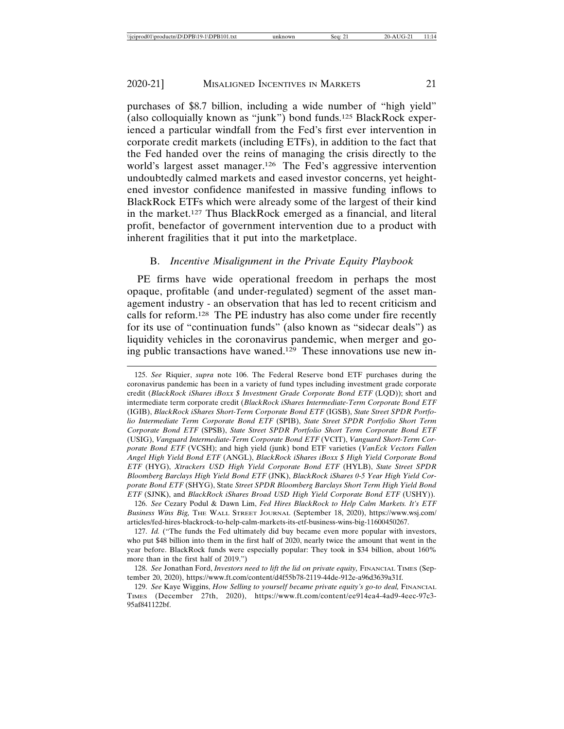purchases of \$8.7 billion, including a wide number of "high yield" (also colloquially known as "junk") bond funds.125 BlackRock experienced a particular windfall from the Fed's first ever intervention in corporate credit markets (including ETFs), in addition to the fact that the Fed handed over the reins of managing the crisis directly to the world's largest asset manager.<sup>126</sup> The Fed's aggressive intervention undoubtedly calmed markets and eased investor concerns, yet heightened investor confidence manifested in massive funding inflows to BlackRock ETFs which were already some of the largest of their kind in the market.127 Thus BlackRock emerged as a financial, and literal profit, benefactor of government intervention due to a product with inherent fragilities that it put into the marketplace.

#### B. *Incentive Misalignment in the Private Equity Playbook*

PE firms have wide operational freedom in perhaps the most opaque, profitable (and under-regulated) segment of the asset management industry - an observation that has led to recent criticism and calls for reform.128 The PE industry has also come under fire recently for its use of "continuation funds" (also known as "sidecar deals") as liquidity vehicles in the coronavirus pandemic, when merger and going public transactions have waned.129 These innovations use new in-

<sup>125.</sup> *See* Riquier, *supra* note 106. The Federal Reserve bond ETF purchases during the coronavirus pandemic has been in a variety of fund types including investment grade corporate credit (*BlackRock iShares iBoxx \$ Investment Grade Corporate Bond ETF* (LQD)); short and intermediate term corporate credit (*BlackRock iShares Intermediate-Term Corporate Bond ETF* (IGIB), *BlackRock iShares Short-Term Corporate Bond ETF* (IGSB), *State Street SPDR Portfolio Intermediate Term Corporate Bond ETF* (SPIB), *State Street SPDR Portfolio Short Term Corporate Bond ETF* (SPSB), *State Street SPDR Portfolio Short Term Corporate Bond ETF* (USIG), *Vanguard Intermediate-Term Corporate Bond ETF* (VCIT), *Vanguard Short-Term Corporate Bond ETF* (VCSH); and high yield (junk) bond ETF varieties (*VanEck Vectors Fallen Angel High Yield Bond ETF* (ANGL), *BlackRock iShares iBoxx \$ High Yield Corporate Bond ETF* (HYG), *Xtrackers USD High Yield Corporate Bond ETF* (HYLB), *State Street SPDR Bloomberg Barclays High Yield Bond ETF* (JNK), *BlackRock iShares 0-5 Year High Yield Corporate Bond ETF* (SHYG), State *Street SPDR Bloomberg Barclays Short Term High Yield Bond ETF* (SJNK), and *BlackRock iShares Broad USD High Yield Corporate Bond ETF* (USHY)).

<sup>126.</sup> *See* Cezary Podul & Dawn Lim, *Fed Hires BlackRock to Help Calm Markets. It's ETF Business Wins Big,* THE WALL STREET JOURNAL (September 18, 2020), https://www.wsj.com/ articles/fed-hires-blackrock-to-help-calm-markets-its-etf-business-wins-big-11600450267.

<sup>127.</sup> *Id.* ("The funds the Fed ultimately did buy became even more popular with investors, who put \$48 billion into them in the first half of 2020, nearly twice the amount that went in the year before. BlackRock funds were especially popular: They took in \$34 billion, about 160% more than in the first half of 2019.")

<sup>128.</sup> See Jonathan Ford, *Investors need to lift the lid on private equity*, FINANCIAL TIMES (September 20, 2020), https://www.ft.com/content/d4f55b78-2119-44de-912e-a96d3639a31f.

<sup>129.</sup> See Kaye Wiggins, *How Selling to yourself became private equity's go-to deal*, FINANCIAL TIMES (December 27th, 2020), https://www.ft.com/content/ee914ea4-4ad9-4eec-97c3- 95af841122bf.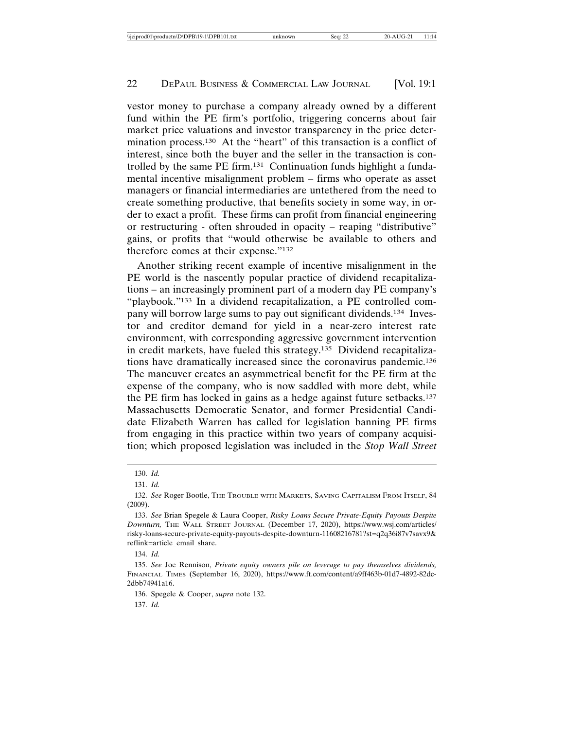vestor money to purchase a company already owned by a different fund within the PE firm's portfolio, triggering concerns about fair market price valuations and investor transparency in the price determination process.130 At the "heart" of this transaction is a conflict of interest, since both the buyer and the seller in the transaction is controlled by the same PE firm.131 Continuation funds highlight a fundamental incentive misalignment problem – firms who operate as asset managers or financial intermediaries are untethered from the need to create something productive, that benefits society in some way, in order to exact a profit. These firms can profit from financial engineering or restructuring - often shrouded in opacity – reaping "distributive" gains, or profits that "would otherwise be available to others and therefore comes at their expense."132

Another striking recent example of incentive misalignment in the PE world is the nascently popular practice of dividend recapitalizations – an increasingly prominent part of a modern day PE company's "playbook."133 In a dividend recapitalization, a PE controlled company will borrow large sums to pay out significant dividends.134 Investor and creditor demand for yield in a near-zero interest rate environment, with corresponding aggressive government intervention in credit markets, have fueled this strategy.135 Dividend recapitalizations have dramatically increased since the coronavirus pandemic.136 The maneuver creates an asymmetrical benefit for the PE firm at the expense of the company, who is now saddled with more debt, while the PE firm has locked in gains as a hedge against future setbacks.137 Massachusetts Democratic Senator, and former Presidential Candidate Elizabeth Warren has called for legislation banning PE firms from engaging in this practice within two years of company acquisition; which proposed legislation was included in the *Stop Wall Street*

136. Spegele & Cooper, *supra* note 132.

137. *Id.*

<sup>130.</sup> *Id.*

<sup>131.</sup> *Id.*

<sup>132.</sup> *See* Roger Bootle, THE TROUBLE WITH MARKETS, SAVING CAPITALISM FROM ITSELF, 84 (2009).

<sup>133.</sup> *See* Brian Spegele & Laura Cooper, *Risky Loans Secure Private-Equity Payouts Despite Downturn,* THE WALL STREET JOURNAL (December 17, 2020), https://www.wsj.com/articles/ risky-loans-secure-private-equity-payouts-despite-downturn-11608216781?st=q2q36i87v7savx9& reflink=article\_email\_share.

<sup>134.</sup> *Id.*

<sup>135.</sup> *See* Joe Rennison, *Private equity owners pile on leverage to pay themselves dividends,* FINANCIAL TIMES (September 16, 2020), https://www.ft.com/content/a9ff463b-01d7-4892-82dc-2dbb74941a16.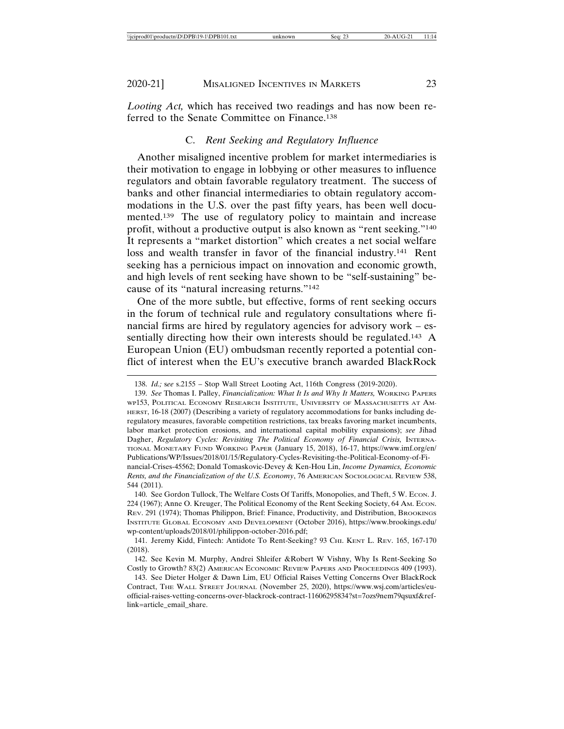*Looting Act,* which has received two readings and has now been referred to the Senate Committee on Finance.138

# C. *Rent Seeking and Regulatory Influence*

Another misaligned incentive problem for market intermediaries is their motivation to engage in lobbying or other measures to influence regulators and obtain favorable regulatory treatment. The success of banks and other financial intermediaries to obtain regulatory accommodations in the U.S. over the past fifty years, has been well documented.139 The use of regulatory policy to maintain and increase profit, without a productive output is also known as "rent seeking."140 It represents a "market distortion" which creates a net social welfare loss and wealth transfer in favor of the financial industry.141 Rent seeking has a pernicious impact on innovation and economic growth, and high levels of rent seeking have shown to be "self-sustaining" because of its "natural increasing returns."142

One of the more subtle, but effective, forms of rent seeking occurs in the forum of technical rule and regulatory consultations where financial firms are hired by regulatory agencies for advisory work – essentially directing how their own interests should be regulated.<sup>143</sup> A European Union (EU) ombudsman recently reported a potential conflict of interest when the EU's executive branch awarded BlackRock

<sup>138.</sup> *Id.;* s*ee* s.2155 – Stop Wall Street Looting Act, 116th Congress (2019-2020).

<sup>139.</sup> *See* Thomas I. Palley, *Financialization: What It Is and Why It Matters,* WORKING PAPERS WP153, POLITICAL ECONOMY RESEARCH INSTITUTE, UNIVERSITY OF MASSACHUSETTS AT AM-HERST, 16-18 (2007) (Describing a variety of regulatory accommodations for banks including deregulatory measures, favorable competition restrictions, tax breaks favoring market incumbents, labor market protection erosions, and international capital mobility expansions); *see* Jihad Dagher, *Regulatory Cycles: Revisiting The Political Economy of Financial Crisis,* INTERNA-TIONAL MONETARY FUND WORKING PAPER (January 15, 2018), 16-17, https://www.imf.org/en/ Publications/WP/Issues/2018/01/15/Regulatory-Cycles-Revisiting-the-Political-Economy-of-Financial-Crises-45562; Donald Tomaskovic-Devey & Ken-Hou Lin, *Income Dynamics, Economic*

*Rents, and the Financialization of the U.S. Economy*, 76 AMERICAN SOCIOLOGICAL REVIEW 538, 544 (2011).

<sup>140.</sup> See Gordon Tullock, The Welfare Costs Of Tariffs, Monopolies, and Theft, 5 W. ECON. J. 224 (1967); Anne O. Kreuger, The Political Economy of the Rent Seeking Society, 64 AM. ECON. REV. 291 (1974); Thomas Philippon, Brief: Finance, Productivity, and Distribution, BROOKINGS INSTITUTE GLOBAL ECONOMY AND DEVELOPMENT (October 2016), https://www.brookings.edu/ wp-content/uploads/2018/01/philippon-october-2016.pdf;

<sup>141.</sup> Jeremy Kidd, Fintech: Antidote To Rent-Seeking? 93 CHI. KENT L. REV. 165, 167-170 (2018).

<sup>142.</sup> See Kevin M. Murphy, Andrei Shleifer &Robert W Vishny, Why Is Rent-Seeking So Costly to Growth? 83(2) AMERICAN ECONOMIC REVIEW PAPERS AND PROCEEDINGS 409 (1993).

<sup>143.</sup> See Dieter Holger & Dawn Lim, EU Official Raises Vetting Concerns Over BlackRock Contract, THE WALL STREET JOURNAL (November 25, 2020), https://www.wsj.com/articles/euofficial-raises-vetting-concerns-over-blackrock-contract-11606295834?st=7ozs9nem79qsuxf&reflink=article\_email\_share.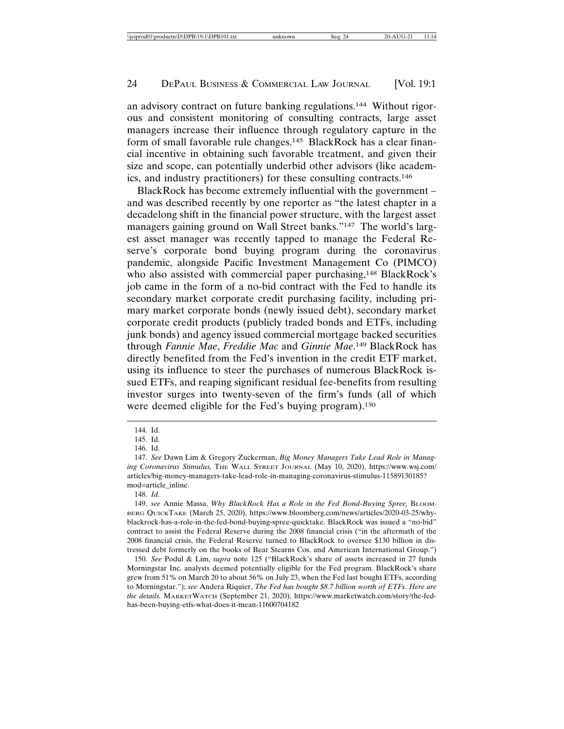an advisory contract on future banking regulations.144 Without rigorous and consistent monitoring of consulting contracts, large asset managers increase their influence through regulatory capture in the form of small favorable rule changes.145 BlackRock has a clear financial incentive in obtaining such favorable treatment, and given their size and scope, can potentially underbid other advisors (like academics, and industry practitioners) for these consulting contracts.146

BlackRock has become extremely influential with the government – and was described recently by one reporter as "the latest chapter in a decadelong shift in the financial power structure, with the largest asset managers gaining ground on Wall Street banks."<sup>147</sup> The world's largest asset manager was recently tapped to manage the Federal Reserve's corporate bond buying program during the coronavirus pandemic, alongside Pacific Investment Management Co (PIMCO) who also assisted with commercial paper purchasing,<sup>148</sup> BlackRock's job came in the form of a no-bid contract with the Fed to handle its secondary market corporate credit purchasing facility, including primary market corporate bonds (newly issued debt), secondary market corporate credit products (publicly traded bonds and ETFs, including junk bonds) and agency issued commercial mortgage backed securities through *Fannie Mae*, *Freddie Mac* and *Ginnie Mae*. 149 BlackRock has directly benefited from the Fed's invention in the credit ETF market, using its influence to steer the purchases of numerous BlackRock issued ETFs, and reaping significant residual fee-benefits from resulting investor surges into twenty-seven of the firm's funds (all of which were deemed eligible for the Fed's buying program).<sup>150</sup>

<sup>144.</sup> Id.

<sup>145.</sup> Id.

<sup>146.</sup> Id.

<sup>147.</sup> *See* Dawn Lim & Gregory Zuckerman, *Big Money Managers Take Lead Role in Managing Coronavirus Stimulus,* THE WALL STREET JOURNAL (May 10, 2020), https://www.wsj.com/ articles/big-money-managers-take-lead-role-in-managing-coronavirus-stimulus-11589130185? mod=article\_inline.

<sup>148.</sup> *Id.*

<sup>149.</sup> *see* Annie Massa, *Why BlackRock Has a Role in the Fed Bond-Buying Spree,* BLOOM-BERG QUICKTAKE (March 25, 2020), https://www.bloomberg.com/news/articles/2020-03-25/whyblackrock-has-a-role-in-the-fed-bond-buying-spree-quicktake. BlackRock was issued a "no-bid" contract to assist the Federal Reserve during the 2008 financial crisis ("in the aftermath of the 2008 financial crisis, the Federal Reserve turned to BlackRock to oversee \$130 billion in distressed debt formerly on the books of Bear Stearns Cos. and American International Group.")

<sup>150.</sup> *See* Podul & Lim, *supra* note 125 ("BlackRock's share of assets increased in 27 funds Morningstar Inc. analysts deemed potentially eligible for the Fed program. BlackRock's share grew from 51% on March 20 to about 56% on July 23, when the Fed last bought ETFs, according to Morningstar."); *see* Andera Riquier, *The Fed has bought \$8.7 billion worth of ETFs. Here are the details.* MARKETWATCH (September 21, 2020), https://www.marketwatch.com/story/the-fedhas-been-buying-etfs-what-does-it-mean-11600704182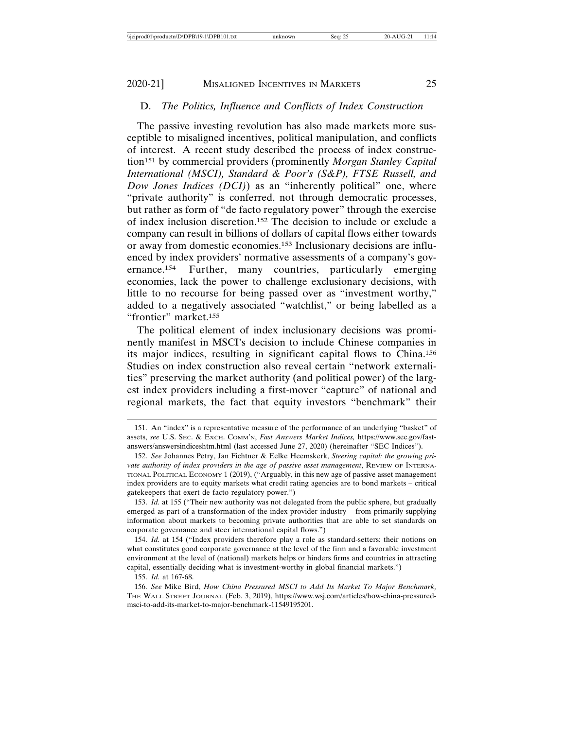# D. *The Politics, Influence and Conflicts of Index Construction*

The passive investing revolution has also made markets more susceptible to misaligned incentives, political manipulation, and conflicts of interest. A recent study described the process of index construction151 by commercial providers (prominently *Morgan Stanley Capital International (MSCI), Standard & Poor's (S&P), FTSE Russell, and Dow Jones Indices (DCI)*) as an "inherently political" one, where "private authority" is conferred, not through democratic processes, but rather as form of "de facto regulatory power" through the exercise of index inclusion discretion.152 The decision to include or exclude a company can result in billions of dollars of capital flows either towards or away from domestic economies.153 Inclusionary decisions are influenced by index providers' normative assessments of a company's governance.154 Further, many countries, particularly emerging economies, lack the power to challenge exclusionary decisions, with little to no recourse for being passed over as "investment worthy," added to a negatively associated "watchlist," or being labelled as a "frontier" market.155

The political element of index inclusionary decisions was prominently manifest in MSCI's decision to include Chinese companies in its major indices, resulting in significant capital flows to China.156 Studies on index construction also reveal certain "network externalities" preserving the market authority (and political power) of the largest index providers including a first-mover "capture" of national and regional markets, the fact that equity investors "benchmark" their

<sup>151.</sup> An "index" is a representative measure of the performance of an underlying "basket" of assets, *see* U.S. SEC. & EXCH. COMM'N, *Fast Answers Market Indices,* https://www.sec.gov/fastanswers/answersindiceshtm.html (last accessed June 27, 2020) (hereinafter "SEC Indices").

<sup>152.</sup> *See* Johannes Petry, Jan Fichtner & Eelke Heemskerk, *Steering capital: the growing private authority of index providers in the age of passive asset management*, REVIEW OF INTERNA-TIONAL POLITICAL ECONOMY 1 (2019), ("Arguably, in this new age of passive asset management index providers are to equity markets what credit rating agencies are to bond markets – critical gatekeepers that exert de facto regulatory power.")

<sup>153.</sup> *Id.* at 155 ("Their new authority was not delegated from the public sphere, but gradually emerged as part of a transformation of the index provider industry – from primarily supplying information about markets to becoming private authorities that are able to set standards on corporate governance and steer international capital flows.")

<sup>154.</sup> *Id.* at 154 ("Index providers therefore play a role as standard-setters: their notions on what constitutes good corporate governance at the level of the firm and a favorable investment environment at the level of (national) markets helps or hinders firms and countries in attracting capital, essentially deciding what is investment-worthy in global financial markets.")

<sup>155.</sup> *Id.* at 167-68.

<sup>156.</sup> *See* Mike Bird, *How China Pressured MSCI to Add Its Market To Major Benchmark,* THE WALL STREET JOURNAL (Feb. 3, 2019), https://www.wsj.com/articles/how-china-pressuredmsci-to-add-its-market-to-major-benchmark-11549195201.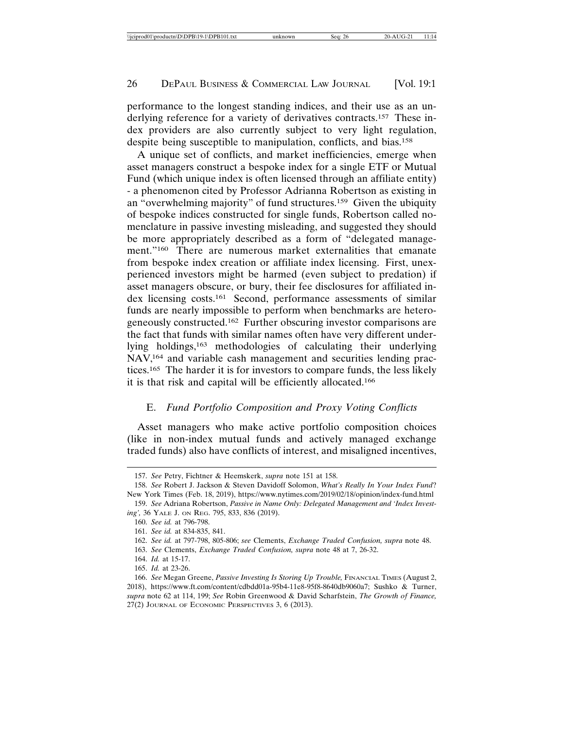performance to the longest standing indices, and their use as an underlying reference for a variety of derivatives contracts.157 These index providers are also currently subject to very light regulation, despite being susceptible to manipulation, conflicts, and bias.158

A unique set of conflicts, and market inefficiencies, emerge when asset managers construct a bespoke index for a single ETF or Mutual Fund (which unique index is often licensed through an affiliate entity) - a phenomenon cited by Professor Adrianna Robertson as existing in an "overwhelming majority" of fund structures.159 Given the ubiquity of bespoke indices constructed for single funds, Robertson called nomenclature in passive investing misleading, and suggested they should be more appropriately described as a form of "delegated management."<sup>160</sup> There are numerous market externalities that emanate from bespoke index creation or affiliate index licensing. First, unexperienced investors might be harmed (even subject to predation) if asset managers obscure, or bury, their fee disclosures for affiliated index licensing costs.161 Second, performance assessments of similar funds are nearly impossible to perform when benchmarks are heterogeneously constructed.162 Further obscuring investor comparisons are the fact that funds with similar names often have very different underlying holdings,163 methodologies of calculating their underlying NAV,164 and variable cash management and securities lending practices.165 The harder it is for investors to compare funds, the less likely it is that risk and capital will be efficiently allocated.166

# E. *Fund Portfolio Composition and Proxy Voting Conflicts*

Asset managers who make active portfolio composition choices (like in non-index mutual funds and actively managed exchange traded funds) also have conflicts of interest, and misaligned incentives,

<sup>157.</sup> *See* Petry, Fichtner & Heemskerk, *supra* note 151 at 158.

<sup>158.</sup> *See* Robert J. Jackson & Steven Davidoff Solomon, *What's Really In Your Index Fund*? New York Times (Feb. 18, 2019), https://www.nytimes.com/2019/02/18/opinion/index-fund.html

<sup>159.</sup> *See* Adriana Robertson, *Passive in Name Only: Delegated Management and 'Index Investing',* 36 YALE J. ON REG. 795, 833, 836 (2019).

<sup>160.</sup> *See id.* at 796-798.

<sup>161.</sup> *See id.* at 834-835, 841.

<sup>162.</sup> *See id.* at 797-798, 805-806; *see* Clements, *Exchange Traded Confusion, supra* note 48.

<sup>163.</sup> *See* Clements, *Exchange Traded Confusion, supra* note 48 at 7, 26-32.

<sup>164.</sup> *Id.* at 15-17.

<sup>165.</sup> *Id.* at 23-26.

<sup>166.</sup> *See* Megan Greene, *Passive Investing Is Storing Up Trouble,* FINANCIAL TIMES (August 2, 2018), https://www.ft.com/content/cdbdd01a-95b4-11e8-95f8-8640db9060a7; Sushko & Turner, *supra* note 62 at 114, 199; *See* Robin Greenwood & David Scharfstein, *The Growth of Finance,* 27(2) JOURNAL OF ECONOMIC PERSPECTIVES 3, 6 (2013).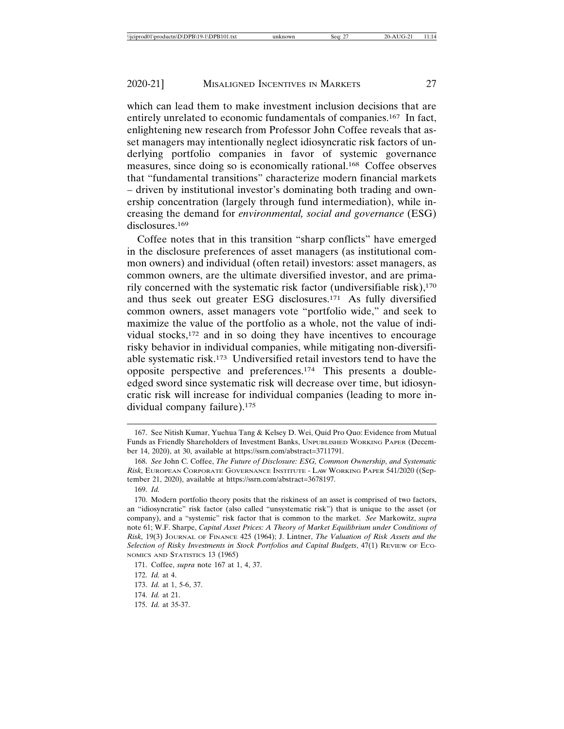which can lead them to make investment inclusion decisions that are entirely unrelated to economic fundamentals of companies.167 In fact, enlightening new research from Professor John Coffee reveals that asset managers may intentionally neglect idiosyncratic risk factors of underlying portfolio companies in favor of systemic governance measures, since doing so is economically rational.168 Coffee observes that "fundamental transitions" characterize modern financial markets – driven by institutional investor's dominating both trading and ownership concentration (largely through fund intermediation), while increasing the demand for *environmental, social and governance* (ESG) disclosures.<sup>169</sup>

Coffee notes that in this transition "sharp conflicts" have emerged in the disclosure preferences of asset managers (as institutional common owners) and individual (often retail) investors: asset managers, as common owners, are the ultimate diversified investor, and are primarily concerned with the systematic risk factor (undiversifiable risk), $170$ and thus seek out greater ESG disclosures.171 As fully diversified common owners, asset managers vote "portfolio wide," and seek to maximize the value of the portfolio as a whole, not the value of individual stocks,172 and in so doing they have incentives to encourage risky behavior in individual companies, while mitigating non-diversifiable systematic risk.173 Undiversified retail investors tend to have the opposite perspective and preferences.174 This presents a doubleedged sword since systematic risk will decrease over time, but idiosyncratic risk will increase for individual companies (leading to more individual company failure).175

<sup>167.</sup> See Nitish Kumar, Yuehua Tang & Kelsey D. Wei, Quid Pro Quo: Evidence from Mutual Funds as Friendly Shareholders of Investment Banks, UNPUBLISHED WORKING PAPER (December 14, 2020), at 30, available at https://ssrn.com/abstract=3711791.

<sup>168.</sup> *See* John C. Coffee, *The Future of Disclosure: ESG, Common Ownership, and Systematic Risk,* EUROPEAN CORPORATE GOVERNANCE INSTITUTE - LAW WORKING PAPER 541/2020 ((September 21, 2020), available at https://ssrn.com/abstract=3678197.

<sup>169.</sup> *Id.*

<sup>170.</sup> Modern portfolio theory posits that the riskiness of an asset is comprised of two factors, an "idiosyncratic" risk factor (also called "unsystematic risk") that is unique to the asset (or company), and a "systemic" risk factor that is common to the market. *See* Markowitz, *supra* note 61; W.F. Sharpe, *Capital Asset Prices: A Theory of Market Equilibrium under Conditions of Risk,* 19(3) JOURNAL OF FINANCE 425 (1964); J. Lintner, *The Valuation of Risk Assets and the Selection of Risky Investments in Stock Portfolios and Capital Budgets*, 47(1) REVIEW OF ECO-NOMICS AND STATISTICS 13 (1965)

<sup>171.</sup> Coffee, *supra* note 167 at 1, 4, 37.

<sup>172.</sup> *Id.* at 4.

<sup>173.</sup> *Id.* at 1, 5-6, 37.

<sup>174.</sup> *Id.* at 21.

<sup>175.</sup> *Id.* at 35-37.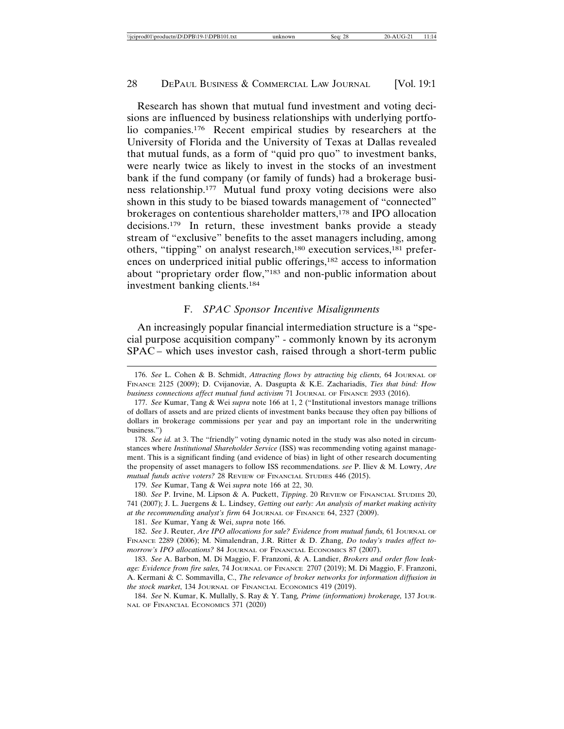Research has shown that mutual fund investment and voting decisions are influenced by business relationships with underlying portfolio companies.176 Recent empirical studies by researchers at the University of Florida and the University of Texas at Dallas revealed that mutual funds, as a form of "quid pro quo" to investment banks, were nearly twice as likely to invest in the stocks of an investment bank if the fund company (or family of funds) had a brokerage business relationship.177 Mutual fund proxy voting decisions were also shown in this study to be biased towards management of "connected" brokerages on contentious shareholder matters,178 and IPO allocation decisions.179 In return, these investment banks provide a steady stream of "exclusive" benefits to the asset managers including, among others, "tipping" on analyst research,180 execution services,181 preferences on underpriced initial public offerings,<sup>182</sup> access to information about "proprietary order flow,"183 and non-public information about investment banking clients.184

# F. *SPAC Sponsor Incentive Misalignments*

An increasingly popular financial intermediation structure is a "special purpose acquisition company" - commonly known by its acronym SPAC – which uses investor cash, raised through a short-term public

<sup>176.</sup> *See* L. Cohen & B. Schmidt, *Attracting flows by attracting big clients,* 64 JOURNAL OF FINANCE 2125 (2009); D. Cvijanoviæ, A. Dasgupta & K.E. Zachariadis, *Ties that bind: How business connections affect mutual fund activism* 71 JOURNAL OF FINANCE 2933 (2016).

<sup>177.</sup> *See* Kumar, Tang & Wei *supra* note 166 at 1, 2 ("Institutional investors manage trillions of dollars of assets and are prized clients of investment banks because they often pay billions of dollars in brokerage commissions per year and pay an important role in the underwriting business.")

<sup>178.</sup> *See id.* at 3. The "friendly" voting dynamic noted in the study was also noted in circumstances where *Institutional Shareholder Service* (ISS) was recommending voting against management. This is a significant finding (and evidence of bias) in light of other research documenting the propensity of asset managers to follow ISS recommendations. *see* P. Iliev & M. Lowry, *Are mutual funds active voters?* 28 REVIEW OF FINANCIAL STUDIES 446 (2015).

<sup>179.</sup> *See* Kumar, Tang & Wei *supra* note 166 at 22, 30.

<sup>180.</sup> *See* P. Irvine, M. Lipson & A. Puckett, *Tipping*. 20 REVIEW OF FINANCIAL STUDIES 20, 741 (2007); J. L. Juergens & L. Lindsey, *Getting out early: An analysis of market making activity at the recommending analyst's firm* 64 JOURNAL OF FINANCE 64, 2327 (2009).

<sup>181.</sup> *See* Kumar, Yang & Wei, *supra* note 166.

<sup>182.</sup> *See* J. Reuter, *Are IPO allocations for sale? Evidence from mutual funds,* 61 JOURNAL OF FINANCE 2289 (2006); M. Nimalendran, J.R. Ritter & D. Zhang, *Do today's trades affect tomorrow's IPO allocations?* 84 JOURNAL OF FINANCIAL ECONOMICS 87 (2007).

<sup>183.</sup> *See* A. Barbon, M. Di Maggio, F. Franzoni, & A. Landier, *Brokers and order flow leakage: Evidence from fire sales,* 74 JOURNAL OF FINANCE 2707 (2019); M. Di Maggio, F. Franzoni, A. Kermani & C. Sommavilla, C., *The relevance of broker networks for information diffusion in the stock market*, 134 JOURNAL OF FINANCIAL ECONOMICS 419 (2019).

<sup>184.</sup> *See* N. Kumar, K. Mullally, S. Ray & Y. Tang*, Prime (information) brokerage,* 137 JOUR-NAL OF FINANCIAL ECONOMICS 371 (2020)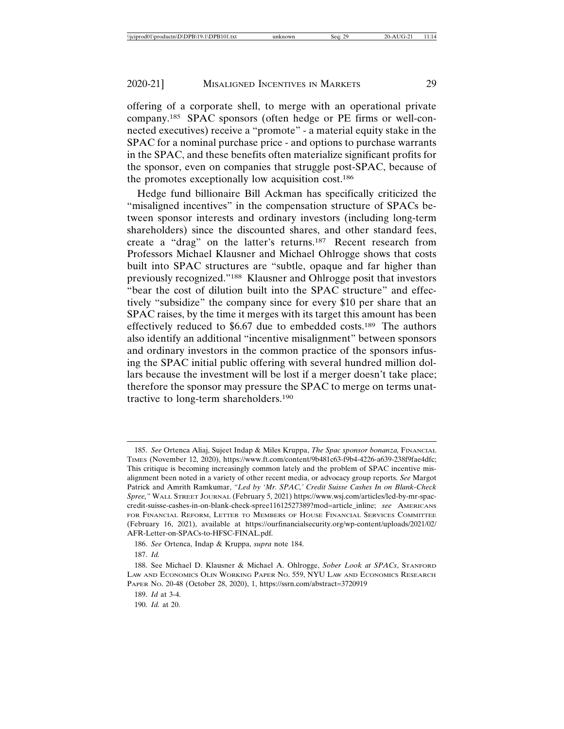offering of a corporate shell, to merge with an operational private company.185 SPAC sponsors (often hedge or PE firms or well-connected executives) receive a "promote" - a material equity stake in the SPAC for a nominal purchase price - and options to purchase warrants in the SPAC, and these benefits often materialize significant profits for the sponsor, even on companies that struggle post-SPAC, because of the promotes exceptionally low acquisition cost.186

Hedge fund billionaire Bill Ackman has specifically criticized the "misaligned incentives" in the compensation structure of SPACs between sponsor interests and ordinary investors (including long-term shareholders) since the discounted shares, and other standard fees, create a "drag" on the latter's returns.187 Recent research from Professors Michael Klausner and Michael Ohlrogge shows that costs built into SPAC structures are "subtle, opaque and far higher than previously recognized."188 Klausner and Ohlrogge posit that investors "bear the cost of dilution built into the SPAC structure" and effectively "subsidize" the company since for every \$10 per share that an SPAC raises, by the time it merges with its target this amount has been effectively reduced to \$6.67 due to embedded costs.189 The authors also identify an additional "incentive misalignment" between sponsors and ordinary investors in the common practice of the sponsors infusing the SPAC initial public offering with several hundred million dollars because the investment will be lost if a merger doesn't take place; therefore the sponsor may pressure the SPAC to merge on terms unattractive to long-term shareholders.190

<sup>185.</sup> *See* Ortenca Aliaj, Sujeet Indap & Miles Kruppa, *The Spac sponsor bonanza,* FINANCIAL TIMES (November 12, 2020), https://www.ft.com/content/9b481c63-f9b4-4226-a639-238f9fae4dfc; This critique is becoming increasingly common lately and the problem of SPAC incentive misalignment been noted in a variety of other recent media, or advocacy group reports. *See* Margot Patrick and Amrith Ramkumar, *"Led by 'Mr. SPAC,' Credit Suisse Cashes In on Blank-Check Spree,"* WALL STREET JOURNAL (February 5, 2021) https://www.wsj.com/articles/led-by-mr-spaccredit-suisse-cashes-in-on-blank-check-spree11612527389?mod=article\_inline; *see* AMERICANS FOR FINANCIAL REFORM, LETTER TO MEMBERS OF HOUSE FINANCIAL SERVICES COMMITTEE (February 16, 2021), available at https://ourfinancialsecurity.org/wp-content/uploads/2021/02/ AFR-Letter-on-SPACs-to-HFSC-FINAL.pdf.

<sup>186.</sup> *See* Ortenca, Indap & Kruppa, *supra* note 184.

<sup>187.</sup> *Id.*

<sup>188.</sup> See Michael D. Klausner & Michael A. Ohlrogge, *Sober Look at SPACs*, STANFORD LAW AND ECONOMICS OLIN WORKING PAPER NO. 559, NYU LAW AND ECONOMICS RESEARCH PAPER NO. 20-48 (October 28, 2020), 1, https://ssrn.com/abstract=3720919

<sup>189.</sup> *Id* at 3-4.

<sup>190.</sup> *Id.* at 20.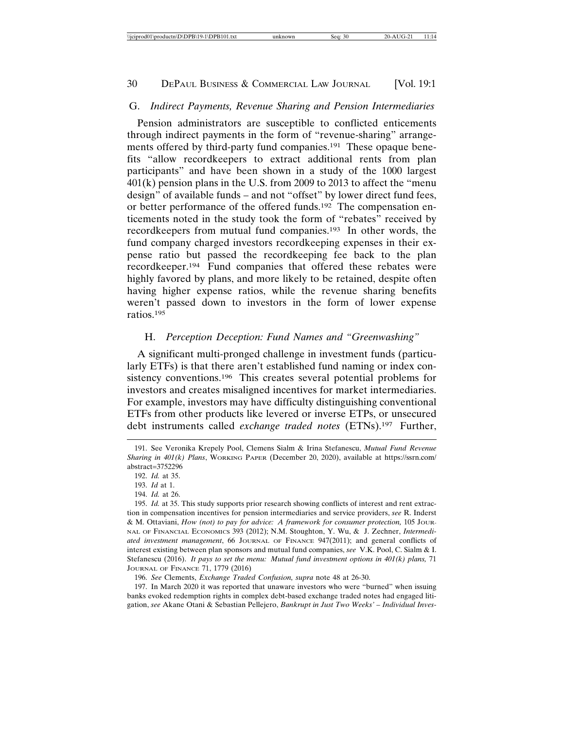#### G. *Indirect Payments, Revenue Sharing and Pension Intermediaries*

Pension administrators are susceptible to conflicted enticements through indirect payments in the form of "revenue-sharing" arrangements offered by third-party fund companies.191 These opaque benefits "allow recordkeepers to extract additional rents from plan participants" and have been shown in a study of the 1000 largest 401(k) pension plans in the U.S. from 2009 to 2013 to affect the "menu design" of available funds – and not "offset" by lower direct fund fees, or better performance of the offered funds.192 The compensation enticements noted in the study took the form of "rebates" received by recordkeepers from mutual fund companies.193 In other words, the fund company charged investors recordkeeping expenses in their expense ratio but passed the recordkeeping fee back to the plan recordkeeper.194 Fund companies that offered these rebates were highly favored by plans, and more likely to be retained, despite often having higher expense ratios, while the revenue sharing benefits weren't passed down to investors in the form of lower expense ratios.195

#### H. *Perception Deception: Fund Names and "Greenwashing"*

A significant multi-pronged challenge in investment funds (particularly ETFs) is that there aren't established fund naming or index consistency conventions.<sup>196</sup> This creates several potential problems for investors and creates misaligned incentives for market intermediaries. For example, investors may have difficulty distinguishing conventional ETFs from other products like levered or inverse ETPs, or unsecured debt instruments called *exchange traded notes* (ETNs).197 Further,

197. In March 2020 it was reported that unaware investors who were "burned" when issuing banks evoked redemption rights in complex debt-based exchange traded notes had engaged litigation, *see* Akane Otani & Sebastian Pellejero, *Bankrupt in Just Two Weeks' – Individual Inves-*

<sup>191.</sup> See Veronika Krepely Pool, Clemens Sialm & Irina Stefanescu, *Mutual Fund Revenue Sharing in 401(k) Plans*, WORKING PAPER (December 20, 2020), available at https://ssrn.com/ abstract=3752296

<sup>192.</sup> *Id.* at 35.

<sup>193.</sup> *Id* at 1.

<sup>194.</sup> *Id.* at 26.

<sup>195.</sup> *Id.* at 35. This study supports prior research showing conflicts of interest and rent extraction in compensation incentives for pension intermediaries and service providers, *see* R. Inderst & M. Ottaviani, *How (not) to pay for advice: A framework for consumer protection,* 105 JOUR-NAL OF FINANCIAL ECONOMICS 393 (2012); N.M. Stoughton, Y. Wu, & J. Zechner, *Intermediated investment management*, 66 JOURNAL OF FINANCE 947(2011); and general conflicts of interest existing between plan sponsors and mutual fund companies, *see* V.K. Pool, C. Sialm & I. Stefanescu (2016). *It pays to set the menu: Mutual fund investment options in 401(k) plans,* 71 JOURNAL OF FINANCE 71, 1779 (2016)

<sup>196.</sup> *See* Clements, *Exchange Traded Confusion, supra* note 48 at 26-30.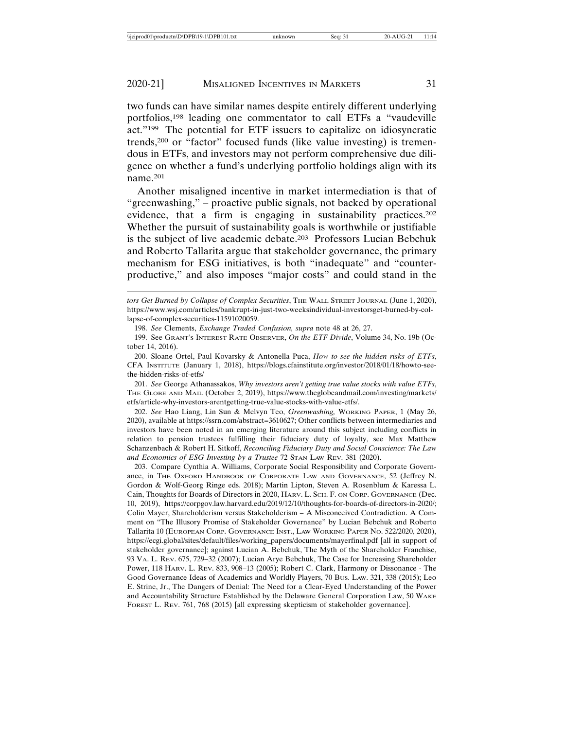two funds can have similar names despite entirely different underlying portfolios,198 leading one commentator to call ETFs a "vaudeville act."199 The potential for ETF issuers to capitalize on idiosyncratic trends,200 or "factor" focused funds (like value investing) is tremendous in ETFs, and investors may not perform comprehensive due diligence on whether a fund's underlying portfolio holdings align with its name.201

Another misaligned incentive in market intermediation is that of "greenwashing," – proactive public signals, not backed by operational evidence, that a firm is engaging in sustainability practices.202 Whether the pursuit of sustainability goals is worthwhile or justifiable is the subject of live academic debate.203 Professors Lucian Bebchuk and Roberto Tallarita argue that stakeholder governance, the primary mechanism for ESG initiatives, is both "inadequate" and "counterproductive," and also imposes "major costs" and could stand in the

199. See GRANT'S INTEREST RATE OBSERVER, *On the ETF Divide*, Volume 34, No. 19b (October 14, 2016).

201. *See* George Athanassakos, *Why investors aren't getting true value stocks with value ETFs*, THE GLOBE AND MAIL (October 2, 2019), https://www.theglobeandmail.com/investing/markets/ etfs/article-why-investors-arentgetting-true-value-stocks-with-value-etfs/.

202. *See* Hao Liang, Lin Sun & Melvyn Teo, *Greenwashing,* WORKING PAPER, 1 (May 26, 2020), available at https://ssrn.com/abstract=3610627; Other conflicts between intermediaries and investors have been noted in an emerging literature around this subject including conflicts in relation to pension trustees fulfilling their fiduciary duty of loyalty, see Max Matthew Schanzenbach & Robert H. Sitkoff, *Reconciling Fiduciary Duty and Social Conscience: The Law and Economics of ESG Investing by a Trustee* 72 STAN LAW REV. 381 (2020).

203. Compare Cynthia A. Williams, Corporate Social Responsibility and Corporate Governance, in THE OXFORD HANDBOOK OF CORPORATE LAW AND GOVERNANCE, 52 (Jeffrey N. Gordon & Wolf-Georg Ringe eds. 2018); Martin Lipton, Steven A. Rosenblum & Karessa L. Cain, Thoughts for Boards of Directors in 2020, HARV. L. SCH. F. ON CORP. GOVERNANCE (Dec. 10, 2019), https://corpgov.law.harvard.edu/2019/12/10/thoughts-for-boards-of-directors-in-2020/; Colin Mayer, Shareholderism versus Stakeholderism – A Misconceived Contradiction. A Comment on "The Illusory Promise of Stakeholder Governance" by Lucian Bebchuk and Roberto Tallarita 10 (EUROPEAN CORP. GOVERNANCE INST., LAW WORKING PAPER NO. 522/2020, 2020), https://ecgi.global/sites/default/files/working\_papers/documents/mayerfinal.pdf [all in support of stakeholder governance]; against Lucian A. Bebchuk, The Myth of the Shareholder Franchise, 93 VA. L. REV. 675, 729–32 (2007); Lucian Arye Bebchuk, The Case for Increasing Shareholder Power, 118 HARV. L. REV. 833, 908–13 (2005); Robert C. Clark, Harmony or Dissonance - The Good Governance Ideas of Academics and Worldly Players, 70 BUS. LAW. 321, 338 (2015); Leo E. Strine, Jr., The Dangers of Denial: The Need for a Clear-Eyed Understanding of the Power and Accountability Structure Established by the Delaware General Corporation Law, 50 WAKE FOREST L. REV. 761, 768 (2015) [all expressing skepticism of stakeholder governance].

*tors Get Burned by Collapse of Complex Securities*, THE WALL STREET JOURNAL (June 1, 2020), https://www.wsj.com/articles/bankrupt-in-just-two-weeksindividual-investorsget-burned-by-collapse-of-complex-securities-11591020059.

<sup>198.</sup> *See* Clements, *Exchange Traded Confusion, supra* note 48 at 26, 27.

<sup>200.</sup> Sloane Ortel, Paul Kovarsky & Antonella Puca, *How to see the hidden risks of ETFs*, CFA INSTITUTE (January 1, 2018), https://blogs.cfainstitute.org/investor/2018/01/18/howto-seethe-hidden-risks-of-etfs/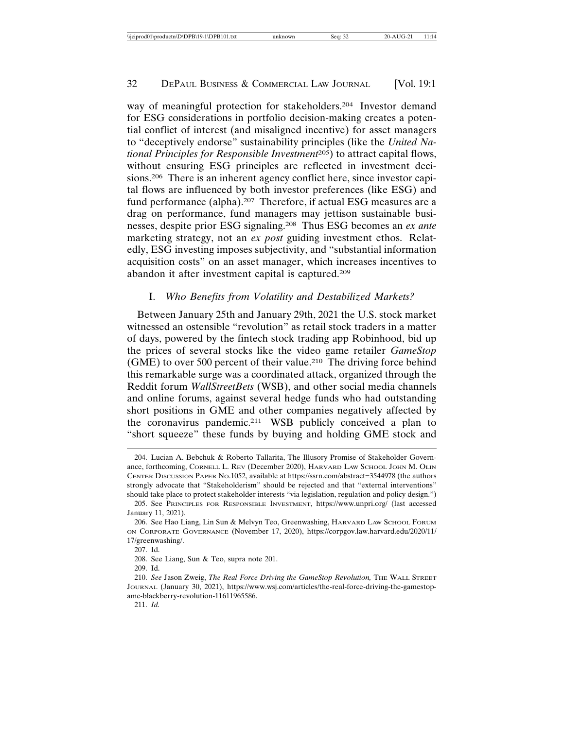way of meaningful protection for stakeholders.204 Investor demand for ESG considerations in portfolio decision-making creates a potential conflict of interest (and misaligned incentive) for asset managers to "deceptively endorse" sustainability principles (like the *United National Principles for Responsible Investment*205) to attract capital flows, without ensuring ESG principles are reflected in investment decisions.206 There is an inherent agency conflict here, since investor capital flows are influenced by both investor preferences (like ESG) and fund performance (alpha).<sup>207</sup> Therefore, if actual ESG measures are a drag on performance, fund managers may jettison sustainable businesses, despite prior ESG signaling.208 Thus ESG becomes an *ex ante* marketing strategy, not an *ex post* guiding investment ethos. Relatedly, ESG investing imposes subjectivity, and "substantial information acquisition costs" on an asset manager, which increases incentives to abandon it after investment capital is captured.209

# I. *Who Benefits from Volatility and Destabilized Markets?*

Between January 25th and January 29th, 2021 the U.S. stock market witnessed an ostensible "revolution" as retail stock traders in a matter of days, powered by the fintech stock trading app Robinhood, bid up the prices of several stocks like the video game retailer *GameStop* (GME) to over 500 percent of their value.210 The driving force behind this remarkable surge was a coordinated attack, organized through the Reddit forum *WallStreetBets* (WSB), and other social media channels and online forums, against several hedge funds who had outstanding short positions in GME and other companies negatively affected by the coronavirus pandemic.211 WSB publicly conceived a plan to "short squeeze" these funds by buying and holding GME stock and

<sup>204.</sup> Lucian A. Bebchuk & Roberto Tallarita, The Illusory Promise of Stakeholder Governance, forthcoming, CORNELL L. REV (December 2020), HARVARD LAW SCHOOL JOHN M. OLIN CENTER DISCUSSION PAPER NO.1052, available at https://ssrn.com/abstract=3544978 (the authors strongly advocate that "Stakeholderism" should be rejected and that "external interventions" should take place to protect stakeholder interests "via legislation, regulation and policy design.")

<sup>205.</sup> See PRINCIPLES FOR RESPONSIBLE INVESTMENT, https://www.unpri.org/ (last accessed January 11, 2021).

<sup>206.</sup> See Hao Liang, Lin Sun & Melvyn Teo, Greenwashing, HARVARD LAW SCHOOL FORUM ON CORPORATE GOVERNANCE (November 17, 2020), https://corpgov.law.harvard.edu/2020/11/ 17/greenwashing/.

<sup>207.</sup> Id.

<sup>208.</sup> See Liang, Sun & Teo, supra note 201.

<sup>209.</sup> Id.

<sup>210.</sup> *See* Jason Zweig, *The Real Force Driving the GameStop Revolution,* THE WALL STREET JOURNAL (January 30, 2021), https://www.wsj.com/articles/the-real-force-driving-the-gamestopamc-blackberry-revolution-11611965586.

<sup>211.</sup> *Id.*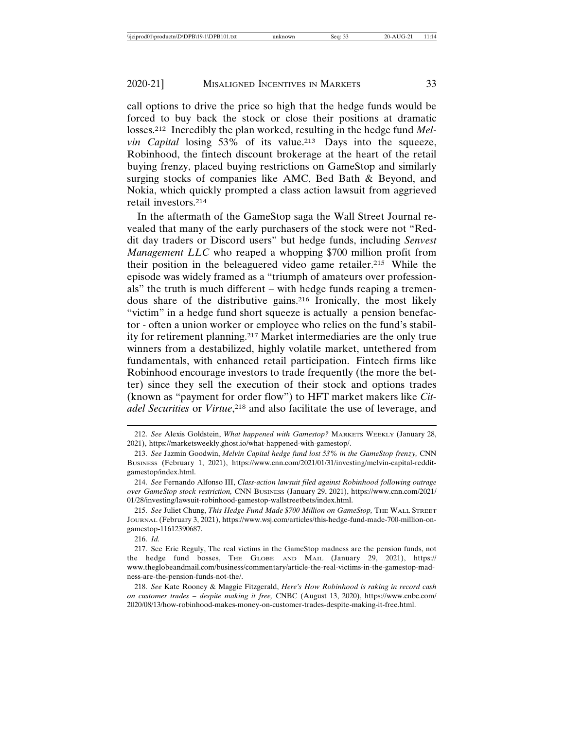call options to drive the price so high that the hedge funds would be forced to buy back the stock or close their positions at dramatic losses.212 Incredibly the plan worked, resulting in the hedge fund *Melvin Capital losing 53% of its value.*<sup>213</sup> Days into the squeeze, Robinhood, the fintech discount brokerage at the heart of the retail buying frenzy, placed buying restrictions on GameStop and similarly surging stocks of companies like AMC, Bed Bath & Beyond, and Nokia, which quickly prompted a class action lawsuit from aggrieved retail investors.214

In the aftermath of the GameStop saga the Wall Street Journal revealed that many of the early purchasers of the stock were not "Reddit day traders or Discord users" but hedge funds, including *Senvest Management LLC* who reaped a whopping \$700 million profit from their position in the beleaguered video game retailer.215 While the episode was widely framed as a "triumph of amateurs over professionals" the truth is much different – with hedge funds reaping a tremendous share of the distributive gains.216 Ironically, the most likely "victim" in a hedge fund short squeeze is actually a pension benefactor - often a union worker or employee who relies on the fund's stability for retirement planning.217 Market intermediaries are the only true winners from a destabilized, highly volatile market, untethered from fundamentals, with enhanced retail participation. Fintech firms like Robinhood encourage investors to trade frequently (the more the better) since they sell the execution of their stock and options trades (known as "payment for order flow") to HFT market makers like *Citadel Securities* or *Virtue*, 218 and also facilitate the use of leverage, and

216. *Id.*

<sup>212.</sup> *See* Alexis Goldstein, *What happened with Gamestop?* MARKETS WEEKLY (January 28, 2021), https://marketsweekly.ghost.io/what-happened-with-gamestop/.

<sup>213.</sup> *See* Jazmin Goodwin, *Melvin Capital hedge fund lost 53% in the GameStop frenzy,* CNN BUSINESS (February 1, 2021), https://www.cnn.com/2021/01/31/investing/melvin-capital-redditgamestop/index.html.

<sup>214.</sup> *See* Fernando Alfonso III, *Class-action lawsuit filed against Robinhood following outrage over GameStop stock restriction,* CNN BUSINESS (January 29, 2021), https://www.cnn.com/2021/ 01/28/investing/lawsuit-robinhood-gamestop-wallstreetbets/index.html.

<sup>215.</sup> *See* Juliet Chung, *This Hedge Fund Made \$700 Million on GameStop,* THE WALL STREET JOURNAL (February 3, 2021), https://www.wsj.com/articles/this-hedge-fund-made-700-million-ongamestop-11612390687.

<sup>217.</sup> See Eric Reguly, The real victims in the GameStop madness are the pension funds, not the hedge fund bosses, THE GLOBE AND MAIL (January 29, 2021), https:// www.theglobeandmail.com/business/commentary/article-the-real-victims-in-the-gamestop-madness-are-the-pension-funds-not-the/.

<sup>218.</sup> *See* Kate Rooney & Maggie Fitzgerald, *Here's How Robinhood is raking in record cash on customer trades – despite making it free,* CNBC (August 13, 2020), https://www.cnbc.com/ 2020/08/13/how-robinhood-makes-money-on-customer-trades-despite-making-it-free.html.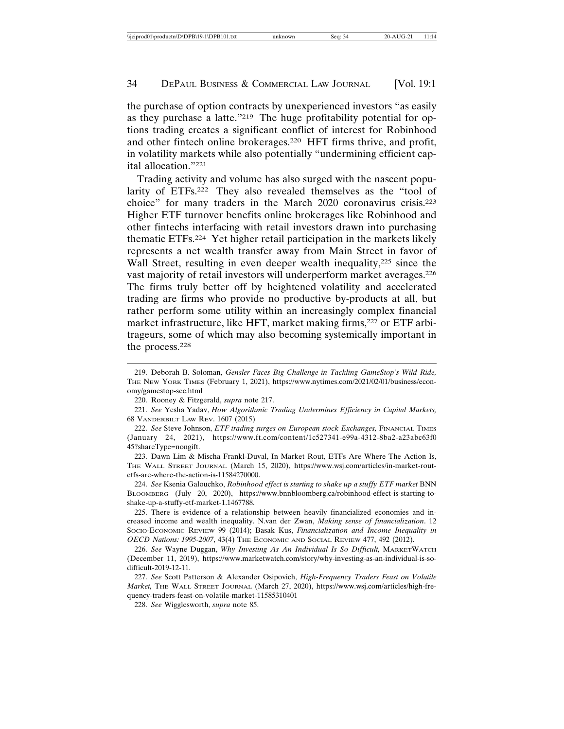the purchase of option contracts by unexperienced investors "as easily as they purchase a latte."219 The huge profitability potential for options trading creates a significant conflict of interest for Robinhood and other fintech online brokerages.220 HFT firms thrive, and profit, in volatility markets while also potentially "undermining efficient capital allocation."221

Trading activity and volume has also surged with the nascent popularity of ETFs.222 They also revealed themselves as the "tool of choice" for many traders in the March 2020 coronavirus crisis.223 Higher ETF turnover benefits online brokerages like Robinhood and other fintechs interfacing with retail investors drawn into purchasing thematic ETFs.224 Yet higher retail participation in the markets likely represents a net wealth transfer away from Main Street in favor of Wall Street, resulting in even deeper wealth inequality,<sup>225</sup> since the vast majority of retail investors will underperform market averages.226 The firms truly better off by heightened volatility and accelerated trading are firms who provide no productive by-products at all, but rather perform some utility within an increasingly complex financial market infrastructure, like HFT, market making firms, <sup>227</sup> or ETF arbitrageurs, some of which may also becoming systemically important in the process.228

<sup>219.</sup> Deborah B. Soloman, *Gensler Faces Big Challenge in Tackling GameStop's Wild Ride,* THE NEW YORK TIMES (February 1, 2021), https://www.nytimes.com/2021/02/01/business/economy/gamestop-sec.html

<sup>220.</sup> Rooney & Fitzgerald, *supra* note 217.

<sup>221.</sup> *See* Yesha Yadav, *How Algorithmic Trading Undermines Efficiency in Capital Markets,* 68 VANDERBILT LAW REV. 1607 (2015)

<sup>222.</sup> *See* Steve Johnson, *ETF trading surges on European stock Exchanges,* FINANCIAL TIMES (January 24, 2021), https://www.ft.com/content/1c527341-e99a-4312-8ba2-a23abc63f0 45?shareType=nongift.

<sup>223.</sup> Dawn Lim & Mischa Frankl-Duval, In Market Rout, ETFs Are Where The Action Is, THE WALL STREET JOURNAL (March 15, 2020), https://www.wsj.com/articles/in-market-routetfs-are-where-the-action-is-11584270000.

<sup>224.</sup> See Ksenia Galouchko, *Robinhood effect is starting to shake up a stuffy ETF market* BNN BLOOMBERG (July 20, 2020), https://www.bnnbloomberg.ca/robinhood-effect-is-starting-toshake-up-a-stuffy-etf-market-1.1467788.

<sup>225.</sup> There is evidence of a relationship between heavily financialized economies and increased income and wealth inequality. N.van der Zwan, *Making sense of financialization*. 12 SOCIO-ECONOMIC REVIEW 99 (2014); Basak Kus, *Financialization and Income Inequality in OECD Nations: 1995-2007*, 43(4) THE ECONOMIC AND SOCIAL REVIEW 477, 492 (2012).

<sup>226.</sup> *See* Wayne Duggan, *Why Investing As An Individual Is So Difficult,* MARKETWATCH (December 11, 2019), https://www.marketwatch.com/story/why-investing-as-an-individual-is-sodifficult-2019-12-11.

<sup>227.</sup> *See* Scott Patterson & Alexander Osipovich, *High-Frequency Traders Feast on Volatile Market,* THE WALL STREET JOURNAL (March 27, 2020), https://www.wsj.com/articles/high-frequency-traders-feast-on-volatile-market-11585310401

<sup>228.</sup> *See* Wigglesworth, *supra* note 85.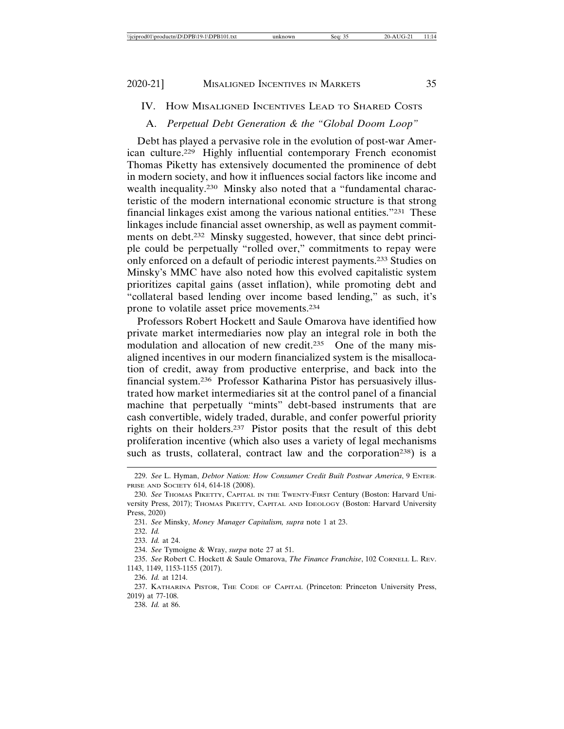IV. HOW MISALIGNED INCENTIVES LEAD TO SHARED COSTS

# A. *Perpetual Debt Generation & the "Global Doom Loop"*

Debt has played a pervasive role in the evolution of post-war American culture.229 Highly influential contemporary French economist Thomas Piketty has extensively documented the prominence of debt in modern society, and how it influences social factors like income and wealth inequality.230 Minsky also noted that a "fundamental characteristic of the modern international economic structure is that strong financial linkages exist among the various national entities."231 These linkages include financial asset ownership, as well as payment commitments on debt.<sup>232</sup> Minsky suggested, however, that since debt principle could be perpetually "rolled over," commitments to repay were only enforced on a default of periodic interest payments.233 Studies on Minsky's MMC have also noted how this evolved capitalistic system prioritizes capital gains (asset inflation), while promoting debt and "collateral based lending over income based lending," as such, it's prone to volatile asset price movements.234

Professors Robert Hockett and Saule Omarova have identified how private market intermediaries now play an integral role in both the modulation and allocation of new credit.<sup>235</sup> One of the many misaligned incentives in our modern financialized system is the misallocation of credit, away from productive enterprise, and back into the financial system.236 Professor Katharina Pistor has persuasively illustrated how market intermediaries sit at the control panel of a financial machine that perpetually "mints" debt-based instruments that are cash convertible, widely traded, durable, and confer powerful priority rights on their holders.237 Pistor posits that the result of this debt proliferation incentive (which also uses a variety of legal mechanisms such as trusts, collateral, contract law and the corporation<sup>238</sup>) is a

<sup>229.</sup> *See* L. Hyman, *Debtor Nation: How Consumer Credit Built Postwar America*, 9 ENTER-PRISE AND SOCIETY 614, 614-18 (2008).

<sup>230.</sup> *See* THOMAS PIKETTY, CAPITAL IN THE TWENTY-FIRST Century (Boston: Harvard University Press, 2017); THOMAS PIKETTY, CAPITAL AND IDEOLOGY (Boston: Harvard University Press, 2020)

<sup>231.</sup> *See* Minsky, *Money Manager Capitalism, supra* note 1 at 23.

<sup>232.</sup> *Id.*

<sup>233.</sup> *Id.* at 24.

<sup>234.</sup> *See* Tymoigne & Wray, *surpa* note 27 at 51.

<sup>235.</sup> *See* Robert C. Hockett & Saule Omarova, *The Finance Franchise*, 102 CORNELL L. REV. 1143, 1149, 1153-1155 (2017).

<sup>236.</sup> *Id.* at 1214.

<sup>237.</sup> KATHARINA PISTOR, THE CODE OF CAPITAL (Princeton: Princeton University Press, 2019) at 77-108.

<sup>238.</sup> *Id.* at 86.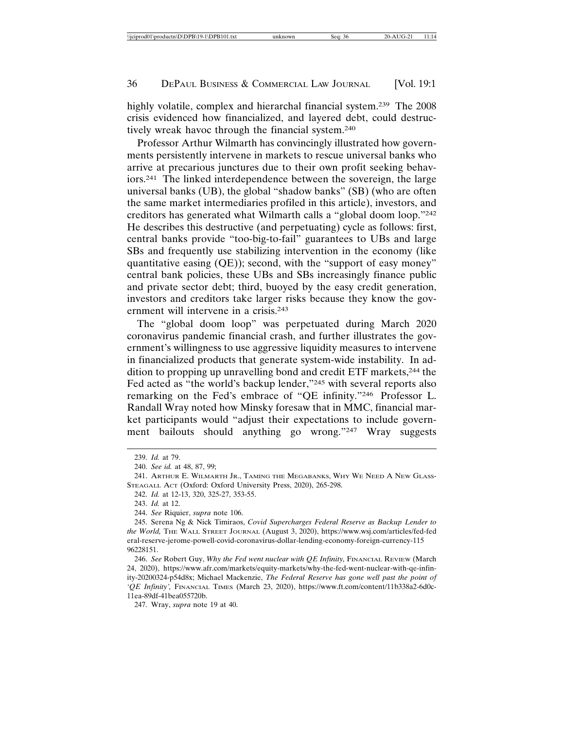highly volatile, complex and hierarchal financial system.<sup>239</sup> The 2008 crisis evidenced how financialized, and layered debt, could destructively wreak havoc through the financial system.240

Professor Arthur Wilmarth has convincingly illustrated how governments persistently intervene in markets to rescue universal banks who arrive at precarious junctures due to their own profit seeking behaviors.241 The linked interdependence between the sovereign, the large universal banks (UB), the global "shadow banks" (SB) (who are often the same market intermediaries profiled in this article), investors, and creditors has generated what Wilmarth calls a "global doom loop."242 He describes this destructive (and perpetuating) cycle as follows: first, central banks provide "too-big-to-fail" guarantees to UBs and large SBs and frequently use stabilizing intervention in the economy (like quantitative easing (QE)); second, with the "support of easy money" central bank policies, these UBs and SBs increasingly finance public and private sector debt; third, buoyed by the easy credit generation, investors and creditors take larger risks because they know the government will intervene in a crisis.<sup>243</sup>

The "global doom loop" was perpetuated during March 2020 coronavirus pandemic financial crash, and further illustrates the government's willingness to use aggressive liquidity measures to intervene in financialized products that generate system-wide instability. In addition to propping up unravelling bond and credit ETF markets,244 the Fed acted as "the world's backup lender,"245 with several reports also remarking on the Fed's embrace of "QE infinity."246 Professor L. Randall Wray noted how Minsky foresaw that in MMC, financial market participants would "adjust their expectations to include government bailouts should anything go wrong."247 Wray suggests

<sup>239.</sup> *Id.* at 79.

<sup>240.</sup> *See id.* at 48, 87, 99;

<sup>241.</sup> ARTHUR E. WILMARTH JR., TAMING THE MEGABANKS, WHY WE NEED A NEW GLASS-STEAGALL ACT (Oxford: Oxford University Press, 2020), 265-298.

<sup>242.</sup> *Id.* at 12-13, 320, 325-27, 353-55.

<sup>243.</sup> *Id.* at 12.

<sup>244.</sup> *See* Riquier, *supra* note 106.

<sup>245.</sup> Serena Ng & Nick Timiraos, *Covid Supercharges Federal Reserve as Backup Lender to the World,* THE WALL STREET JOURNAL (August 3, 2020), https://www.wsj.com/articles/fed-fed eral-reserve-jerome-powell-covid-coronavirus-dollar-lending-economy-foreign-currency-115 96228151.

<sup>246.</sup> *See* Robert Guy, *Why the Fed went nuclear with QE Infinity,* FINANCIAL REVIEW (March 24, 2020), https://www.afr.com/markets/equity-markets/why-the-fed-went-nuclear-with-qe-infinity-20200324-p54d8x; Michael Mackenzie, *The Federal Reserve has gone well past the point of 'QE Infinity',* FINANCIAL TIMES (March 23, 2020), https://www.ft.com/content/11b338a2-6d0c-11ea-89df-41bea055720b.

<sup>247.</sup> Wray, *supra* note 19 at 40.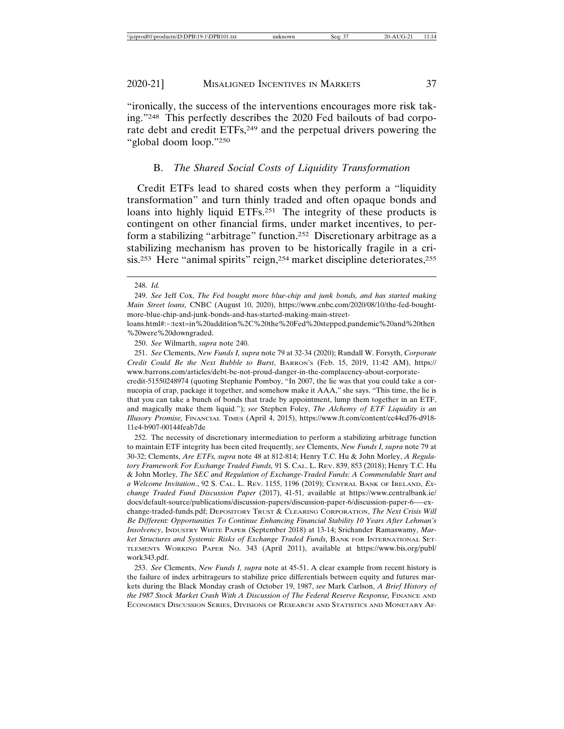"ironically, the success of the interventions encourages more risk taking."248 This perfectly describes the 2020 Fed bailouts of bad corporate debt and credit ETFs,<sup>249</sup> and the perpetual drivers powering the "global doom loop."250

# B. *The Shared Social Costs of Liquidity Transformation*

Credit ETFs lead to shared costs when they perform a "liquidity transformation" and turn thinly traded and often opaque bonds and loans into highly liquid ETFs.<sup>251</sup> The integrity of these products is contingent on other financial firms, under market incentives, to perform a stabilizing "arbitrage" function.252 Discretionary arbitrage as a stabilizing mechanism has proven to be historically fragile in a crisis.<sup>253</sup> Here "animal spirits" reign,<sup>254</sup> market discipline deteriorates,<sup>255</sup>

<sup>248.</sup> *Id.*

<sup>249.</sup> *See* Jeff Cox, *The Fed bought more blue-chip and junk bonds, and has started making Main Street loans,* CNBC (August 10, 2020), https://www.cnbc.com/2020/08/10/the-fed-boughtmore-blue-chip-and-junk-bonds-and-has-started-making-main-street-

loans.html#:~:text=in%20addition%2C%20the%20Fed%20stepped,pandemic%20and%20then %20were%20downgraded.

<sup>250.</sup> *See* Wilmarth, *supra* note 240.

<sup>251.</sup> *See* Clements, *New Funds I, supra* note 79 at 32-34 (2020); Randall W. Forsyth, *Corporate Credit Could Be the Next Bubble to Burst*, BARRON'S (Feb. 15, 2019, 11:42 AM), https:// www.barrons.com/articles/debt-be-not-proud-danger-in-the-complacency-about-corporatecredit-51550248974 (quoting Stephanie Pomboy, "In 2007, the lie was that you could take a cornucopia of crap, package it together, and somehow make it AAA," she says. "This time, the lie is that you can take a bunch of bonds that trade by appointment, lump them together in an ETF, and magically make them liquid."); *see* Stephen Foley, *The Alchemy of ETF Liquidity is an Illusory Promise,* FINANCIAL TIMES (April 4, 2015), https://www.ft.com/content/cc44cd76-d918- 11e4-b907-00144feab7de

<sup>252.</sup> The necessity of discretionary intermediation to perform a stabilizing arbitrage function to maintain ETF integrity has been cited frequently, *see* Clements, *New Funds I, supra* note 79 at 30-32; Clements, *Are ETFs, supra* note 48 at 812-814; Henry T.C. Hu & John Morley, *A Regulatory Framework For Exchange Traded Funds,* 91 S. CAL. L. REV. 839, 853 (2018); Henry T.C. Hu & John Morley*, The SEC and Regulation of Exchange-Traded Funds: A Commendable Start and a Welcome Invitation*., 92 S. CAL. L. REV. 1155, 1196 (2019); CENTRAL BANK OF IRELAND, *Exchange Traded Fund Discussion Paper* (2017), 41-51, available at https://www.centralbank.ie/ docs/default-source/publications/discussion-papers/discussion-paper-6/discussion-paper-6—-exchange-traded-funds.pdf; DEPOSITORY TRUST & CLEARING CORPORATION, *The Next Crisis Will Be Different: Opportunities To Continue Enhancing Financial Stability 10 Years After Lehman's Insolvency*, INDUSTRY WHITE PAPER (September 2018) at 13-14; Srichander Ramaswamy, *Market Structures and Systemic Risks of Exchange Traded Funds, BANK FOR INTERNATIONAL SET-*TLEMENTS WORKING PAPER NO. 343 (April 2011), available at https://www.bis.org/publ/ work343.pdf.

<sup>253.</sup> *See* Clements, *New Funds I, supra* note at 45-51. A clear example from recent history is the failure of index arbitrageurs to stabilize price differentials between equity and futures markets during the Black Monday crash of October 19, 1987, *see* Mark Carlson, *A Brief History of the 1987 Stock Market Crash With A Discussion of The Federal Reserve Response, FINANCE AND* ECONOMICS DISCUSSION SERIES, DIVISIONS OF RESEARCH AND STATISTICS AND MONETARY AF-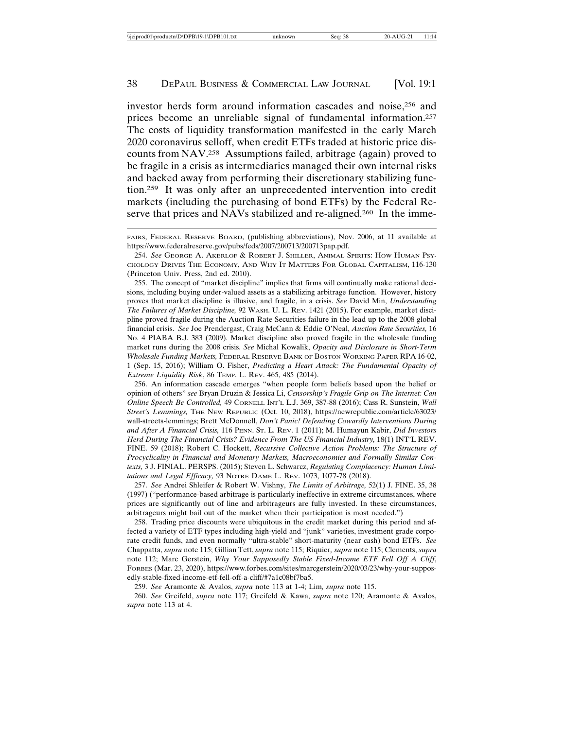investor herds form around information cascades and noise,256 and prices become an unreliable signal of fundamental information.257 The costs of liquidity transformation manifested in the early March 2020 coronavirus selloff, when credit ETFs traded at historic price discounts from NAV.258 Assumptions failed, arbitrage (again) proved to be fragile in a crisis as intermediaries managed their own internal risks and backed away from performing their discretionary stabilizing function.259 It was only after an unprecedented intervention into credit markets (including the purchasing of bond ETFs) by the Federal Reserve that prices and NAVs stabilized and re-aligned.<sup>260</sup> In the imme-

255. The concept of "market discipline" implies that firms will continually make rational decisions, including buying under-valued assets as a stabilizing arbitrage function. However, history proves that market discipline is illusive, and fragile, in a crisis. *See* David Min, *Understanding The Failures of Market Discipline,* 92 WASH. U. L. REV. 1421 (2015). For example, market discipline proved fragile during the Auction Rate Securities failure in the lead up to the 2008 global financial crisis. *See* Joe Prendergast, Craig McCann & Eddie O'Neal, *Auction Rate Securities,* 16 No. 4 PIABA B.J. 383 (2009). Market discipline also proved fragile in the wholesale funding market runs during the 2008 crisis. *See* Michal Kowalik, *Opacity and Disclosure in Short-Term Wholesale Funding Markets,* FEDERAL RESERVE BANK OF BOSTON WORKING PAPER RPA 16-02, 1 (Sep. 15, 2016); William O. Fisher, *Predicting a Heart Attack: The Fundamental Opacity of Extreme Liquidity Risk*, 86 TEMP. L. REV. 465, 485 (2014).

256. An information cascade emerges "when people form beliefs based upon the belief or opinion of others" *see* Bryan Druzin & Jessica Li, *Censorship's Fragile Grip on The Internet: Can Online Speech Be Controlled,* 49 CORNELL INT'L L.J. 369, 387-88 (2016); Cass R. Sunstein, *Wall Street's Lemmings,* THE NEW REPUBLIC (Oct. 10, 2018), https://newrepublic.com/article/63023/ wall-streets-lemmings; Brett McDonnell, *Don't Panic! Defending Cowardly Interventions During and After A Financial Crisis,* 116 PENN. ST. L. REV. 1 (2011); M. Humayun Kabir, *Did Investors Herd During The Financial Crisis? Evidence From The US Financial Industry,* 18(1) INT'L REV. FINE. 59 (2018); Robert C. Hockett, *Recursive Collective Action Problems: The Structure of Procyclicality in Financial and Monetary Markets, Macroeconomies and Formally Similar Contexts,* 3 J. FINIAL. PERSPS. (2015); Steven L. Schwarcz, *Regulating Complacency: Human Limitations and Legal Efficacy,* 93 NOTRE DAME L. REV. 1073, 1077-78 (2018).

257. *See* Andrei Shleifer & Robert W. Vishny, *The Limits of Arbitrage,* 52(1) J. FINE. 35, 38 (1997) ("performance-based arbitrage is particularly ineffective in extreme circumstances, where prices are significantly out of line and arbitrageurs are fully invested. In these circumstances, arbitrageurs might bail out of the market when their participation is most needed.")

258. Trading price discounts were ubiquitous in the credit market during this period and affected a variety of ETF types including high-yield and "junk" varieties, investment grade corporate credit funds, and even normally "ultra-stable" short-maturity (near cash) bond ETFs. *See* Chappatta, *supra* note 115; Gillian Tett, *supra* note 115; Riquier*, supra* note 115; Clements, *supra* note 112; Marc Gerstein, *Why Your Supposedly Stable Fixed-Income ETF Fell Off A Cliff*, FORBES (Mar. 23, 2020), https://www.forbes.com/sites/marcgerstein/2020/03/23/why-your-supposedly-stable-fixed-income-etf-fell-off-a-cliff/#7a1c08bf7ba5.

259. *See* Aramonte & Avalos, *supra* note 113 at 1-4; Lim*, supra* note 115.

260. *See* Greifeld, *supra* note 117; Greifeld & Kawa, *supra* note 120; Aramonte & Avalos, *supra* note 113 at 4.

FAIRS, FEDERAL RESERVE BOARD, (publishing abbreviations), Nov. 2006, at 11 available at https://www.federalreserve.gov/pubs/feds/2007/200713/200713pap.pdf.

<sup>254.</sup> *See* GEORGE A. AKERLOF & ROBERT J. SHILLER, ANIMAL SPIRITS: HOW HUMAN PSY-CHOLOGY DRIVES THE ECONOMY, AND WHY IT MATTERS FOR GLOBAL CAPITALISM, 116-130 (Princeton Univ. Press, 2nd ed. 2010).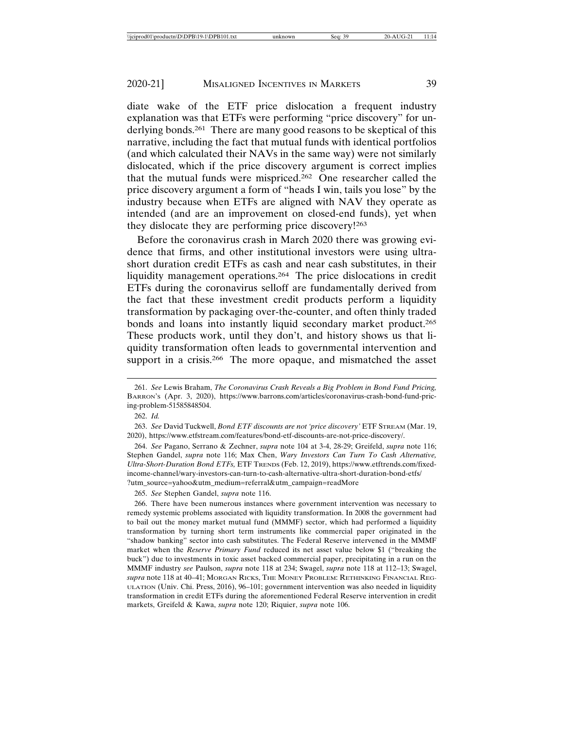diate wake of the ETF price dislocation a frequent industry explanation was that ETFs were performing "price discovery" for underlying bonds.261 There are many good reasons to be skeptical of this narrative, including the fact that mutual funds with identical portfolios (and which calculated their NAVs in the same way) were not similarly dislocated, which if the price discovery argument is correct implies that the mutual funds were mispriced.262 One researcher called the price discovery argument a form of "heads I win, tails you lose" by the industry because when ETFs are aligned with NAV they operate as intended (and are an improvement on closed-end funds), yet when they dislocate they are performing price discovery!263

Before the coronavirus crash in March 2020 there was growing evidence that firms, and other institutional investors were using ultrashort duration credit ETFs as cash and near cash substitutes, in their liquidity management operations.264 The price dislocations in credit ETFs during the coronavirus selloff are fundamentally derived from the fact that these investment credit products perform a liquidity transformation by packaging over-the-counter, and often thinly traded bonds and loans into instantly liquid secondary market product.265 These products work, until they don't, and history shows us that liquidity transformation often leads to governmental intervention and support in a crisis.<sup>266</sup> The more opaque, and mismatched the asset

265. *See* Stephen Gandel, *supra* note 116.

<sup>261.</sup> *See* Lewis Braham, *The Coronavirus Crash Reveals a Big Problem in Bond Fund Pricing,* BARRON'S (Apr. 3, 2020), https://www.barrons.com/articles/coronavirus-crash-bond-fund-pricing-problem-51585848504.

<sup>262.</sup> *Id.*

<sup>263.</sup> *See* David Tuckwell, *Bond ETF discounts are not 'price discovery'* ETF STREAM (Mar. 19, 2020), https://www.etfstream.com/features/bond-etf-discounts-are-not-price-discovery/.

<sup>264.</sup> *See* Pagano, Serrano & Zechner, *supra* note 104 at 3-4, 28-29; Greifeld, *supra* note 116; Stephen Gandel, *supra* note 116; Max Chen, *Wary Investors Can Turn To Cash Alternative, Ultra-Short-Duration Bond ETFs,* ETF TRENDS (Feb. 12, 2019), https://www.etftrends.com/fixedincome-channel/wary-investors-can-turn-to-cash-alternative-ultra-short-duration-bond-etfs/ ?utm\_source=yahoo&utm\_medium=referral&utm\_campaign=readMore

<sup>266.</sup> There have been numerous instances where government intervention was necessary to remedy systemic problems associated with liquidity transformation. In 2008 the government had to bail out the money market mutual fund (MMMF) sector, which had performed a liquidity transformation by turning short term instruments like commercial paper originated in the "shadow banking" sector into cash substitutes. The Federal Reserve intervened in the MMMF market when the *Reserve Primary Fund* reduced its net asset value below \$1 ("breaking the buck") due to investments in toxic asset backed commercial paper, precipitating in a run on the MMMF industry *see* Paulson, *supra* note 118 at 234; Swagel, *supra* note 118 at 112–13; Swagel, *supra* note 118 at 40–41; MORGAN RICKS, THE MONEY PROBLEM: RETHINKING FINANCIAL REG-ULATION (Univ. Chi. Press, 2016), 96–101; government intervention was also needed in liquidity transformation in credit ETFs during the aforementioned Federal Reserve intervention in credit markets, Greifeld & Kawa, *supra* note 120; Riquier, *supra* note 106.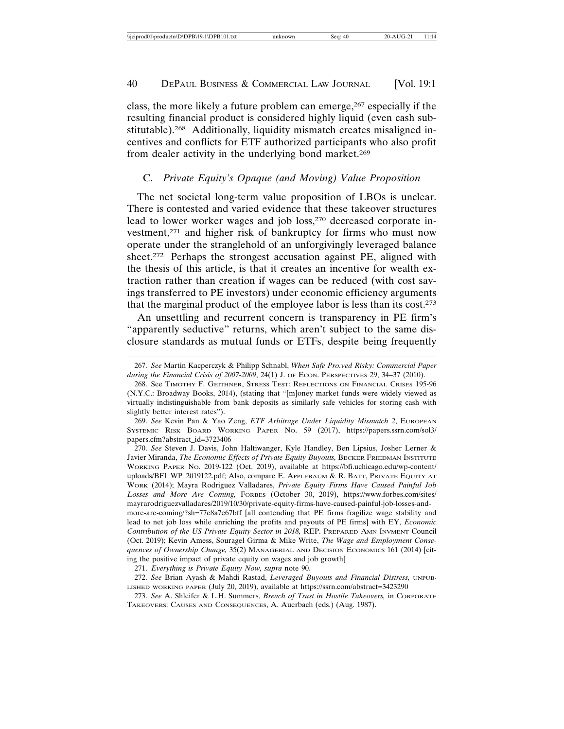class, the more likely a future problem can emerge,267 especially if the resulting financial product is considered highly liquid (even cash substitutable).268 Additionally, liquidity mismatch creates misaligned incentives and conflicts for ETF authorized participants who also profit from dealer activity in the underlying bond market.<sup>269</sup>

# C. *Private Equity's Opaque (and Moving) Value Proposition*

The net societal long-term value proposition of LBOs is unclear. There is contested and varied evidence that these takeover structures lead to lower worker wages and job loss,<sup>270</sup> decreased corporate investment,271 and higher risk of bankruptcy for firms who must now operate under the stranglehold of an unforgivingly leveraged balance sheet.272 Perhaps the strongest accusation against PE, aligned with the thesis of this article, is that it creates an incentive for wealth extraction rather than creation if wages can be reduced (with cost savings transferred to PE investors) under economic efficiency arguments that the marginal product of the employee labor is less than its cost.273

An unsettling and recurrent concern is transparency in PE firm's "apparently seductive" returns, which aren't subject to the same disclosure standards as mutual funds or ETFs, despite being frequently

270. *See* Steven J. Davis, John Haltiwanger, Kyle Handley, Ben Lipsius, Josher Lerner & Javier Miranda, *The Economic Effects of Private Equity Buyouts,* BECKER FRIEDMAN INSTITUTE WORKING PAPER NO. 2019-122 (Oct. 2019), available at https://bfi.uchicago.edu/wp-content/ uploads/BFI\_WP\_2019122.pdf; Also, compare E. APPLEBAUM & R. BATT, PRIVATE EQUITY AT WORK (2014); Mayra Rodriguez Valladares, *Private Equity Firms Have Caused Painful Job Losses and More Are Coming,* FORBES (October 30, 2019), https://www.forbes.com/sites/ mayrarodriguezvalladares/2019/10/30/private-equity-firms-have-caused-painful-job-losses-andmore-are-coming/?sh=77e8a7e67bff [all contending that PE firms fragilize wage stability and lead to net job loss while enriching the profits and payouts of PE firms] with EY, *Economic*

*Contribution of the US Private Equity Sector in 2018,* REP. PREPARED AMN INVMENT Council (Oct. 2019); Kevin Amess, Souragel Girma & Mike Write, *The Wage and Employment Consequences of Ownership Change,* 35(2) MANAGERIAL AND DECISION ECONOMICS 161 (2014) [citing the positive impact of private equity on wages and job growth]

271. *Everything is Private Equity Now, supra* note 90.

<sup>267.</sup> *See* Martin Kacperczyk & Philipp Schnabl, *When Safe Pro.ved Risky: Commercial Paper during the Financial Crisis of 2007-2009*, 24(1) J. OF ECON. PERSPECTIVES 29, 34–37 (2010).

<sup>268.</sup> See TIMOTHY F. GEITHNER, STRESS TEST: REFLECTIONS ON FINANCIAL CRISES 195-96 (N.Y.C.: Broadway Books, 2014), (stating that "[m]oney market funds were widely viewed as virtually indistinguishable from bank deposits as similarly safe vehicles for storing cash with slightly better interest rates").

<sup>269.</sup> *See* Kevin Pan & Yao Zeng, *ETF Arbitrage Under Liquidity Mismatch 2*, EUROPEAN SYSTEMIC RISK BOARD WORKING PAPER NO. 59 (2017), https://papers.ssrn.com/sol3/ papers.cfm?abstract\_id=3723406

<sup>272.</sup> *See* Brian Ayash & Mahdi Rastad, *Leveraged Buyouts and Financial Distress,* UNPUB-LISHED WORKING PAPER (July 20, 2019), available at https://ssrn.com/abstract=3423290

<sup>273.</sup> *See* A. Shleifer & L.H. Summers, *Breach of Trust in Hostile Takeovers,* in CORPORATE TAKEOVERS: CAUSES AND CONSEQUENCES, A. Auerbach (eds.) (Aug. 1987).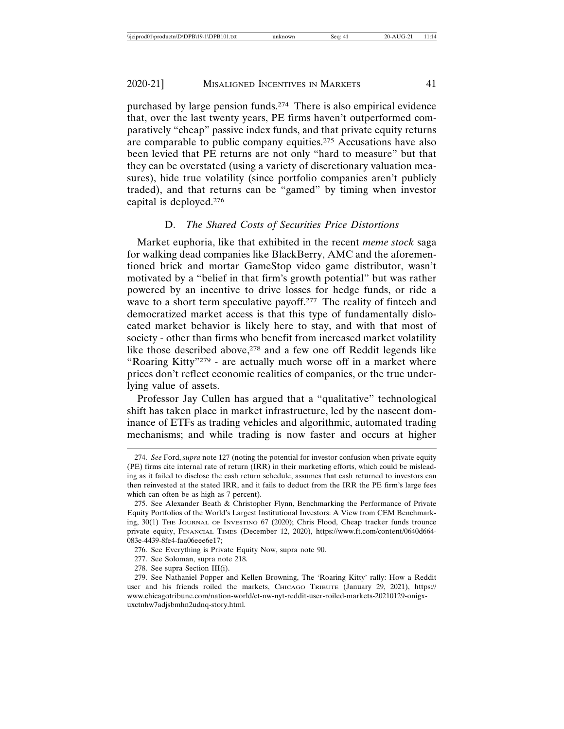purchased by large pension funds.274 There is also empirical evidence that, over the last twenty years, PE firms haven't outperformed comparatively "cheap" passive index funds, and that private equity returns are comparable to public company equities.275 Accusations have also been levied that PE returns are not only "hard to measure" but that they can be overstated (using a variety of discretionary valuation measures), hide true volatility (since portfolio companies aren't publicly traded), and that returns can be "gamed" by timing when investor capital is deployed.276

# D. *The Shared Costs of Securities Price Distortions*

Market euphoria, like that exhibited in the recent *meme stock* saga for walking dead companies like BlackBerry, AMC and the aforementioned brick and mortar GameStop video game distributor, wasn't motivated by a "belief in that firm's growth potential" but was rather powered by an incentive to drive losses for hedge funds, or ride a wave to a short term speculative payoff.<sup>277</sup> The reality of fintech and democratized market access is that this type of fundamentally dislocated market behavior is likely here to stay, and with that most of society - other than firms who benefit from increased market volatility like those described above,<sup>278</sup> and a few one off Reddit legends like "Roaring Kitty"279 - are actually much worse off in a market where prices don't reflect economic realities of companies, or the true underlying value of assets.

Professor Jay Cullen has argued that a "qualitative" technological shift has taken place in market infrastructure, led by the nascent dominance of ETFs as trading vehicles and algorithmic, automated trading mechanisms; and while trading is now faster and occurs at higher

<sup>274.</sup> *See* Ford, *supra* note 127 (noting the potential for investor confusion when private equity (PE) firms cite internal rate of return (IRR) in their marketing efforts, which could be misleading as it failed to disclose the cash return schedule, assumes that cash returned to investors can then reinvested at the stated IRR, and it fails to deduct from the IRR the PE firm's large fees which can often be as high as 7 percent).

<sup>275.</sup> See Alexander Beath & Christopher Flynn, Benchmarking the Performance of Private Equity Portfolios of the World's Largest Institutional Investors: A View from CEM Benchmarking, 30(1) THE JOURNAL OF INVESTING 67 (2020); Chris Flood, Cheap tracker funds trounce private equity, FINANCIAL TIMES (December 12, 2020), https://www.ft.com/content/0640d664- 083e-4439-8fe4-faa06eee6e17;

<sup>276.</sup> See Everything is Private Equity Now, supra note 90.

<sup>277.</sup> See Soloman, supra note 218.

<sup>278.</sup> See supra Section III(i).

<sup>279.</sup> See Nathaniel Popper and Kellen Browning, The 'Roaring Kitty' rally: How a Reddit user and his friends roiled the markets, CHICAGO TRIBUTE (January 29, 2021), https:// www.chicagotribune.com/nation-world/ct-nw-nyt-reddit-user-roiled-markets-20210129-onigxuxctnhw7adjsbmhn2udnq-story.html.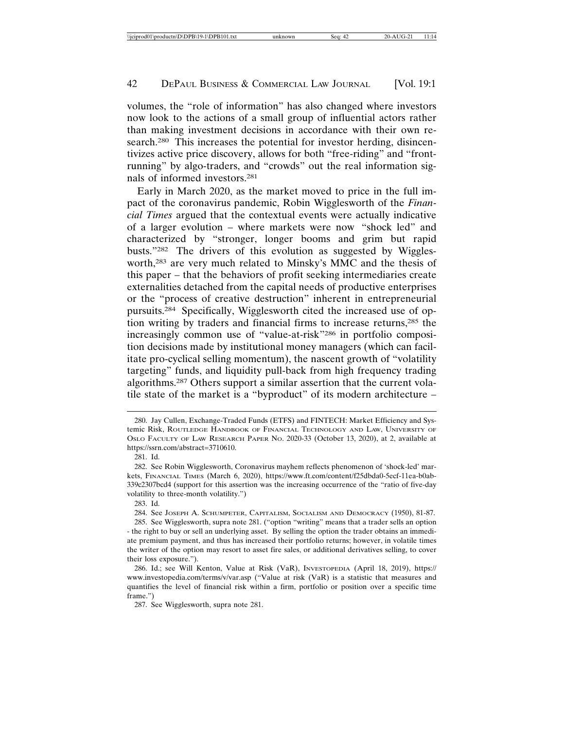volumes, the "role of information" has also changed where investors now look to the actions of a small group of influential actors rather than making investment decisions in accordance with their own research.<sup>280</sup> This increases the potential for investor herding, disincentivizes active price discovery, allows for both "free-riding" and "frontrunning" by algo-traders, and "crowds" out the real information signals of informed investors.281

Early in March 2020, as the market moved to price in the full impact of the coronavirus pandemic, Robin Wigglesworth of the *Financial Times* argued that the contextual events were actually indicative of a larger evolution – where markets were now "shock led" and characterized by "stronger, longer booms and grim but rapid busts."282 The drivers of this evolution as suggested by Wigglesworth,283 are very much related to Minsky's MMC and the thesis of this paper – that the behaviors of profit seeking intermediaries create externalities detached from the capital needs of productive enterprises or the "process of creative destruction" inherent in entrepreneurial pursuits.284 Specifically, Wigglesworth cited the increased use of option writing by traders and financial firms to increase returns,285 the increasingly common use of "value-at-risk"286 in portfolio composition decisions made by institutional money managers (which can facilitate pro-cyclical selling momentum), the nascent growth of "volatility targeting" funds, and liquidity pull-back from high frequency trading algorithms.287 Others support a similar assertion that the current volatile state of the market is a "byproduct" of its modern architecture –

<sup>280.</sup> Jay Cullen, Exchange-Traded Funds (ETFS) and FINTECH: Market Efficiency and Systemic Risk, ROUTLEDGE HANDBOOK OF FINANCIAL TECHNOLOGY AND LAW, UNIVERSITY OF OSLO FACULTY OF LAW RESEARCH PAPER NO. 2020-33 (October 13, 2020), at 2, available at https://ssrn.com/abstract=3710610.

<sup>281.</sup> Id.

<sup>282.</sup> See Robin Wigglesworth, Coronavirus mayhem reflects phenomenon of 'shock-led' markets, FINANCIAL TIMES (March 6, 2020), https://www.ft.com/content/f25dbda0-5ecf-11ea-b0ab-339c2307bcd4 (support for this assertion was the increasing occurrence of the "ratio of five-day volatility to three-month volatility.")

<sup>283.</sup> Id.

<sup>284.</sup> See JOSEPH A. SCHUMPETER, CAPITALISM, SOCIALISM AND DEMOCRACY (1950), 81-87. 285. See Wigglesworth, supra note 281. ("option "writing" means that a trader sells an option

<sup>-</sup> the right to buy or sell an underlying asset. By selling the option the trader obtains an immediate premium payment, and thus has increased their portfolio returns; however, in volatile times the writer of the option may resort to asset fire sales, or additional derivatives selling, to cover their loss exposure.").

<sup>286.</sup> Id.; see Will Kenton, Value at Risk (VaR), INVESTOPEDIA (April 18, 2019), https:// www.investopedia.com/terms/v/var.asp ("Value at risk (VaR) is a statistic that measures and quantifies the level of financial risk within a firm, portfolio or position over a specific time frame.")

<sup>287.</sup> See Wigglesworth, supra note 281.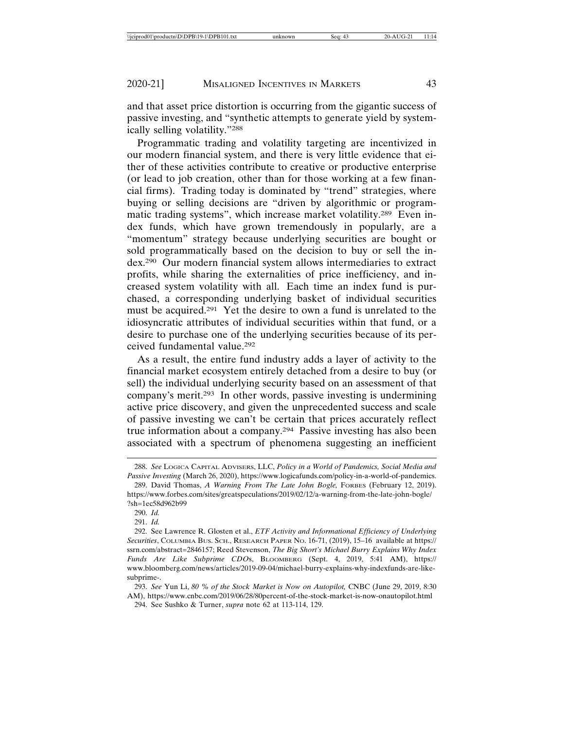and that asset price distortion is occurring from the gigantic success of passive investing, and "synthetic attempts to generate yield by systemically selling volatility."288

Programmatic trading and volatility targeting are incentivized in our modern financial system, and there is very little evidence that either of these activities contribute to creative or productive enterprise (or lead to job creation, other than for those working at a few financial firms). Trading today is dominated by "trend" strategies, where buying or selling decisions are "driven by algorithmic or programmatic trading systems", which increase market volatility.289 Even index funds, which have grown tremendously in popularly, are a "momentum" strategy because underlying securities are bought or sold programmatically based on the decision to buy or sell the index.290 Our modern financial system allows intermediaries to extract profits, while sharing the externalities of price inefficiency, and increased system volatility with all. Each time an index fund is purchased, a corresponding underlying basket of individual securities must be acquired.291 Yet the desire to own a fund is unrelated to the idiosyncratic attributes of individual securities within that fund, or a desire to purchase one of the underlying securities because of its perceived fundamental value.292

As a result, the entire fund industry adds a layer of activity to the financial market ecosystem entirely detached from a desire to buy (or sell) the individual underlying security based on an assessment of that company's merit.293 In other words, passive investing is undermining active price discovery, and given the unprecedented success and scale of passive investing we can't be certain that prices accurately reflect true information about a company.294 Passive investing has also been associated with a spectrum of phenomena suggesting an inefficient

<sup>288.</sup> *See* LOGICA CAPITAL ADVISERS, LLC, *Policy in a World of Pandemics, Social Media and Passive Investing* (March 26, 2020), https://www.logicafunds.com/policy-in-a-world-of-pandemics.

<sup>289.</sup> David Thomas, *A Warning From The Late John Bogle,* FORBES (February 12, 2019). https://www.forbes.com/sites/greatspeculations/2019/02/12/a-warning-from-the-late-john-bogle/ ?sh=1ec58d962b99

<sup>290.</sup> *Id.*

<sup>291.</sup> *Id.*

<sup>292.</sup> See Lawrence R. Glosten et al., *ETF Activity and Informational Efficiency of Underlying Securities*, COLUMBIA BUS. SCH., RESEARCH PAPER NO. 16-71, (2019), 15–16 available at https:// ssrn.com/abstract=2846157; Reed Stevenson, *The Big Short's Michael Burry Explains Why Index Funds Are Like Subprime CDO*s, BLOOMBERG (Sept. 4, 2019, 5:41 AM), https:// www.bloomberg.com/news/articles/2019-09-04/michael-burry-explains-why-indexfunds-are-likesubprime-.

<sup>293.</sup> *See* Yun Li, *80 % of the Stock Market is Now on Autopilot,* CNBC (June 29, 2019, 8:30 AM), https://www.cnbc.com/2019/06/28/80percent-of-the-stock-market-is-now-onautopilot.html

<sup>294.</sup> See Sushko & Turner, *supra* note 62 at 113-114, 129.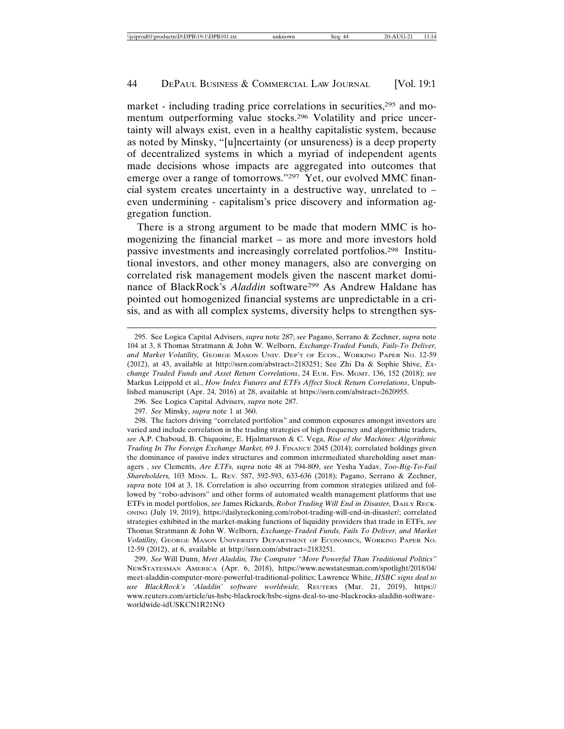market - including trading price correlations in securities,<sup>295</sup> and momentum outperforming value stocks.296 Volatility and price uncertainty will always exist, even in a healthy capitalistic system, because as noted by Minsky, "[u]ncertainty (or unsureness) is a deep property of decentralized systems in which a myriad of independent agents made decisions whose impacts are aggregated into outcomes that emerge over a range of tomorrows."297 Yet, our evolved MMC financial system creates uncertainty in a destructive way, unrelated to – even undermining - capitalism's price discovery and information aggregation function.

There is a strong argument to be made that modern MMC is homogenizing the financial market – as more and more investors hold passive investments and increasingly correlated portfolios.298 Institutional investors, and other money managers, also are converging on correlated risk management models given the nascent market dominance of BlackRock's *Aladdin* software299 As Andrew Haldane has pointed out homogenized financial systems are unpredictable in a crisis, and as with all complex systems, diversity helps to strengthen sys-

<sup>295.</sup> See Logica Capital Advisers, *supra* note 287; *see* Pagano, Serrano & Zechner, *supra* note 104 at 3, 8 Thomas Stratmann & John W. Welborn, *Exchange-Traded Funds, Fails-To Deliver, and Market Volatility,* GEORGE MASON UNIV. DEP'T OF ECON., WORKING PAPER NO. 12-59 (2012), at 43, available at http://ssrn.com/abstract=2183251; See Zhi Da & Sophie Shive, *Exchange Traded Funds and Asset Return Correlations*, 24 EUR. FIN. MGMT. 136, 152 (2018); *see* Markus Leippold et al., *How Index Futures and ETFs Affect Stock Return Correlations*, Unpublished manuscript (Apr. 24, 2016) at 28, available at https://ssrn.com/abstract=2620955.

<sup>296.</sup> See Logica Capital Advisers, *supra* note 287.

<sup>297.</sup> *See* Minsky, *supra* note 1 at 360.

<sup>298.</sup> The factors driving "correlated portfolios" and common exposures amongst investors are varied and include correlation in the trading strategies of high frequency and algorithmic traders, *see* A.P. Chaboud, B. Chiquoine, E. Hjalmarsson & C. Vega, *Rise of the Machines: Algorithmic Trading In The Foreign Exchange Market,* 69 J. FINANCE 2045 (2014); correlated holdings given the dominance of passive index structures and common intermediated shareholding asset managers , *see* Clements, *Are ETFs, supra* note 48 at 794-809, *see* Yesha Yadav, *Too-Big-To-Fail Shareholders,* 103 MINN. L. REV. 587, 592-593, 633-636 (2018); Pagano, Serrano & Zechner, *supra* note 104 at 3, 18. Correlation is also occurring from common strategies utilized and followed by "robo-advisors" and other forms of automated wealth management platforms that use ETFs in model portfolios, *see* James Rickards, *Robot Trading Will End in Disaster,* DAILY RECK-ONING (July 19, 2019), https://dailyreckoning.com/robot-trading-will-end-in-disaster/; correlated strategies exhibited in the market-making functions of liquidity providers that trade in ETFs, *see* Thomas Stratmann & John W. Welborn, *Exchange-Traded Funds, Fails To Deliver, and Market Volatility,* GEORGE MASON UNIVERSITY DEPARTMENT OF ECONOMICS, WORKING PAPER NO. 12-59 (2012), at 6, available at http://ssrn.com/abstract=2183251.

<sup>299.</sup> *See* Will Dunn, *Meet Aladdin, The Computer "More Powerful Than Traditional Politics"* NEWSTATESMAN AMERICA (Apr. 6, 2018), https://www.newstatesman.com/spotlight/2018/04/ meet-aladdin-computer-more-powerful-traditional-politics; Lawrence White, *HSBC signs deal to use BlackRock's 'Aladdin' software worldwide,* REUTERS (Mar. 21, 2019), https:// www.reuters.com/article/us-hsbc-blackrock/hsbc-signs-deal-to-use-blackrocks-aladdin-softwareworldwide-idUSKCN1R21NO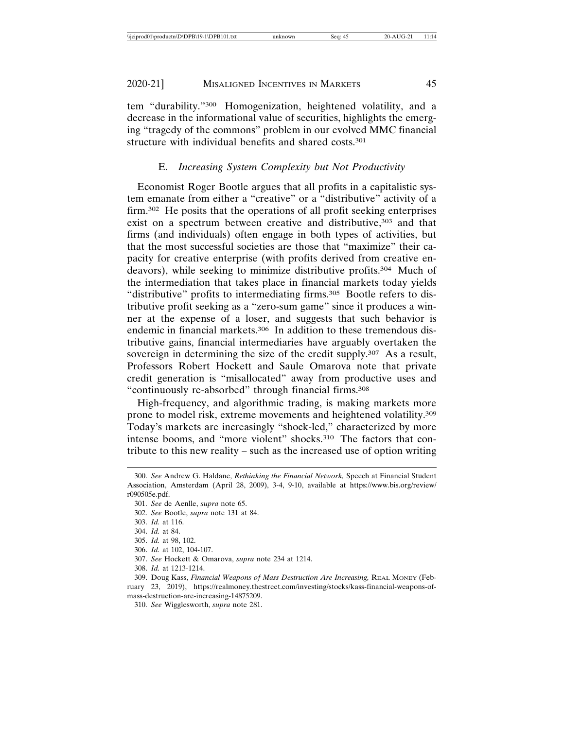tem "durability."300 Homogenization, heightened volatility, and a decrease in the informational value of securities, highlights the emerging "tragedy of the commons" problem in our evolved MMC financial structure with individual benefits and shared costs.301

# E. *Increasing System Complexity but Not Productivity*

Economist Roger Bootle argues that all profits in a capitalistic system emanate from either a "creative" or a "distributive" activity of a firm.302 He posits that the operations of all profit seeking enterprises exist on a spectrum between creative and distributive,<sup>303</sup> and that firms (and individuals) often engage in both types of activities, but that the most successful societies are those that "maximize" their capacity for creative enterprise (with profits derived from creative endeavors), while seeking to minimize distributive profits.304 Much of the intermediation that takes place in financial markets today yields "distributive" profits to intermediating firms.<sup>305</sup> Bootle refers to distributive profit seeking as a "zero-sum game" since it produces a winner at the expense of a loser, and suggests that such behavior is endemic in financial markets.<sup>306</sup> In addition to these tremendous distributive gains, financial intermediaries have arguably overtaken the sovereign in determining the size of the credit supply.<sup>307</sup> As a result, Professors Robert Hockett and Saule Omarova note that private credit generation is "misallocated" away from productive uses and "continuously re-absorbed" through financial firms.308

High-frequency, and algorithmic trading, is making markets more prone to model risk, extreme movements and heightened volatility.309 Today's markets are increasingly "shock-led," characterized by more intense booms, and "more violent" shocks.310 The factors that contribute to this new reality – such as the increased use of option writing

307. *See* Hockett & Omarova, *supra* note 234 at 1214.

<sup>300.</sup> *See* Andrew G. Haldane, *Rethinking the Financial Network,* Speech at Financial Student Association, Amsterdam (April 28, 2009), 3-4, 9-10, available at https://www.bis.org/review/ r090505e.pdf.

<sup>301.</sup> *See* de Aenlle, *supra* note 65.

<sup>302.</sup> *See* Bootle, *supra* note 131 at 84.

<sup>303.</sup> *Id.* at 116.

<sup>304.</sup> *Id.* at 84.

<sup>305.</sup> *Id.* at 98, 102.

<sup>306.</sup> *Id.* at 102, 104-107.

<sup>308.</sup> *Id.* at 1213-1214.

<sup>309.</sup> Doug Kass, *Financial Weapons of Mass Destruction Are Increasing,* REAL MONEY (February 23, 2019), https://realmoney.thestreet.com/investing/stocks/kass-financial-weapons-ofmass-destruction-are-increasing-14875209.

<sup>310.</sup> *See* Wigglesworth, *supra* note 281.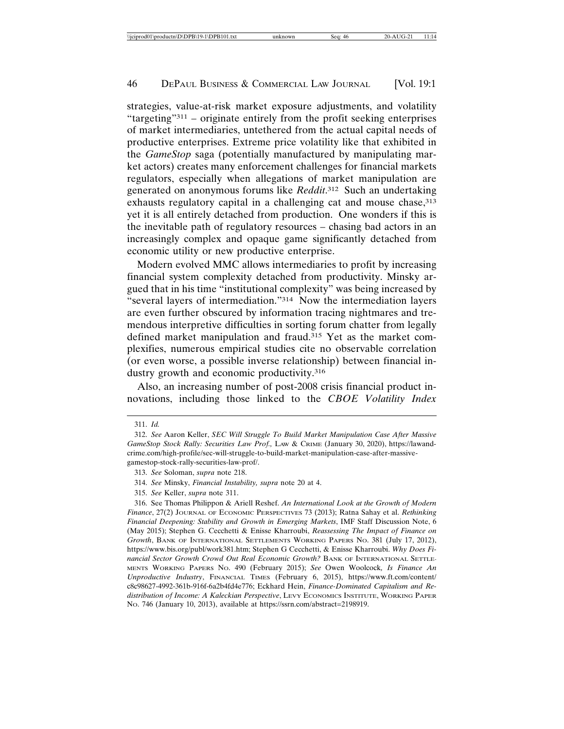strategies, value-at-risk market exposure adjustments, and volatility "targeting"311 – originate entirely from the profit seeking enterprises of market intermediaries, untethered from the actual capital needs of productive enterprises. Extreme price volatility like that exhibited in the *GameStop* saga (potentially manufactured by manipulating market actors) creates many enforcement challenges for financial markets regulators, especially when allegations of market manipulation are generated on anonymous forums like *Reddit*. 312 Such an undertaking exhausts regulatory capital in a challenging cat and mouse chase, 313 yet it is all entirely detached from production. One wonders if this is the inevitable path of regulatory resources – chasing bad actors in an increasingly complex and opaque game significantly detached from economic utility or new productive enterprise.

Modern evolved MMC allows intermediaries to profit by increasing financial system complexity detached from productivity. Minsky argued that in his time "institutional complexity" was being increased by "several layers of intermediation."314 Now the intermediation layers are even further obscured by information tracing nightmares and tremendous interpretive difficulties in sorting forum chatter from legally defined market manipulation and fraud.315 Yet as the market complexifies, numerous empirical studies cite no observable correlation (or even worse, a possible inverse relationship) between financial industry growth and economic productivity.<sup>316</sup>

Also, an increasing number of post-2008 crisis financial product innovations, including those linked to the *CBOE Volatility Index*

<sup>311.</sup> *Id.*

<sup>312.</sup> *See* Aaron Keller, *SEC Will Struggle To Build Market Manipulation Case After Massive GameStop Stock Rally: Securities Law Prof.,* LAW & CRIME (January 30, 2020), https://lawandcrime.com/high-profile/sec-will-struggle-to-build-market-manipulation-case-after-massivegamestop-stock-rally-securities-law-prof/.

<sup>313.</sup> *See* Soloman, *supra* note 218.

<sup>314.</sup> *See* Minsky, *Financial Instability, supra* note 20 at 4.

<sup>315.</sup> *See* Keller, *supra* note 311.

<sup>316.</sup> See Thomas Philippon & Ariell Reshef. *An International Look at the Growth of Modern Finance*, 27(2) JOURNAL OF ECONOMIC PERSPECTIVES 73 (2013); Ratna Sahay et al. *Rethinking Financial Deepening: Stability and Growth in Emerging Markets*, IMF Staff Discussion Note, 6 (May 2015); Stephen G. Cecchetti & Enisse Kharroubi, *Reassessing The Impact of Finance on Growth*, BANK OF INTERNATIONAL SETTLEMENTS WORKING PAPERS NO. 381 (July 17, 2012), https://www.bis.org/publ/work381.htm; Stephen G Cecchetti, & Enisse Kharroubi. *Why Does Financial Sector Growth Crowd Out Real Economic Growth?* BANK OF INTERNATIONAL SETTLE-MENTS WORKING PAPERS NO. 490 (February 2015); *See* Owen Woolcock*, Is Finance An Unproductive Industry*, FINANCIAL TIMES (February 6, 2015), https://www.ft.com/content/ c8c98627-4992-361b-916f-6a2b4fd4e776; Eckhard Hein, *Finance-Dominated Capitalism and Redistribution of Income: A Kaleckian Perspective*, LEVY ECONOMICS INSTITUTE, WORKING PAPER NO. 746 (January 10, 2013), available at https://ssrn.com/abstract=2198919.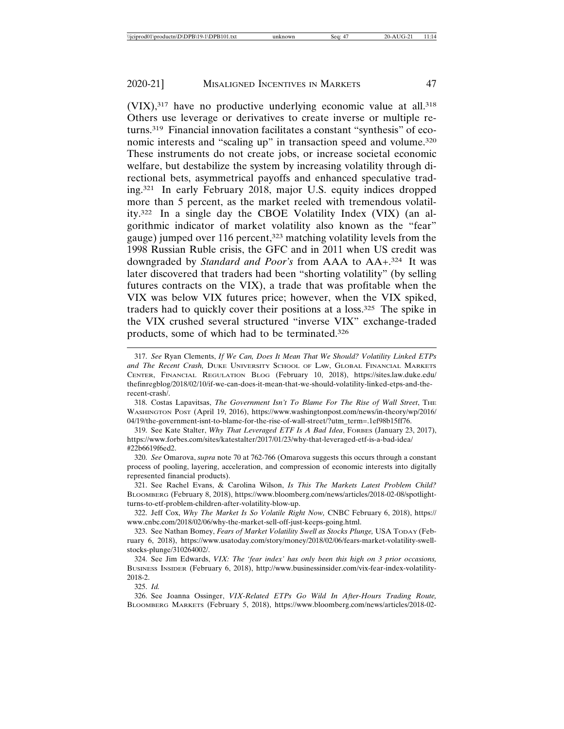$(VIX)$ ,<sup>317</sup> have no productive underlying economic value at all.<sup>318</sup> Others use leverage or derivatives to create inverse or multiple returns.319 Financial innovation facilitates a constant "synthesis" of economic interests and "scaling up" in transaction speed and volume.<sup>320</sup> These instruments do not create jobs, or increase societal economic welfare, but destabilize the system by increasing volatility through directional bets, asymmetrical payoffs and enhanced speculative trading.321 In early February 2018, major U.S. equity indices dropped more than 5 percent, as the market reeled with tremendous volatility.322 In a single day the CBOE Volatility Index (VIX) (an algorithmic indicator of market volatility also known as the "fear" gauge) jumped over 116 percent,<sup>323</sup> matching volatility levels from the 1998 Russian Ruble crisis, the GFC and in 2011 when US credit was downgraded by *Standard and Poor's* from AAA to AA+.324 It was later discovered that traders had been "shorting volatility" (by selling futures contracts on the VIX), a trade that was profitable when the VIX was below VIX futures price; however, when the VIX spiked, traders had to quickly cover their positions at a loss.325 The spike in the VIX crushed several structured "inverse VIX" exchange-traded products, some of which had to be terminated.326

325. *Id.*

<sup>317.</sup> *See* Ryan Clements, *If We Can, Does It Mean That We Should? Volatility Linked ETPs and The Recent Crash,* DUKE UNIVERSITY SCHOOL OF LAW, GLOBAL FINANCIAL MARKETS CENTER, FINANCIAL REGULATION BLOG (February 10, 2018), https://sites.law.duke.edu/ thefinregblog/2018/02/10/if-we-can-does-it-mean-that-we-should-volatility-linked-etps-and-therecent-crash/.

<sup>318.</sup> Costas Lapavitsas, *The Government Isn't To Blame For The Rise of Wall Street*, THE WASHINGTON POST (April 19, 2016), https://www.washingtonpost.com/news/in-theory/wp/2016/ 04/19/the-government-isnt-to-blame-for-the-rise-of-wall-street/?utm\_term=.1ef98b15ff76.

<sup>319.</sup> See Kate Stalter, *Why That Leveraged ETF Is A Bad Idea*, FORBES (January 23, 2017), https://www.forbes.com/sites/katestalter/2017/01/23/why-that-leveraged-etf-is-a-bad-idea/ #22b6619f6ed2.

<sup>320.</sup> *See* Omarova, *supra* note 70 at 762-766 (Omarova suggests this occurs through a constant process of pooling, layering, acceleration, and compression of economic interests into digitally represented financial products).

<sup>321.</sup> See Rachel Evans, & Carolina Wilson, *Is This The Markets Latest Problem Child?* BLOOMBERG (February 8, 2018), https://www.bloomberg.com/news/articles/2018-02-08/spotlightturns-to-etf-problem-children-after-volatility-blow-up.

<sup>322.</sup> Jeff Cox, *Why The Market Is So Volatile Right Now,* CNBC February 6, 2018), https:// www.cnbc.com/2018/02/06/why-the-market-sell-off-just-keeps-going.html.

<sup>323.</sup> See Nathan Bomey, *Fears of Market Volatility Swell as Stocks Plunge,* USA TODAY (February 6, 2018), https://www.usatoday.com/story/money/2018/02/06/fears-market-volatility-swellstocks-plunge/310264002/.

<sup>324.</sup> See Jim Edwards, *VIX: The 'fear index' has only been this high on 3 prior occasions,* BUSINESS INSIDER (February 6, 2018), http://www.businessinsider.com/vix-fear-index-volatility-2018-2.

<sup>326.</sup> See Joanna Ossinger, *VIX-Related ETPs Go Wild In After-Hours Trading Route,* BLOOMBERG MARKETS (February 5, 2018), https://www.bloomberg.com/news/articles/2018-02-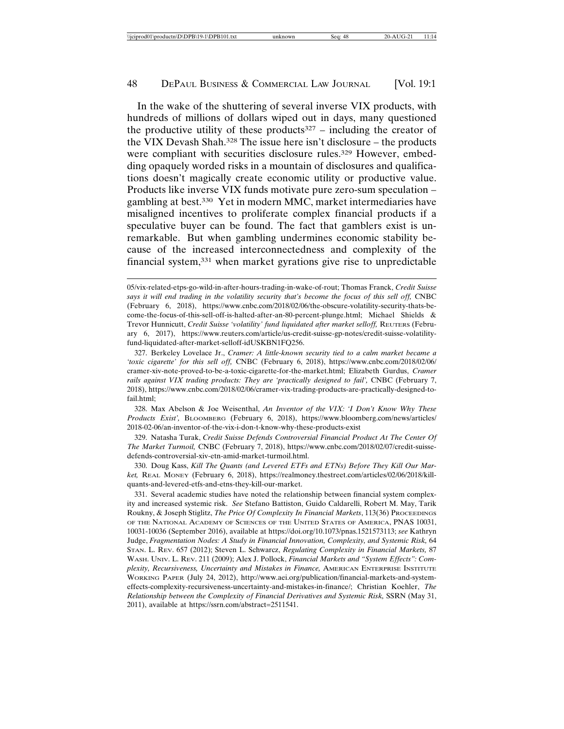In the wake of the shuttering of several inverse VIX products, with hundreds of millions of dollars wiped out in days, many questioned the productive utility of these products<sup>327</sup> – including the creator of the VIX Devash Shah.328 The issue here isn't disclosure – the products were compliant with securities disclosure rules.<sup>329</sup> However, embedding opaquely worded risks in a mountain of disclosures and qualifications doesn't magically create economic utility or productive value. Products like inverse VIX funds motivate pure zero-sum speculation – gambling at best.330 Yet in modern MMC, market intermediaries have misaligned incentives to proliferate complex financial products if a speculative buyer can be found. The fact that gamblers exist is unremarkable. But when gambling undermines economic stability because of the increased interconnectedness and complexity of the financial system,331 when market gyrations give rise to unpredictable

328. Max Abelson & Joe Weisenthal, *An Inventor of the VIX: 'I Don't Know Why These Products Exist',* BLOOMBERG (February 6, 2018), https://www.bloomberg.com/news/articles/ 2018-02-06/an-inventor-of-the-vix-i-don-t-know-why-these-products-exist

329. Natasha Turak, *Credit Suisse Defends Controversial Financial Product At The Center Of The Market Turmoil,* CNBC (February 7, 2018), https://www.cnbc.com/2018/02/07/credit-suissedefends-controversial-xiv-etn-amid-market-turmoil.html.

330. Doug Kass, *Kill The Quants (and Levered ETFs and ETNs) Before They Kill Our Market,* REAL MONEY (February 6, 2018), https://realmoney.thestreet.com/articles/02/06/2018/killquants-and-levered-etfs-and-etns-they-kill-our-market.

<sup>05/</sup>vix-related-etps-go-wild-in-after-hours-trading-in-wake-of-rout; Thomas Franck, *Credit Suisse* says it will end trading in the volatility security that's become the focus of this sell off, CNBC (February 6, 2018), https://www.cnbc.com/2018/02/06/the-obscure-volatility-security-thats-become-the-focus-of-this-sell-off-is-halted-after-an-80-percent-plunge.html; Michael Shields & Trevor Hunnicutt, Credit Suisse 'volatility' fund liquidated after market selloff, REUTERS (February 6, 2017), https://www.reuters.com/article/us-credit-suisse-gp-notes/credit-suisse-volatilityfund-liquidated-after-market-selloff-idUSKBN1FQ256.

<sup>327.</sup> Berkeley Lovelace Jr., *Cramer: A little-known security tied to a calm market became a 'toxic cigarette' for this sell off,* CNBC (February 6, 2018), https://www.cnbc.com/2018/02/06/ cramer-xiv-note-proved-to-be-a-toxic-cigarette-for-the-market.html; Elizabeth Gurdus, *Cramer rails against VIX trading products: They are 'practically designed to fail',* CNBC (February 7, 2018), https://www.cnbc.com/2018/02/06/cramer-vix-trading-products-are-practically-designed-tofail.html;

<sup>331.</sup> Several academic studies have noted the relationship between financial system complexity and increased systemic risk. *See* Stefano Battiston, Guido Caldarelli, Robert M. May, Tarik Roukny, & Joseph Stiglitz, *The Price Of Complexity In Financial Markets*, 113(36) PROCEEDINGS OF THE NATIONAL ACADEMY OF SCIENCES OF THE UNITED STATES OF AMERICA, PNAS 10031, 10031-10036 (September 2016), available at https://doi.org/10.1073/pnas.1521573113; *see* Kathryn Judge, *Fragmentation Nodes: A Study in Financial Innovation, Complexity, and Systemic Risk,* 64 STAN. L. REV. 657 (2012); Steven L. Schwarcz, *Regulating Complexity in Financial Markets,* 87 WASH. UNIV. L. REV. 211 (2009); Alex J. Pollock, *Financial Markets and "System Effects": Complexity, Recursiveness, Uncertainty and Mistakes in Finance,* AMERICAN ENTERPRISE INSTITUTE WORKING PAPER (July 24, 2012), http://www.aei.org/publication/financial-markets-and-systemeffects-complexity-recursiveness-uncertainty-and-mistakes-in-finance/; Christian Koehler, *The Relationship between the Complexity of Financial Derivatives and Systemic Risk,* SSRN (May 31, 2011), available at https://ssrn.com/abstract=2511541.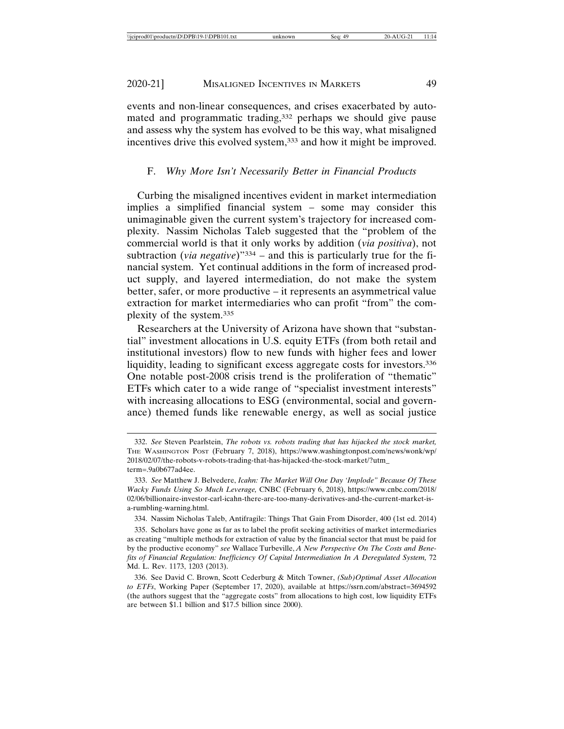events and non-linear consequences, and crises exacerbated by automated and programmatic trading,<sup>332</sup> perhaps we should give pause and assess why the system has evolved to be this way, what misaligned incentives drive this evolved system,<sup>333</sup> and how it might be improved.

# F. *Why More Isn't Necessarily Better in Financial Products*

Curbing the misaligned incentives evident in market intermediation implies a simplified financial system – some may consider this unimaginable given the current system's trajectory for increased complexity. Nassim Nicholas Taleb suggested that the "problem of the commercial world is that it only works by addition (*via positiva*), not subtraction (*via negative*)"334 – and this is particularly true for the financial system. Yet continual additions in the form of increased product supply, and layered intermediation, do not make the system better, safer, or more productive – it represents an asymmetrical value extraction for market intermediaries who can profit "from" the complexity of the system.335

Researchers at the University of Arizona have shown that "substantial" investment allocations in U.S. equity ETFs (from both retail and institutional investors) flow to new funds with higher fees and lower liquidity, leading to significant excess aggregate costs for investors.<sup>336</sup> One notable post-2008 crisis trend is the proliferation of "thematic" ETFs which cater to a wide range of "specialist investment interests" with increasing allocations to ESG (environmental, social and governance) themed funds like renewable energy, as well as social justice

<sup>332.</sup> *See* Steven Pearlstein, *The robots vs. robots trading that has hijacked the stock market,* THE WASHINGTON POST (February 7, 2018), https://www.washingtonpost.com/news/wonk/wp/ 2018/02/07/the-robots-v-robots-trading-that-has-hijacked-the-stock-market/?utm\_ term=.9a0b677ad4ee.

<sup>333.</sup> *See* Matthew J. Belvedere, *Icahn: The Market Will One Day 'Implode" Because Of These Wacky Funds Using So Much Leverage,* CNBC (February 6, 2018), https://www.cnbc.com/2018/ 02/06/billionaire-investor-carl-icahn-there-are-too-many-derivatives-and-the-current-market-isa-rumbling-warning.html.

<sup>334.</sup> Nassim Nicholas Taleb, Antifragile: Things That Gain From Disorder, 400 (1st ed. 2014)

<sup>335.</sup> Scholars have gone as far as to label the profit seeking activities of market intermediaries as creating "multiple methods for extraction of value by the financial sector that must be paid for by the productive economy" *see* Wallace Turbeville, *A New Perspective On The Costs and Bene*fits of Financial Regulation: Inefficiency Of Capital Intermediation In A Deregulated System, 72 Md. L. Rev. 1173, 1203 (2013).

<sup>336.</sup> See David C. Brown, Scott Cederburg & Mitch Towner, *(Sub)Optimal Asset Allocation to ETFs*, Working Paper (September 17, 2020), available at https://ssrn.com/abstract=3694592 (the authors suggest that the "aggregate costs" from allocations to high cost, low liquidity ETFs are between \$1.1 billion and \$17.5 billion since 2000).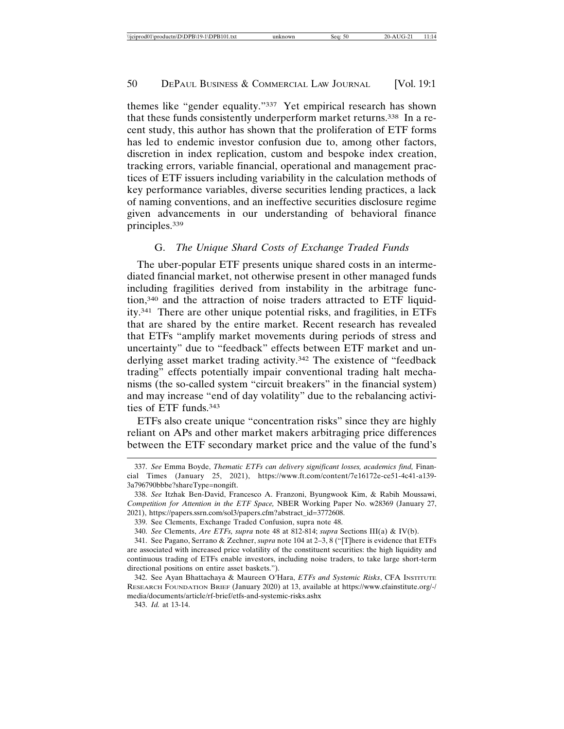themes like "gender equality."337 Yet empirical research has shown that these funds consistently underperform market returns.338 In a recent study, this author has shown that the proliferation of ETF forms has led to endemic investor confusion due to, among other factors, discretion in index replication, custom and bespoke index creation, tracking errors, variable financial, operational and management practices of ETF issuers including variability in the calculation methods of key performance variables, diverse securities lending practices, a lack of naming conventions, and an ineffective securities disclosure regime given advancements in our understanding of behavioral finance principles.339

# G. *The Unique Shard Costs of Exchange Traded Funds*

The uber-popular ETF presents unique shared costs in an intermediated financial market, not otherwise present in other managed funds including fragilities derived from instability in the arbitrage function,340 and the attraction of noise traders attracted to ETF liquidity.341 There are other unique potential risks, and fragilities, in ETFs that are shared by the entire market. Recent research has revealed that ETFs "amplify market movements during periods of stress and uncertainty" due to "feedback" effects between ETF market and underlying asset market trading activity.<sup>342</sup> The existence of "feedback trading" effects potentially impair conventional trading halt mechanisms (the so-called system "circuit breakers" in the financial system) and may increase "end of day volatility" due to the rebalancing activities of ETF funds.343

ETFs also create unique "concentration risks" since they are highly reliant on APs and other market makers arbitraging price differences between the ETF secondary market price and the value of the fund's

<sup>337.</sup> *See* Emma Boyde, *Thematic ETFs can delivery significant losses, academics find,* Financial Times (January 25, 2021), https://www.ft.com/content/7e16172e-ce51-4c41-a139- 3a796790bbbe?shareType=nongift.

<sup>338.</sup> *See* Itzhak Ben-David, Francesco A. Franzoni, Byungwook Kim, & Rabih Moussawi, *Competition for Attention in the ETF Space,* NBER Working Paper No. w28369 (January 27, 2021), https://papers.ssrn.com/sol3/papers.cfm?abstract\_id=3772608.

<sup>339.</sup> See Clements, Exchange Traded Confusion, supra note 48.

<sup>340.</sup> *See* Clements, *Are ETFs, supra* note 48 at 812-814; *supra* Sections III(a) & IV(b).

<sup>341.</sup> See Pagano, Serrano & Zechner, *supra* note 104 at 2–3, 8 ("[T]here is evidence that ETFs are associated with increased price volatility of the constituent securities: the high liquidity and continuous trading of ETFs enable investors, including noise traders, to take large short-term directional positions on entire asset baskets.").

<sup>342.</sup> See Ayan Bhattachaya & Maureen O'Hara, *ETFs and Systemic Risks*, CFA INSTITUTE RESEARCH FOUNDATION BRIEF (January 2020) at 13, available at https://www.cfainstitute.org/-/ media/documents/article/rf-brief/etfs-and-systemic-risks.ashx

<sup>343.</sup> *Id.* at 13-14.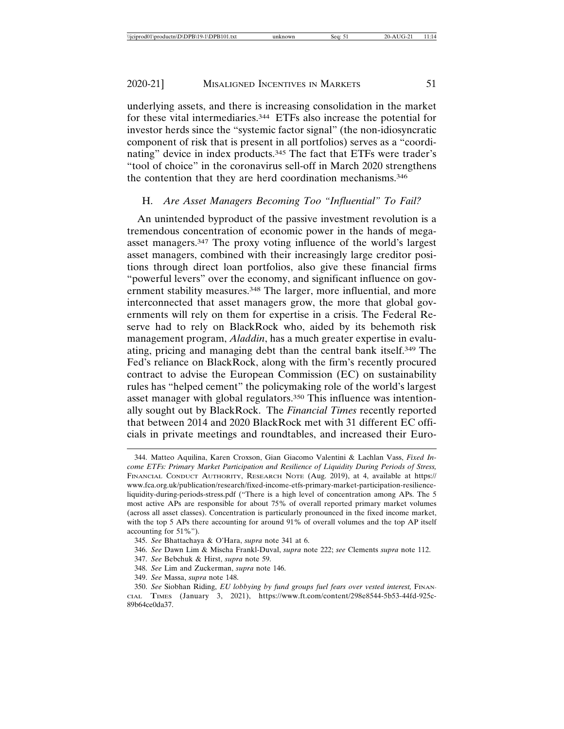underlying assets, and there is increasing consolidation in the market for these vital intermediaries.344 ETFs also increase the potential for investor herds since the "systemic factor signal" (the non-idiosyncratic component of risk that is present in all portfolios) serves as a "coordinating" device in index products.345 The fact that ETFs were trader's "tool of choice" in the coronavirus sell-off in March 2020 strengthens the contention that they are herd coordination mechanisms.346

# H. *Are Asset Managers Becoming Too "Influential" To Fail?*

An unintended byproduct of the passive investment revolution is a tremendous concentration of economic power in the hands of megaasset managers.347 The proxy voting influence of the world's largest asset managers, combined with their increasingly large creditor positions through direct loan portfolios, also give these financial firms "powerful levers" over the economy, and significant influence on government stability measures.<sup>348</sup> The larger, more influential, and more interconnected that asset managers grow, the more that global governments will rely on them for expertise in a crisis. The Federal Reserve had to rely on BlackRock who, aided by its behemoth risk management program, *Aladdin*, has a much greater expertise in evaluating, pricing and managing debt than the central bank itself.349 The Fed's reliance on BlackRock, along with the firm's recently procured contract to advise the European Commission (EC) on sustainability rules has "helped cement" the policymaking role of the world's largest asset manager with global regulators.<sup>350</sup> This influence was intentionally sought out by BlackRock. The *Financial Times* recently reported that between 2014 and 2020 BlackRock met with 31 different EC officials in private meetings and roundtables, and increased their Euro-

<sup>344.</sup> Matteo Aquilina, Karen Croxson, Gian Giacomo Valentini & Lachlan Vass, *Fixed Income ETFs: Primary Market Participation and Resilience of Liquidity During Periods of Stress,* FINANCIAL CONDUCT AUTHORITY, RESEARCH NOTE (Aug. 2019), at 4, available at https:// www.fca.org.uk/publication/research/fixed-income-etfs-primary-market-participation-resilienceliquidity-during-periods-stress.pdf ("There is a high level of concentration among APs. The 5 most active APs are responsible for about 75% of overall reported primary market volumes (across all asset classes). Concentration is particularly pronounced in the fixed income market, with the top 5 APs there accounting for around 91% of overall volumes and the top AP itself accounting for 51%").

<sup>345.</sup> *See* Bhattachaya & O'Hara, *supra* note 341 at 6.

<sup>346.</sup> *See* Dawn Lim & Mischa Frankl-Duval, *supra* note 222; *see* Clements *supra* note 112.

<sup>347.</sup> *See* Bebchuk & Hirst, *supra* note 59.

<sup>348.</sup> *See* Lim and Zuckerman, *supra* note 146.

<sup>349.</sup> *See* Massa, *supra* note 148.

<sup>350.</sup> See Siobhan Riding, *EU lobbying by fund groups fuel fears over vested interest*, FINAN-CIAL TIMES (January 3, 2021), https://www.ft.com/content/298e8544-5b53-44fd-925c-89b64ce0da37.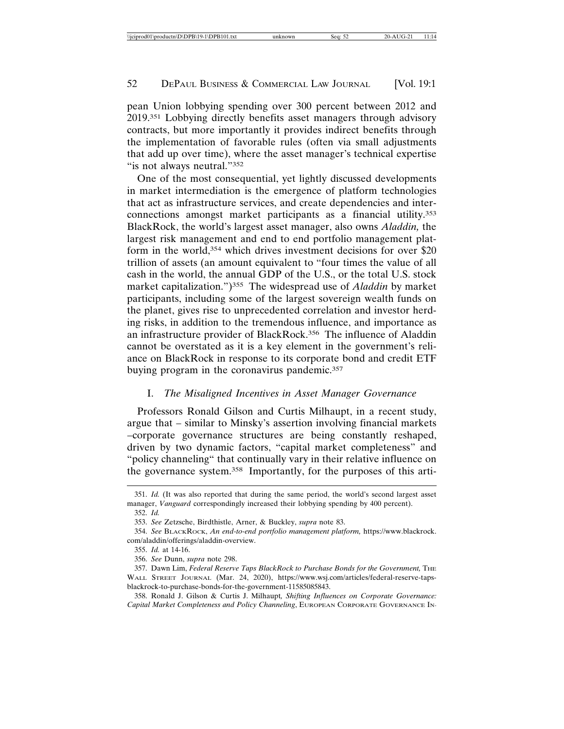pean Union lobbying spending over 300 percent between 2012 and 2019.351 Lobbying directly benefits asset managers through advisory contracts, but more importantly it provides indirect benefits through the implementation of favorable rules (often via small adjustments that add up over time), where the asset manager's technical expertise "is not always neutral."352

One of the most consequential, yet lightly discussed developments in market intermediation is the emergence of platform technologies that act as infrastructure services, and create dependencies and interconnections amongst market participants as a financial utility.353 BlackRock, the world's largest asset manager, also owns *Aladdin,* the largest risk management and end to end portfolio management platform in the world,354 which drives investment decisions for over \$20 trillion of assets (an amount equivalent to "four times the value of all cash in the world, the annual GDP of the U.S., or the total U.S. stock market capitalization.")355 The widespread use of *Aladdin* by market participants, including some of the largest sovereign wealth funds on the planet, gives rise to unprecedented correlation and investor herding risks, in addition to the tremendous influence, and importance as an infrastructure provider of BlackRock.356 The influence of Aladdin cannot be overstated as it is a key element in the government's reliance on BlackRock in response to its corporate bond and credit ETF buying program in the coronavirus pandemic.357

# I. *The Misaligned Incentives in Asset Manager Governance*

Professors Ronald Gilson and Curtis Milhaupt, in a recent study, argue that – similar to Minsky's assertion involving financial markets –corporate governance structures are being constantly reshaped, driven by two dynamic factors, "capital market completeness" and "policy channeling" that continually vary in their relative influence on the governance system.358 Importantly, for the purposes of this arti-

<sup>351.</sup> *Id.* (It was also reported that during the same period, the world's second largest asset manager, *Vanguard* correspondingly increased their lobbying spending by 400 percent).

<sup>352.</sup> *Id.*

<sup>353.</sup> *See* Zetzsche, Birdthistle, Arner, & Buckley, *supra* note 83.

<sup>354.</sup> *See* BLACKROCK, *An end-to-end portfolio management platform,* https://www.blackrock. com/aladdin/offerings/aladdin-overview.

<sup>355.</sup> *Id.* at 14-16.

<sup>356.</sup> *See* Dunn, *supra* note 298.

<sup>357.</sup> Dawn Lim, *Federal Reserve Taps BlackRock to Purchase Bonds for the Government,* THE WALL STREET JOURNAL (Mar. 24, 2020), https://www.wsj.com/articles/federal-reserve-tapsblackrock-to-purchase-bonds-for-the-government-11585085843.

<sup>358.</sup> Ronald J. Gilson & Curtis J. Milhaupt*, Shifting Influences on Corporate Governance: Capital Market Completeness and Policy Channeling*, EUROPEAN CORPORATE GOVERNANCE IN-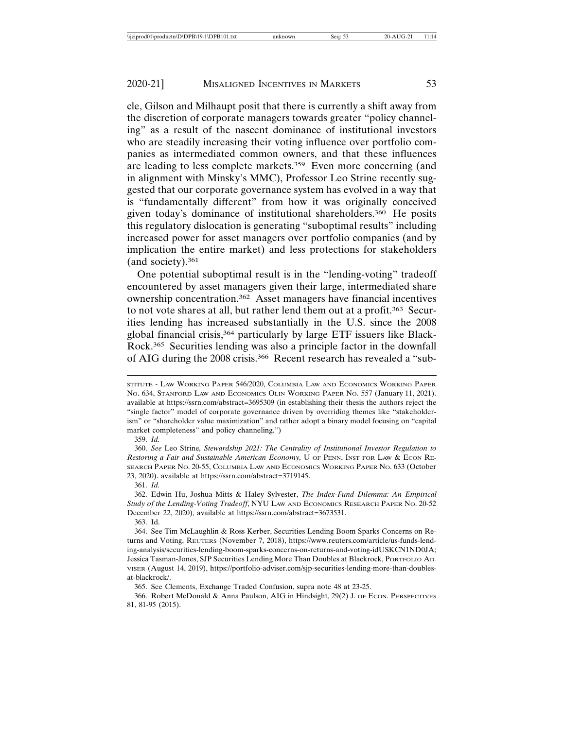cle, Gilson and Milhaupt posit that there is currently a shift away from the discretion of corporate managers towards greater "policy channeling" as a result of the nascent dominance of institutional investors who are steadily increasing their voting influence over portfolio companies as intermediated common owners, and that these influences are leading to less complete markets.359 Even more concerning (and in alignment with Minsky's MMC), Professor Leo Strine recently suggested that our corporate governance system has evolved in a way that is "fundamentally different" from how it was originally conceived given today's dominance of institutional shareholders.360 He posits this regulatory dislocation is generating "suboptimal results" including increased power for asset managers over portfolio companies (and by implication the entire market) and less protections for stakeholders (and society).361

One potential suboptimal result is in the "lending-voting" tradeoff encountered by asset managers given their large, intermediated share ownership concentration.362 Asset managers have financial incentives to not vote shares at all, but rather lend them out at a profit.363 Securities lending has increased substantially in the U.S. since the 2008 global financial crisis,364 particularly by large ETF issuers like Black-Rock.365 Securities lending was also a principle factor in the downfall of AIG during the 2008 crisis.366 Recent research has revealed a "sub-

361. *Id.*

STITUTE - LAW WORKING PAPER 546/2020, COLUMBIA LAW AND ECONOMICS WORKING PAPER NO. 634, STANFORD LAW AND ECONOMICS OLIN WORKING PAPER NO. 557 (January 11, 2021). available at https://ssrn.com/abstract=3695309 (in establishing their thesis the authors reject the "single factor" model of corporate governance driven by overriding themes like "stakeholderism" or "shareholder value maximization" and rather adopt a binary model focusing on "capital market completeness" and policy channeling.")

<sup>359.</sup> *Id.*

<sup>360.</sup> *See* Leo Strine*, Stewardship 2021: The Centrality of Institutional Investor Regulation to Restoring a Fair and Sustainable American Economy,* U OF PENN, INST FOR LAW & ECON RE-SEARCH PAPER NO. 20-55, COLUMBIA LAW AND ECONOMICS WORKING PAPER NO. 633 (October 23, 2020). available at https://ssrn.com/abstract=3719145.

<sup>362.</sup> Edwin Hu, Joshua Mitts & Haley Sylvester, *The Index-Fund Dilemma: An Empirical Study of the Lending-Voting Tradeoff*, NYU LAW AND ECONOMICS RESEARCH PAPER NO. 20-52 December 22, 2020), available at https://ssrn.com/abstract=3673531.

<sup>363.</sup> Id.

<sup>364.</sup> See Tim McLaughlin & Ross Kerber, Securities Lending Boom Sparks Concerns on Returns and Voting, REUTERS (November 7, 2018), https://www.reuters.com/article/us-funds-lending-analysis/securities-lending-boom-sparks-concerns-on-returns-and-voting-idUSKCN1ND0JA; Jessica Tasman-Jones, SJP Securities Lending More Than Doubles at Blackrock, PORTFOLIO AD-VISER (August 14, 2019), https://portfolio-adviser.com/sjp-securities-lending-more-than-doublesat-blackrock/.

<sup>365.</sup> See Clements, Exchange Traded Confusion, supra note 48 at 23-25.

<sup>366.</sup> Robert McDonald & Anna Paulson, AIG in Hindsight, 29(2) J. OF ECON. PERSPECTIVES 81, 81-95 (2015).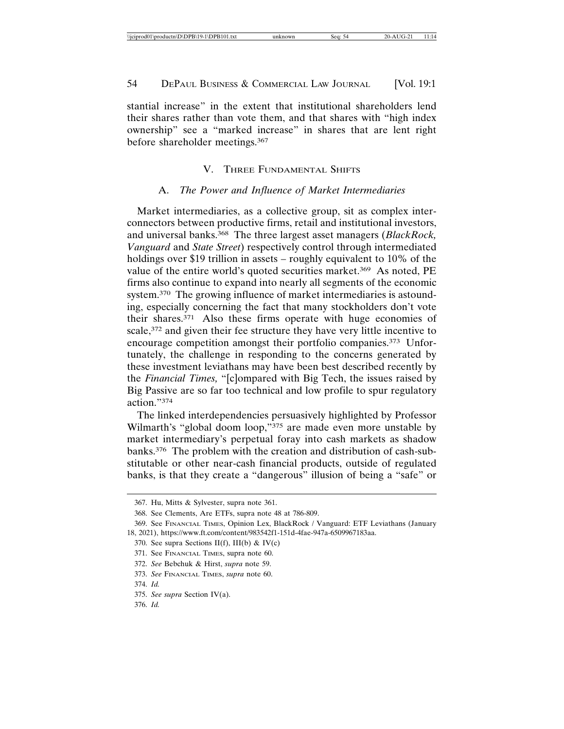stantial increase" in the extent that institutional shareholders lend their shares rather than vote them, and that shares with "high index ownership" see a "marked increase" in shares that are lent right before shareholder meetings.367

## V. THREE FUNDAMENTAL SHIFTS

#### A. *The Power and Influence of Market Intermediaries*

Market intermediaries, as a collective group, sit as complex interconnectors between productive firms, retail and institutional investors, and universal banks.368 The three largest asset managers (*BlackRock, Vanguard* and *State Street*) respectively control through intermediated holdings over \$19 trillion in assets – roughly equivalent to 10% of the value of the entire world's quoted securities market.<sup>369</sup> As noted, PE firms also continue to expand into nearly all segments of the economic system.370 The growing influence of market intermediaries is astounding, especially concerning the fact that many stockholders don't vote their shares.371 Also these firms operate with huge economies of scale,<sup>372</sup> and given their fee structure they have very little incentive to encourage competition amongst their portfolio companies.373 Unfortunately, the challenge in responding to the concerns generated by these investment leviathans may have been best described recently by the *Financial Times,* "[c]ompared with Big Tech, the issues raised by Big Passive are so far too technical and low profile to spur regulatory action."374

The linked interdependencies persuasively highlighted by Professor Wilmarth's "global doom loop,"<sup>375</sup> are made even more unstable by market intermediary's perpetual foray into cash markets as shadow banks.376 The problem with the creation and distribution of cash-substitutable or other near-cash financial products, outside of regulated banks, is that they create a "dangerous" illusion of being a "safe" or

<sup>367.</sup> Hu, Mitts & Sylvester, supra note 361.

<sup>368.</sup> See Clements, Are ETFs, supra note 48 at 786-809.

<sup>369.</sup> See FINANCIAL TIMES, Opinion Lex, BlackRock / Vanguard: ETF Leviathans (January 18, 2021), https://www.ft.com/content/983542f1-151d-4fae-947a-6509967183aa.

<sup>370.</sup> See supra Sections II(f), III(b) & IV(c)

<sup>371.</sup> See FINANCIAL TIMES, supra note 60.

<sup>372.</sup> *See* Bebchuk & Hirst, *supra* note 59.

<sup>373.</sup> *See* FINANCIAL TIMES, *supra* note 60.

<sup>374.</sup> *Id.*

<sup>375.</sup> *See supra* Section IV(a).

<sup>376.</sup> *Id.*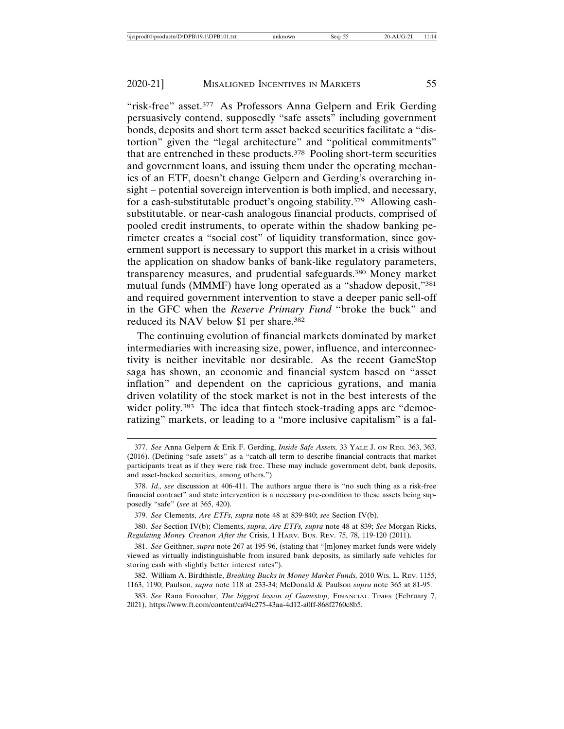"risk-free" asset.<sup>377</sup> As Professors Anna Gelpern and Erik Gerding persuasively contend, supposedly "safe assets" including government bonds, deposits and short term asset backed securities facilitate a "distortion" given the "legal architecture" and "political commitments" that are entrenched in these products.378 Pooling short-term securities and government loans, and issuing them under the operating mechanics of an ETF, doesn't change Gelpern and Gerding's overarching insight – potential sovereign intervention is both implied, and necessary, for a cash-substitutable product's ongoing stability.379 Allowing cashsubstitutable, or near-cash analogous financial products, comprised of pooled credit instruments, to operate within the shadow banking perimeter creates a "social cost" of liquidity transformation, since government support is necessary to support this market in a crisis without the application on shadow banks of bank-like regulatory parameters, transparency measures, and prudential safeguards.380 Money market mutual funds (MMMF) have long operated as a "shadow deposit,"381 and required government intervention to stave a deeper panic sell-off in the GFC when the *Reserve Primary Fund* "broke the buck" and reduced its NAV below \$1 per share.382

The continuing evolution of financial markets dominated by market intermediaries with increasing size, power, influence, and interconnectivity is neither inevitable nor desirable. As the recent GameStop saga has shown, an economic and financial system based on "asset inflation" and dependent on the capricious gyrations, and mania driven volatility of the stock market is not in the best interests of the wider polity.<sup>383</sup> The idea that fintech stock-trading apps are "democratizing" markets, or leading to a "more inclusive capitalism" is a fal-

<sup>377.</sup> *See* Anna Gelpern & Erik F. Gerding, *Inside Safe Assets,* 33 YALE J. ON REG. 363, 363. (2016). (Defining "safe assets" as a "catch-all term to describe financial contracts that market participants treat as if they were risk free. These may include government debt, bank deposits, and asset-backed securities, among others.")

<sup>378.</sup> *Id., see* discussion at 406-411. The authors argue there is "no such thing as a risk-free financial contract" and state intervention is a necessary pre-condition to these assets being supposedly "safe" (*see* at 365, 420).

<sup>379.</sup> *See* Clements, *Are ETFs, supra* note 48 at 839-840; *see* Section IV(b).

<sup>380.</sup> *See* Section IV(b); Clements, *supra*, *Are ETFs, supra* note 48 at 839; *See* Morgan Ricks, *Regulating Money Creation After the* Crisis, 1 HARV. BUS. REV. 75, 78, 119-120 (2011).

<sup>381.</sup> *See* Geithner, *supra* note 267 at 195-96, (stating that "[m]oney market funds were widely viewed as virtually indistinguishable from insured bank deposits, as similarly safe vehicles for storing cash with slightly better interest rates").

<sup>382.</sup> William A. Birdthistle, *Breaking Bucks in Money Market Funds,* 2010 WIS. L. REV. 1155, 1163, 1190; Paulson, *supra* note 118 at 233-34; McDonald & Paulson *supra* note 365 at 81-95.

<sup>383.</sup> *See* Rana Foroohar, *The biggest lesson of Gamestop,* FINANCIAL TIMES (February 7, 2021), https://www.ft.com/content/ca94c275-43aa-4d12-a0ff-868f2760c8b5.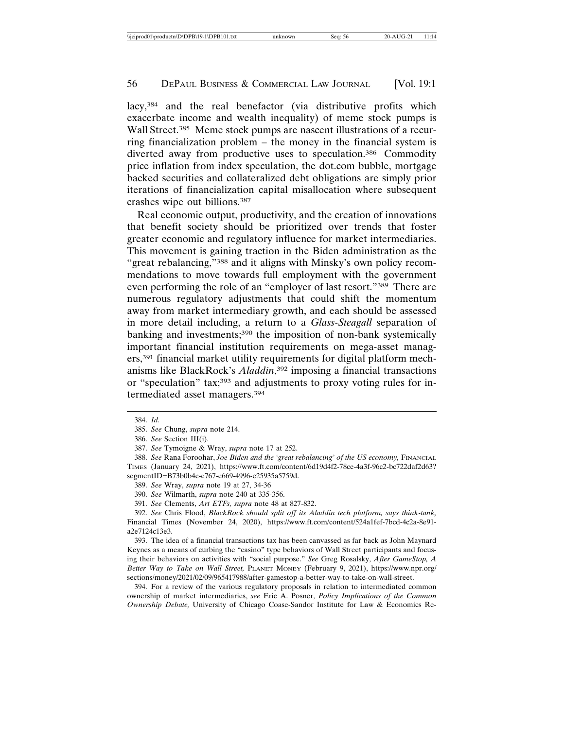lacy,<sup>384</sup> and the real benefactor (via distributive profits which exacerbate income and wealth inequality) of meme stock pumps is Wall Street.<sup>385</sup> Meme stock pumps are nascent illustrations of a recurring financialization problem – the money in the financial system is diverted away from productive uses to speculation.386 Commodity price inflation from index speculation, the dot.com bubble, mortgage backed securities and collateralized debt obligations are simply prior iterations of financialization capital misallocation where subsequent crashes wipe out billions.387

Real economic output, productivity, and the creation of innovations that benefit society should be prioritized over trends that foster greater economic and regulatory influence for market intermediaries. This movement is gaining traction in the Biden administration as the "great rebalancing,"<sup>388</sup> and it aligns with Minsky's own policy recommendations to move towards full employment with the government even performing the role of an "employer of last resort."389 There are numerous regulatory adjustments that could shift the momentum away from market intermediary growth, and each should be assessed in more detail including, a return to a *Glass-Steagall* separation of banking and investments;<sup>390</sup> the imposition of non-bank systemically important financial institution requirements on mega-asset managers,391 financial market utility requirements for digital platform mechanisms like BlackRock's *Aladdin*, 392 imposing a financial transactions or "speculation" tax;393 and adjustments to proxy voting rules for intermediated asset managers.394

393. The idea of a financial transactions tax has been canvassed as far back as John Maynard Keynes as a means of curbing the "casino" type behaviors of Wall Street participants and focusing their behaviors on activities with "social purpose." *See* Greg Rosalsky, *After GameStop, A Better Way to Take on Wall Street,* PLANET MONEY (February 9, 2021), https://www.npr.org/ sections/money/2021/02/09/965417988/after-gamestop-a-better-way-to-take-on-wall-street.

394. For a review of the various regulatory proposals in relation to intermediated common ownership of market intermediaries, *see* Eric A. Posner, *Policy Implications of the Common Ownership Debate,* University of Chicago Coase-Sandor Institute for Law & Economics Re-

<sup>384.</sup> *Id.*

<sup>385.</sup> *See* Chung, *supra* note 214.

<sup>386.</sup> *See* Section III(i).

<sup>387.</sup> *See* Tymoigne & Wray, *supra* note 17 at 252.

<sup>388.</sup> See Rana Foroohar, *Joe Biden and the 'great rebalancing' of the US economy*, FINANCIAL TIMES (January 24, 2021), https://www.ft.com/content/6d19d4f2-78ce-4a3f-96c2-bc722daf2d63? segmentID=B73b0b4c-e767-e669-4996-e25935a5759d.

<sup>389.</sup> *See* Wray, *supra* note 19 at 27, 34-36

<sup>390.</sup> *See* Wilmarth, *supra* note 240 at 335-356.

<sup>391.</sup> *See* Clements, *Art ETFs, supra* note 48 at 827-832.

<sup>392.</sup> *See* Chris Flood, *BlackRock should split off its Aladdin tech platform, says think-tank,* Financial Times (November 24, 2020), https://www.ft.com/content/524a1fef-7bcd-4c2a-8e91 a2e7124c13e3.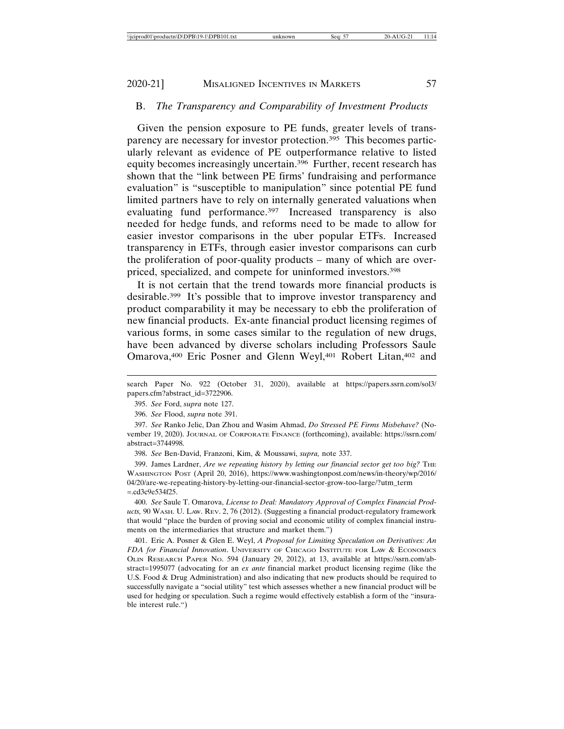# B. *The Transparency and Comparability of Investment Products*

Given the pension exposure to PE funds, greater levels of transparency are necessary for investor protection.395 This becomes particularly relevant as evidence of PE outperformance relative to listed equity becomes increasingly uncertain.396 Further, recent research has shown that the "link between PE firms' fundraising and performance evaluation" is "susceptible to manipulation" since potential PE fund limited partners have to rely on internally generated valuations when evaluating fund performance.<sup>397</sup> Increased transparency is also needed for hedge funds, and reforms need to be made to allow for easier investor comparisons in the uber popular ETFs. Increased transparency in ETFs, through easier investor comparisons can curb the proliferation of poor-quality products – many of which are overpriced, specialized, and compete for uninformed investors.398

It is not certain that the trend towards more financial products is desirable.399 It's possible that to improve investor transparency and product comparability it may be necessary to ebb the proliferation of new financial products. Ex-ante financial product licensing regimes of various forms, in some cases similar to the regulation of new drugs, have been advanced by diverse scholars including Professors Saule Omarova,<sup>400</sup> Eric Posner and Glenn Weyl,<sup>401</sup> Robert Litan,<sup>402</sup> and

395. *See* Ford, *supra* note 127.

396. *See* Flood, *supra* note 391.

398. *See* Ben-David, Franzoni, Kim, & Moussawi, *supra,* note 337.

399. James Lardner, *Are we repeating history by letting our financial sector get too big?* THE WASHINGTON POST (April 20, 2016), https://www.washingtonpost.com/news/in-theory/wp/2016/ 04/20/are-we-repeating-history-by-letting-our-financial-sector-grow-too-large/?utm\_term =.cd3c9e534f25.

400. *See* Saule T. Omarova, *License to Deal: Mandatory Approval of Complex Financial Products,* 90 WASH. U. LAW. REV. 2, 76 (2012). (Suggesting a financial product-regulatory framework that would "place the burden of proving social and economic utility of complex financial instruments on the intermediaries that structure and market them.")

401. Eric A. Posner & Glen E. Weyl, *A Proposal for Limiting Speculation on Derivatives: An FDA for Financial Innovation*. UNIVERSITY OF CHICAGO INSTITUTE FOR LAW & ECONOMICS OLIN RESEARCH PAPER NO. 594 (January 29, 2012), at 13, available at https://ssrn.com/abstract=1995077 (advocating for an *ex ante* financial market product licensing regime (like the U.S. Food & Drug Administration) and also indicating that new products should be required to successfully navigate a "social utility" test which assesses whether a new financial product will be used for hedging or speculation. Such a regime would effectively establish a form of the "insurable interest rule.")

search Paper No. 922 (October 31, 2020), available at https://papers.ssrn.com/sol3/ papers.cfm?abstract\_id=3722906.

<sup>397.</sup> *See* Ranko Jelic, Dan Zhou and Wasim Ahmad, *Do Stressed PE Firms Misbehave?* (November 19, 2020). JOURNAL OF CORPORATE FINANCE (forthcoming), available: https://ssrn.com/ abstract=3744998.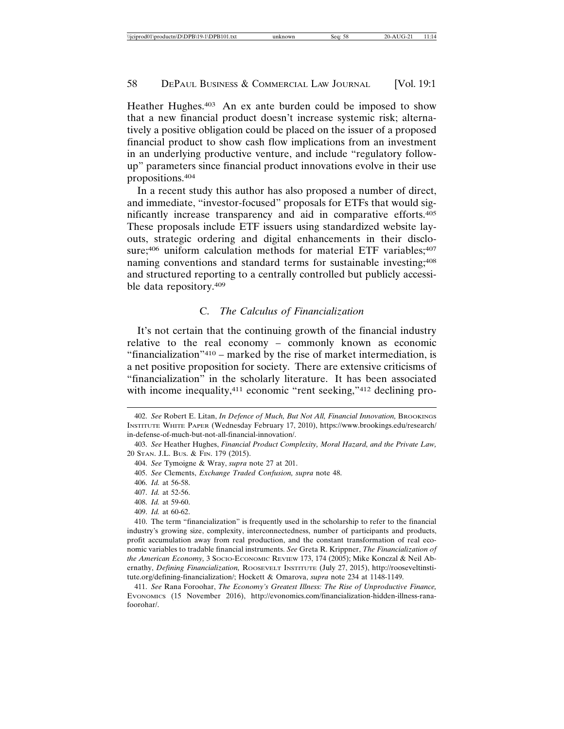Heather Hughes.403 An ex ante burden could be imposed to show that a new financial product doesn't increase systemic risk; alternatively a positive obligation could be placed on the issuer of a proposed financial product to show cash flow implications from an investment in an underlying productive venture, and include "regulatory followup" parameters since financial product innovations evolve in their use propositions.404

In a recent study this author has also proposed a number of direct, and immediate, "investor-focused" proposals for ETFs that would significantly increase transparency and aid in comparative efforts.405 These proposals include ETF issuers using standardized website layouts, strategic ordering and digital enhancements in their disclosure; $406$  uniform calculation methods for material ETF variables; $407$ naming conventions and standard terms for sustainable investing;<sup>408</sup> and structured reporting to a centrally controlled but publicly accessible data repository.409

# C. *The Calculus of Financialization*

It's not certain that the continuing growth of the financial industry relative to the real economy – commonly known as economic "financialization"410 – marked by the rise of market intermediation, is a net positive proposition for society. There are extensive criticisms of "financialization" in the scholarly literature. It has been associated with income inequality,<sup>411</sup> economic "rent seeking,"<sup>412</sup> declining pro-

<sup>402.</sup> *See* Robert E. Litan, *In Defence of Much, But Not All, Financial Innovation,* BROOKINGS INSTITUTE WHITE PAPER (Wednesday February 17, 2010), https://www.brookings.edu/research/ in-defense-of-much-but-not-all-financial-innovation/.

<sup>403.</sup> *See* Heather Hughes, *Financial Product Complexity, Moral Hazard, and the Private Law,* 20 STAN. J.L. BUS. & FIN. 179 (2015).

<sup>404.</sup> *See* Tymoigne & Wray, *supra* note 27 at 201.

<sup>405.</sup> *See* Clements, *Exchange Traded Confusion, supra* note 48.

<sup>406.</sup> *Id.* at 56-58.

<sup>407.</sup> *Id.* at 52-56.

<sup>408.</sup> *Id.* at 59-60.

<sup>409.</sup> *Id.* at 60-62.

<sup>410.</sup> The term "financialization" is frequently used in the scholarship to refer to the financial industry's growing size, complexity, interconnectedness, number of participants and products, profit accumulation away from real production, and the constant transformation of real economic variables to tradable financial instruments. *See* Greta R. Krippner, *The Financialization of the American Economy,* 3 SOCIO-ECONOMIC REVIEW 173, 174 (2005); Mike Konczal & Neil Abernathy, *Defining Financialization*, ROOSEVELT INSTITUTE (July 27, 2015), http://rooseveltinstitute.org/defining-financialization/; Hockett & Omarova, *supra* note 234 at 1148-1149.

<sup>411.</sup> *See* Rana Foroohar, *The Economy's Greatest Illness: The Rise of Unproductive Finance,* EVONOMICS (15 November 2016), http://evonomics.com/financialization-hidden-illness-ranafoorohar/.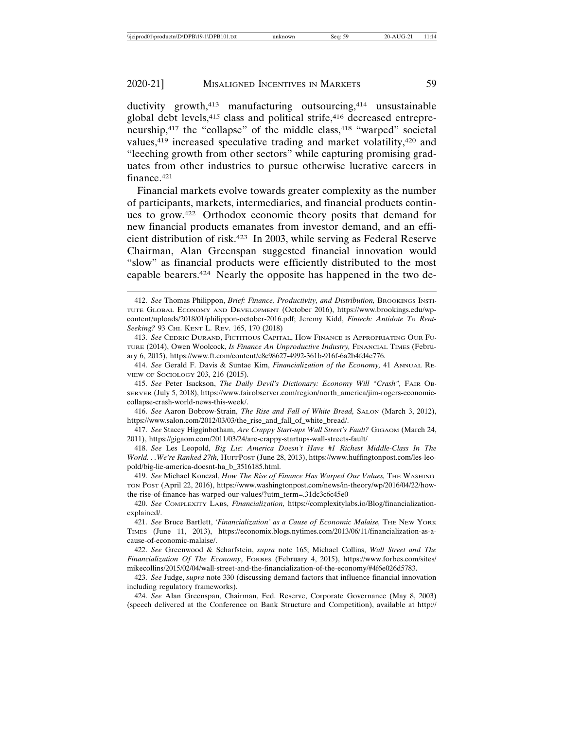ductivity growth,<sup>413</sup> manufacturing outsourcing,<sup>414</sup> unsustainable global debt levels,415 class and political strife,416 decreased entrepreneurship,417 the "collapse" of the middle class,418 "warped" societal values,419 increased speculative trading and market volatility,420 and "leeching growth from other sectors" while capturing promising graduates from other industries to pursue otherwise lucrative careers in finance.421

Financial markets evolve towards greater complexity as the number of participants, markets, intermediaries, and financial products continues to grow.422 Orthodox economic theory posits that demand for new financial products emanates from investor demand, and an efficient distribution of risk.423 In 2003, while serving as Federal Reserve Chairman, Alan Greenspan suggested financial innovation would "slow" as financial products were efficiently distributed to the most capable bearers.424 Nearly the opposite has happened in the two de-

415. *See* Peter Isackson, *The Daily Devil's Dictionary: Economy Will "Crash",* FAIR OB-SERVER (July 5, 2018), https://www.fairobserver.com/region/north\_america/jim-rogers-economiccollapse-crash-world-news-this-week/.

416. *See* Aaron Bobrow-Strain, *The Rise and Fall of White Bread,* SALON (March 3, 2012), https://www.salon.com/2012/03/03/the\_rise\_and\_fall\_of\_white\_bread/.

417. *See* Stacey Higginbotham, *Are Crappy Start-ups Wall Street's Fault?* GIGAOM (March 24, 2011), https://gigaom.com/2011/03/24/are-crappy-startups-wall-streets-fault/

418. *See* Les Leopold, *Big Lie: America Doesn't Have #1 Richest Middle-Class In The World. . .We're Ranked 27th,* HUFFPOST (June 28, 2013), https://www.huffingtonpost.com/les-leopold/big-lie-america-doesnt-ha\_b\_3516185.html.

419. *See* Michael Konczal, *How The Rise of Finance Has Warped Our Values,* THE WASHING-TON POST (April 22, 2016), https://www.washingtonpost.com/news/in-theory/wp/2016/04/22/howthe-rise-of-finance-has-warped-our-values/?utm\_term=.31dc3c6c45e0

<sup>412.</sup> *See* Thomas Philippon, *Brief: Finance, Productivity, and Distribution,* BROOKINGS INSTI-TUTE GLOBAL ECONOMY AND DEVELOPMENT (October 2016), https://www.brookings.edu/wpcontent/uploads/2018/01/philippon-october-2016.pdf; Jeremy Kidd, *Fintech: Antidote To Rent-Seeking?* 93 CHI. KENT L. REV. 165, 170 (2018)

<sup>413.</sup> *See* CEDRIC DURAND, FICTITIOUS CAPITAL, HOW FINANCE IS APPROPRIATING OUR FU-TURE (2014), Owen Woolcock, *Is Finance An Unproductive Industry,* FINANCIAL TIMES (February 6, 2015), https://www.ft.com/content/c8c98627-4992-361b-916f-6a2b4fd4e776.

<sup>414.</sup> *See* Gerald F. Davis & Suntae Kim, *Financialization of the Economy,* 41 ANNUAL RE-VIEW OF SOCIOLOGY 203, 216 (2015).

<sup>420.</sup> *See* COMPLEXITY LABS, *Financialization,* https://complexitylabs.io/Blog/financializationexplained/.

<sup>421.</sup> *See* Bruce Bartlett, *'Financialization' as a Cause of Economic Malaise,* THE NEW YORK TIMES (June 11, 2013), https://economix.blogs.nytimes.com/2013/06/11/financialization-as-acause-of-economic-malaise/.

<sup>422.</sup> *See* Greenwood & Scharfstein, *supra* note 165; Michael Collins, *Wall Street and The Financialization Of The Economy*, FORBES (February 4, 2015), https://www.forbes.com/sites/ mikecollins/2015/02/04/wall-street-and-the-financialization-of-the-economy/#4f6e026d5783.

<sup>423.</sup> *See* Judge, *supra* note 330 (discussing demand factors that influence financial innovation including regulatory frameworks).

<sup>424.</sup> *See* Alan Greenspan, Chairman, Fed. Reserve, Corporate Governance (May 8, 2003) (speech delivered at the Conference on Bank Structure and Competition), available at http://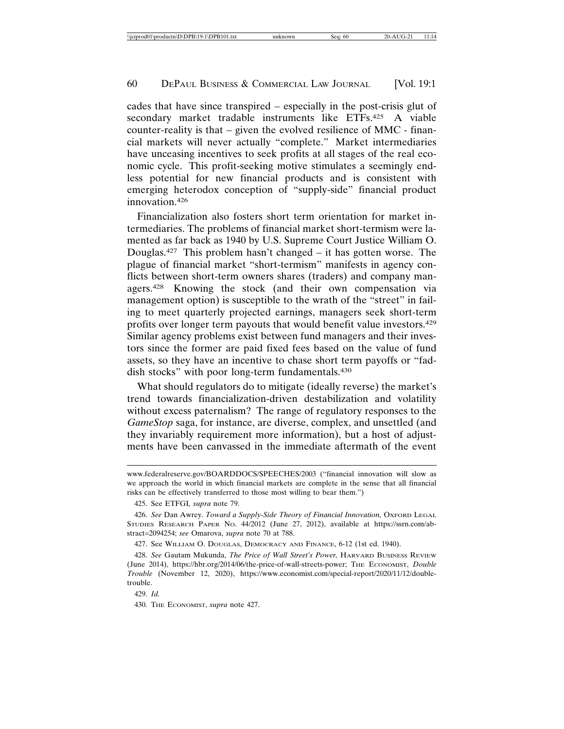cades that have since transpired – especially in the post-crisis glut of secondary market tradable instruments like ETFs.425 A viable counter-reality is that – given the evolved resilience of MMC - financial markets will never actually "complete." Market intermediaries have unceasing incentives to seek profits at all stages of the real economic cycle. This profit-seeking motive stimulates a seemingly endless potential for new financial products and is consistent with emerging heterodox conception of "supply-side" financial product innovation.426

Financialization also fosters short term orientation for market intermediaries. The problems of financial market short-termism were lamented as far back as 1940 by U.S. Supreme Court Justice William O. Douglas.427 This problem hasn't changed – it has gotten worse. The plague of financial market "short-termism" manifests in agency conflicts between short-term owners shares (traders) and company managers.428 Knowing the stock (and their own compensation via management option) is susceptible to the wrath of the "street" in failing to meet quarterly projected earnings, managers seek short-term profits over longer term payouts that would benefit value investors.429 Similar agency problems exist between fund managers and their investors since the former are paid fixed fees based on the value of fund assets, so they have an incentive to chase short term payoffs or "faddish stocks" with poor long-term fundamentals.430

What should regulators do to mitigate (ideally reverse) the market's trend towards financialization-driven destabilization and volatility without excess paternalism? The range of regulatory responses to the *GameStop* saga, for instance, are diverse, complex, and unsettled (and they invariably requirement more information), but a host of adjustments have been canvassed in the immediate aftermath of the event

429. *Id.*

www.federalreserve.gov/BOARDDOCS/SPEECHES/2003 ("financial innovation will slow as we approach the world in which financial markets are complete in the sense that all financial risks can be effectively transferred to those most willing to bear them.")

<sup>425.</sup> See ETFGI*, supra* note 79.

<sup>426.</sup> *See* Dan Awrey. *Toward a Supply-Side Theory of Financial Innovation,* OXFORD LEGAL STUDIES RESEARCH PAPER NO. 44/2012 (June 27, 2012), available at https://ssrn.com/abstract=2094254; *see* Omarova, *supra* note 70 at 788.

<sup>427.</sup> See WILLIAM O. DOUGLAS, DEMOCRACY AND FINANCE, 6-12 (1st ed. 1940).

<sup>428.</sup> *See* Gautam Mukunda, *The Price of Wall Street's Power,* HARVARD BUSINESS REVIEW (June 2014), https://hbr.org/2014/06/the-price-of-wall-streets-power; THE ECONOMIST, *Double Trouble* (November 12, 2020), https://www.economist.com/special-report/2020/11/12/doubletrouble.

<sup>430.</sup> THE ECONOMIST, *supra* note 427.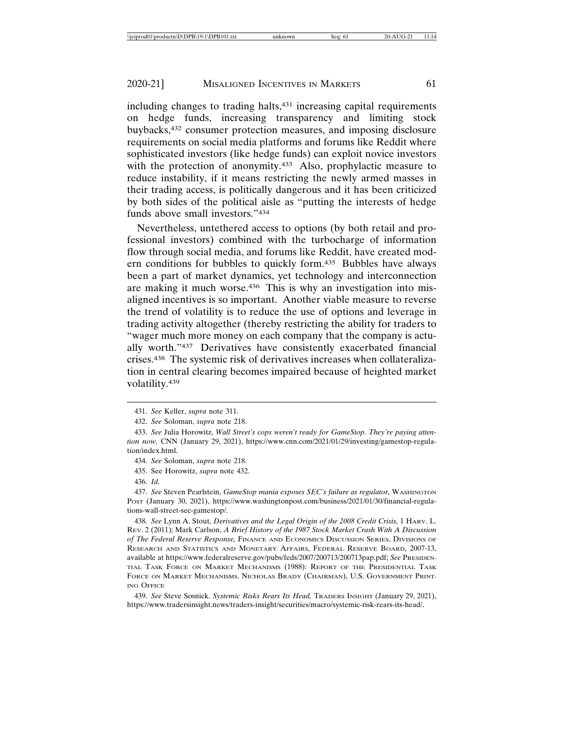including changes to trading halts,431 increasing capital requirements on hedge funds, increasing transparency and limiting stock buybacks,432 consumer protection measures, and imposing disclosure requirements on social media platforms and forums like Reddit where sophisticated investors (like hedge funds) can exploit novice investors with the protection of anonymity.<sup>433</sup> Also, prophylactic measure to reduce instability, if it means restricting the newly armed masses in their trading access, is politically dangerous and it has been criticized by both sides of the political aisle as "putting the interests of hedge funds above small investors."434

Nevertheless, untethered access to options (by both retail and professional investors) combined with the turbocharge of information flow through social media, and forums like Reddit, have created modern conditions for bubbles to quickly form.435 Bubbles have always been a part of market dynamics, yet technology and interconnection are making it much worse.<sup>436</sup> This is why an investigation into misaligned incentives is so important. Another viable measure to reverse the trend of volatility is to reduce the use of options and leverage in trading activity altogether (thereby restricting the ability for traders to "wager much more money on each company that the company is actually worth."437 Derivatives have consistently exacerbated financial crises.438 The systemic risk of derivatives increases when collateralization in central clearing becomes impaired because of heighted market volatility.439

435. See Horowitz, *supra* note 432.

436. *Id.*

437. *See* Steven Pearlstein, *GameStop mania exposes SEC's failure as regulator,* WASHINGTON POST (January 30, 2021), https://www.washingtonpost.com/business/2021/01/30/financial-regulations-wall-street-sec-gamestop/.

438. *See* Lynn A. Stout*, Derivatives and the Legal Origin of the 2008 Credit Crisis,* 1 HARV. L. REV. 2 (2011); Mark Carlson, *A Brief History of the 1987 Stock Market Crash With A Discussion of The Federal Reserve Response,* FINANCE AND ECONOMICS DISCUSSION SERIES, DIVISIONS OF RESEARCH AND STATISTICS AND MONETARY AFFAIRS, FEDERAL RESERVE BOARD, 2007-13, available at https://www.federalreserve.gov/pubs/feds/2007/200713/200713pap.pdf; *See* PRESIDEN-TIAL TASK FORCE ON MARKET MECHANISMS (1988): REPORT OF THE PRESIDENTIAL TASK FORCE ON MARKET MECHANISMS. NICHOLAS BRADY (CHAIRMAN), U.S. GOVERNMENT PRINT-ING OFFICE

439. *See* Steve Sosnick. *Systemic Risks Rears Its Head,* TRADERS INSIGHT (January 29, 2021), https://www.tradersinsight.news/traders-insight/securities/macro/systemic-risk-rears-its-head/.

<sup>431.</sup> *See* Keller, *supra* note 311.

<sup>432.</sup> *See* Soloman, *supra* note 218.

<sup>433.</sup> *See* Julia Horowitz, *Wall Street's cops weren't ready for GameStop. They're paying attention now,* CNN (January 29, 2021), https://www.cnn.com/2021/01/29/investing/gamestop-regulation/index.html.

<sup>434.</sup> *See* Soloman, *supra* note 218.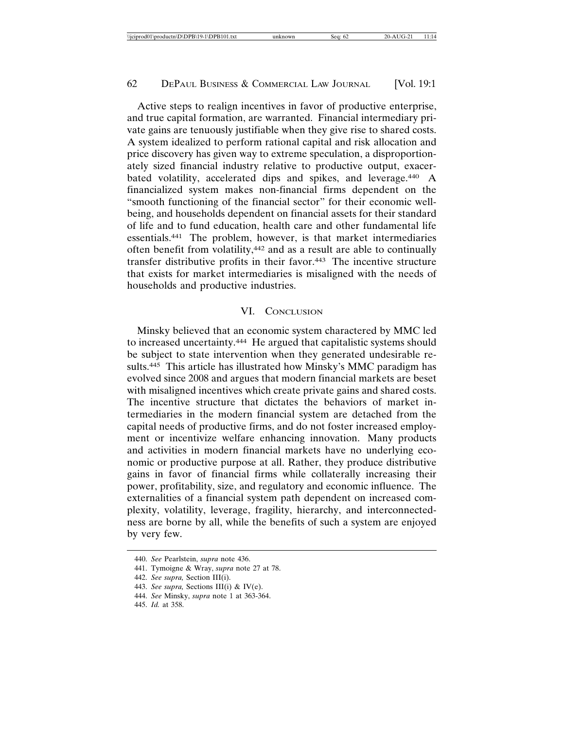Active steps to realign incentives in favor of productive enterprise, and true capital formation, are warranted. Financial intermediary private gains are tenuously justifiable when they give rise to shared costs. A system idealized to perform rational capital and risk allocation and price discovery has given way to extreme speculation, a disproportionately sized financial industry relative to productive output, exacerbated volatility, accelerated dips and spikes, and leverage.440 A financialized system makes non-financial firms dependent on the "smooth functioning of the financial sector" for their economic wellbeing, and households dependent on financial assets for their standard of life and to fund education, health care and other fundamental life essentials.441 The problem, however, is that market intermediaries often benefit from volatility,442 and as a result are able to continually transfer distributive profits in their favor.<sup>443</sup> The incentive structure that exists for market intermediaries is misaligned with the needs of households and productive industries.

#### VI. CONCLUSION

Minsky believed that an economic system charactered by MMC led to increased uncertainty.444 He argued that capitalistic systems should be subject to state intervention when they generated undesirable results.445 This article has illustrated how Minsky's MMC paradigm has evolved since 2008 and argues that modern financial markets are beset with misaligned incentives which create private gains and shared costs. The incentive structure that dictates the behaviors of market intermediaries in the modern financial system are detached from the capital needs of productive firms, and do not foster increased employment or incentivize welfare enhancing innovation. Many products and activities in modern financial markets have no underlying economic or productive purpose at all. Rather, they produce distributive gains in favor of financial firms while collaterally increasing their power, profitability, size, and regulatory and economic influence. The externalities of a financial system path dependent on increased complexity, volatility, leverage, fragility, hierarchy, and interconnectedness are borne by all, while the benefits of such a system are enjoyed by very few.

<sup>440.</sup> *See* Pearlstein, *supra* note 436.

<sup>441.</sup> Tymoigne & Wray, *supra* note 27 at 78.

<sup>442.</sup> *See supra,* Section III(i).

<sup>443.</sup> *See supra,* Sections III(i) & IV(e).

<sup>444.</sup> *See* Minsky, *supra* note 1 at 363-364.

<sup>445.</sup> *Id.* at 358.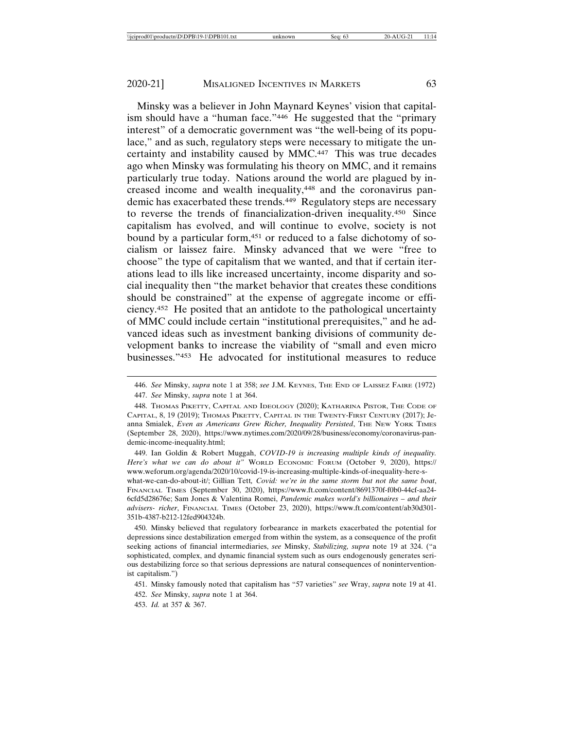Minsky was a believer in John Maynard Keynes' vision that capitalism should have a "human face."446 He suggested that the "primary interest" of a democratic government was "the well-being of its populace," and as such, regulatory steps were necessary to mitigate the uncertainty and instability caused by MMC.447 This was true decades ago when Minsky was formulating his theory on MMC, and it remains particularly true today. Nations around the world are plagued by increased income and wealth inequality,448 and the coronavirus pandemic has exacerbated these trends.<sup>449</sup> Regulatory steps are necessary to reverse the trends of financialization-driven inequality.450 Since capitalism has evolved, and will continue to evolve, society is not bound by a particular form,<sup>451</sup> or reduced to a false dichotomy of socialism or laissez faire. Minsky advanced that we were "free to choose" the type of capitalism that we wanted, and that if certain iterations lead to ills like increased uncertainty, income disparity and social inequality then "the market behavior that creates these conditions should be constrained" at the expense of aggregate income or efficiency.452 He posited that an antidote to the pathological uncertainty of MMC could include certain "institutional prerequisites," and he advanced ideas such as investment banking divisions of community development banks to increase the viability of "small and even micro businesses."453 He advocated for institutional measures to reduce

what-we-can-do-about-it/; Gillian Tett*, Covid: we're in the same storm but not the same boat*, FINANCIAL TIMES (September 30, 2020), https://www.ft.com/content/8691370f-f0b0-44cf-aa24- 6cfd5d28676e; Sam Jones & Valentina Romei, *Pandemic makes world's billionaires – and their advisers- richer*, FINANCIAL TIMES (October 23, 2020), https://www.ft.com/content/ab30d301- 351b-4387-b212-12fed904324b.

450. Minsky believed that regulatory forbearance in markets exacerbated the potential for depressions since destabilization emerged from within the system, as a consequence of the profit seeking actions of financial intermediaries, *see* Minsky, *Stabilizing, supra* note 19 at 324. ("a sophisticated, complex, and dynamic financial system such as ours endogenously generates serious destabilizing force so that serious depressions are natural consequences of noninterventionist capitalism.")

<sup>446.</sup> *See* Minsky, *supra* note 1 at 358; *see* J.M. KEYNES, THE END OF LAISSEZ FAIRE (1972) 447. *See* Minsky, *supra* note 1 at 364.

<sup>448.</sup> THOMAS PIKETTY, CAPITAL AND IDEOLOGY (2020); KATHARINA PISTOR, THE CODE OF CAPITAL, 8, 19 (2019); THOMAS PIKETTY, CAPITAL IN THE TWENTY-FIRST CENTURY (2017); Jeanna Smialek, *Even as Americans Grew Richer, Inequality Persisted*, THE NEW YORK TIMES (September 28, 2020), https://www.nytimes.com/2020/09/28/business/economy/coronavirus-pandemic-income-inequality.html;

<sup>449.</sup> Ian Goldin & Robert Muggah, *COVID-19 is increasing multiple kinds of inequality. Here's what we can do about it"* WORLD ECONOMIC FORUM (October 9, 2020), https:// www.weforum.org/agenda/2020/10/covid-19-is-increasing-multiple-kinds-of-inequality-here-s-

<sup>451.</sup> Minsky famously noted that capitalism has "57 varieties" *see* Wray, *supra* note 19 at 41.

<sup>452.</sup> *See* Minsky, *supra* note 1 at 364.

<sup>453.</sup> *Id.* at 357 & 367.